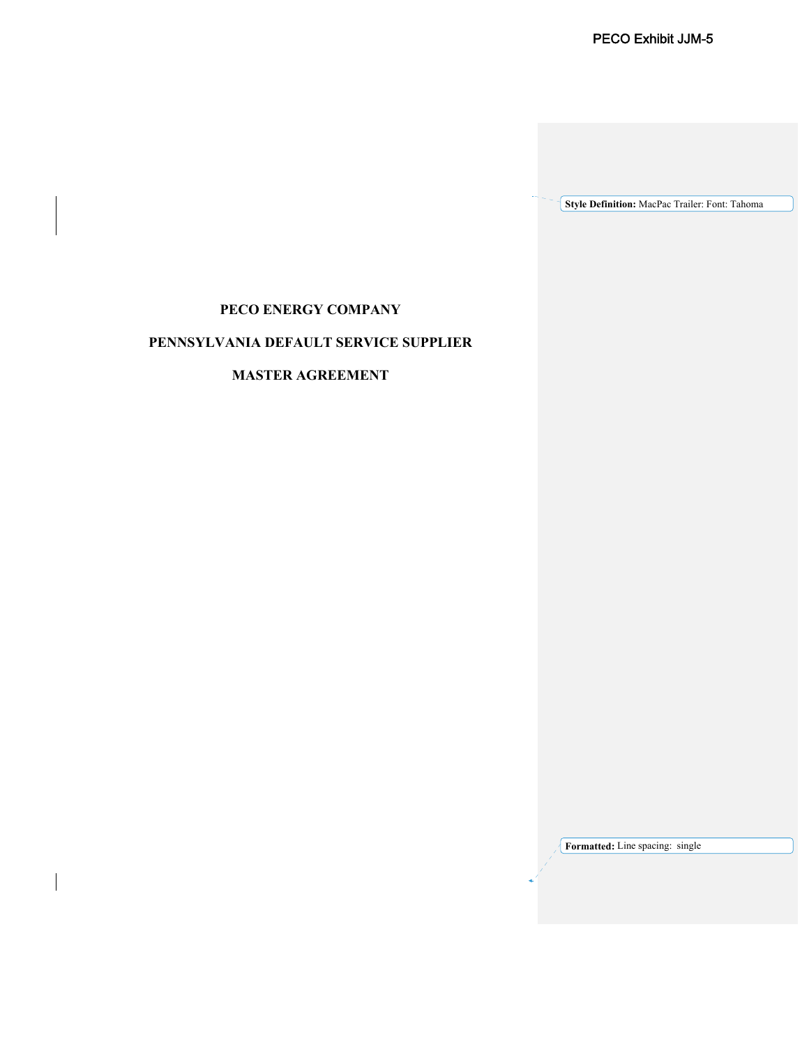**Style Definition:** MacPac Trailer: Font: Tahoma

# **PECO ENERGY COMPANY**

# **PENNSYLVANIA DEFAULT SERVICE SUPPLIER**

# **MASTER AGREEMENT**

**Formatted:** Line spacing: single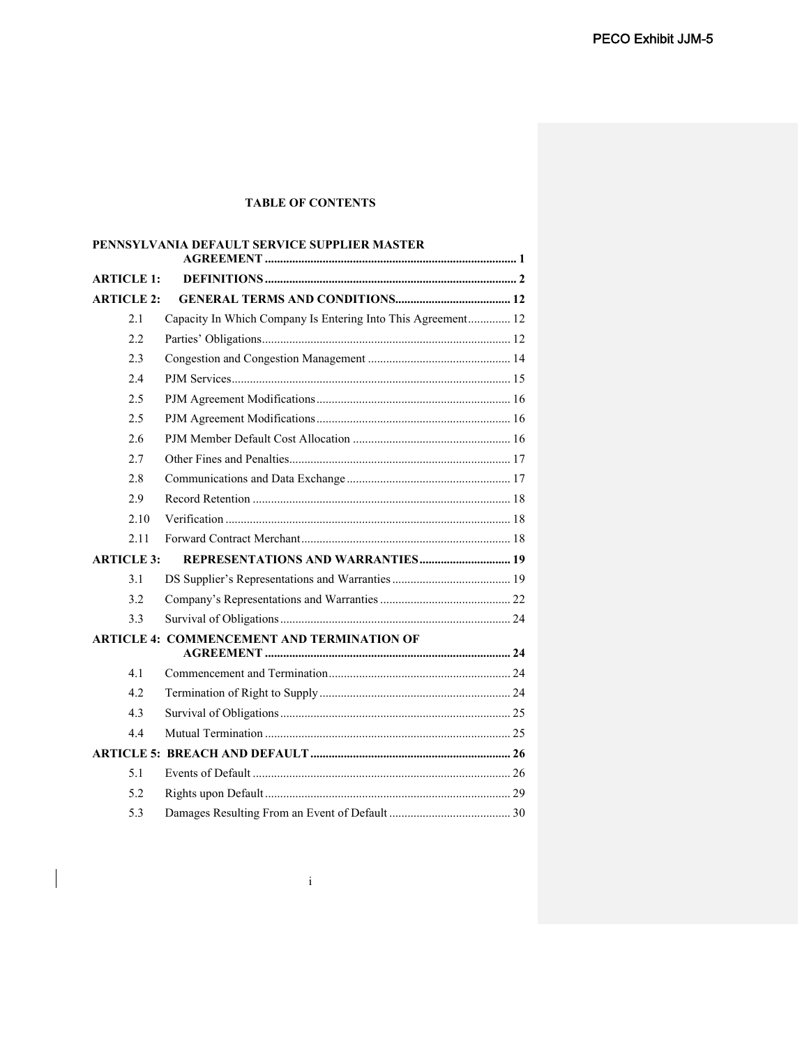## **TABLE OF CONTENTS**

|                   | PENNSYLVANIA DEFAULT SERVICE SUPPLIER MASTER                 |
|-------------------|--------------------------------------------------------------|
| <b>ARTICLE 1:</b> |                                                              |
| <b>ARTICLE 2:</b> |                                                              |
| 2.1               | Capacity In Which Company Is Entering Into This Agreement 12 |
| 2.2               |                                                              |
| 2.3               |                                                              |
| 2.4               |                                                              |
| 2.5               |                                                              |
| 2.5               |                                                              |
| 2.6               |                                                              |
| 2.7               |                                                              |
| 2.8               |                                                              |
| 2.9               |                                                              |
| 2.10              |                                                              |
| 2.11              |                                                              |
| <b>ARTICLE 3:</b> |                                                              |
| 3.1               |                                                              |
| 3.2               |                                                              |
| 3.3               |                                                              |
|                   | <b>ARTICLE 4: COMMENCEMENT AND TERMINATION OF</b>            |
| 4.1               |                                                              |
| 4.2.              |                                                              |
| 4.3               |                                                              |
| 4.4               |                                                              |
|                   |                                                              |
| 5.1               |                                                              |
| 5.2               |                                                              |
| 5.3               |                                                              |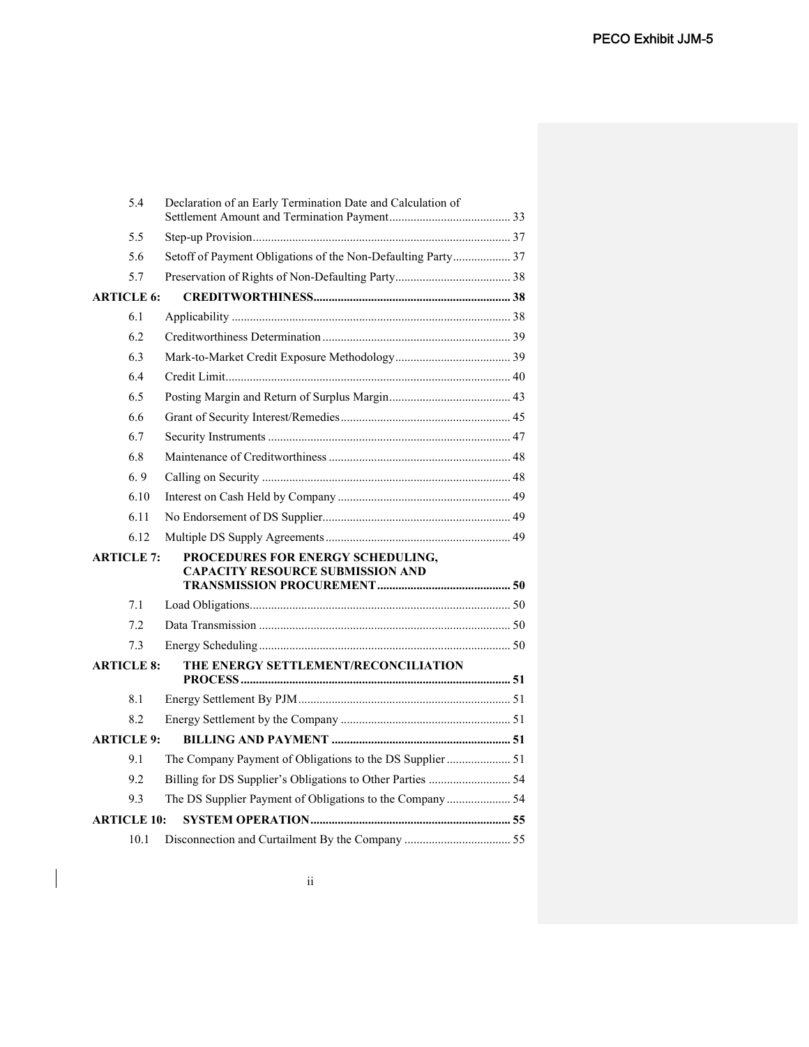|                    | 5.4               | Declaration of an Early Termination Date and Calculation of                  |  |  |
|--------------------|-------------------|------------------------------------------------------------------------------|--|--|
|                    | 5.5               |                                                                              |  |  |
|                    | 5.6               | Setoff of Payment Obligations of the Non-Defaulting Party 37                 |  |  |
|                    | 5.7               |                                                                              |  |  |
|                    | <b>ARTICLE 6:</b> |                                                                              |  |  |
|                    | 6.1               |                                                                              |  |  |
|                    | 6.2               |                                                                              |  |  |
|                    | 6.3               |                                                                              |  |  |
|                    | 6.4               |                                                                              |  |  |
|                    | 6.5               |                                                                              |  |  |
|                    | 6.6               |                                                                              |  |  |
|                    | 6.7               |                                                                              |  |  |
|                    | 6.8               |                                                                              |  |  |
|                    | 6.9               |                                                                              |  |  |
|                    | 6.10              |                                                                              |  |  |
|                    | 6.11              |                                                                              |  |  |
|                    | 6.12              |                                                                              |  |  |
|                    | <b>ARTICLE 7:</b> | PROCEDURES FOR ENERGY SCHEDULING,<br><b>CAPACITY RESOURCE SUBMISSION AND</b> |  |  |
|                    | 7.1               |                                                                              |  |  |
|                    | 7.2               |                                                                              |  |  |
|                    | 7.3               |                                                                              |  |  |
|                    | <b>ARTICLE 8:</b> | THE ENERGY SETTLEMENT/RECONCILIATION                                         |  |  |
|                    | 8.1               |                                                                              |  |  |
|                    | 8.2               |                                                                              |  |  |
|                    | <b>ARTICLE 9:</b> |                                                                              |  |  |
|                    | 9.1               |                                                                              |  |  |
|                    | 9.2               | Billing for DS Supplier's Obligations to Other Parties  54                   |  |  |
|                    | 9.3               | The DS Supplier Payment of Obligations to the Company  54                    |  |  |
| <b>ARTICLE 10:</b> |                   |                                                                              |  |  |
|                    | 10.1              |                                                                              |  |  |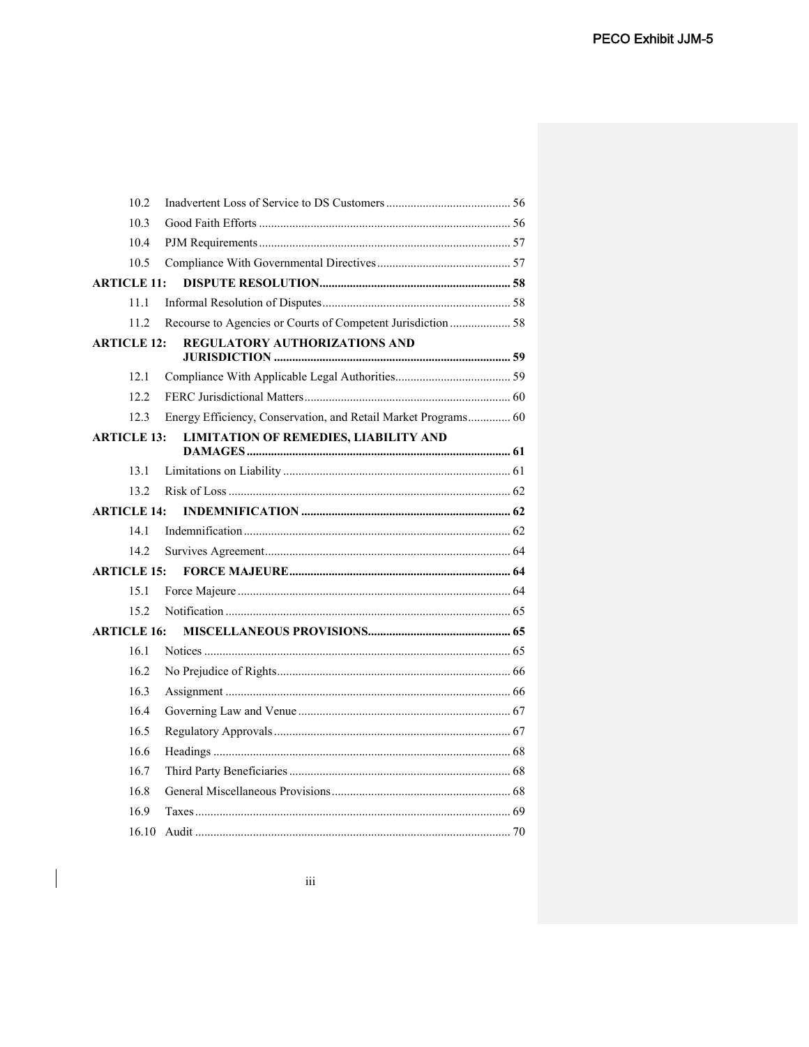| 10.2               |                                                                |  |
|--------------------|----------------------------------------------------------------|--|
| 10.3               |                                                                |  |
| 10.4               |                                                                |  |
| 10.5               |                                                                |  |
| <b>ARTICLE 11:</b> |                                                                |  |
| 11.1               |                                                                |  |
| 11.2               | Recourse to Agencies or Courts of Competent Jurisdiction  58   |  |
| <b>ARTICLE 12:</b> | REGULATORY AUTHORIZATIONS AND                                  |  |
|                    |                                                                |  |
| 12.1               |                                                                |  |
| 12.2               |                                                                |  |
| 12.3               | Energy Efficiency, Conservation, and Retail Market Programs 60 |  |
| <b>ARTICLE 13:</b> | <b>LIMITATION OF REMEDIES, LIABILITY AND</b>                   |  |
| 13.1               |                                                                |  |
| 13.2               |                                                                |  |
| <b>ARTICLE 14:</b> |                                                                |  |
| 14.1               |                                                                |  |
| 14.2               |                                                                |  |
| <b>ARTICLE 15:</b> |                                                                |  |
| 15.1               |                                                                |  |
| 15.2               |                                                                |  |
| <b>ARTICLE 16:</b> |                                                                |  |
| 16.1               |                                                                |  |
| 16.2               |                                                                |  |
| 16.3               |                                                                |  |
| 16.4               |                                                                |  |
| 16.5               |                                                                |  |
| 16.6               |                                                                |  |
| 16.7               |                                                                |  |
| 16.8               |                                                                |  |
| 16.9               |                                                                |  |
| 16.10              |                                                                |  |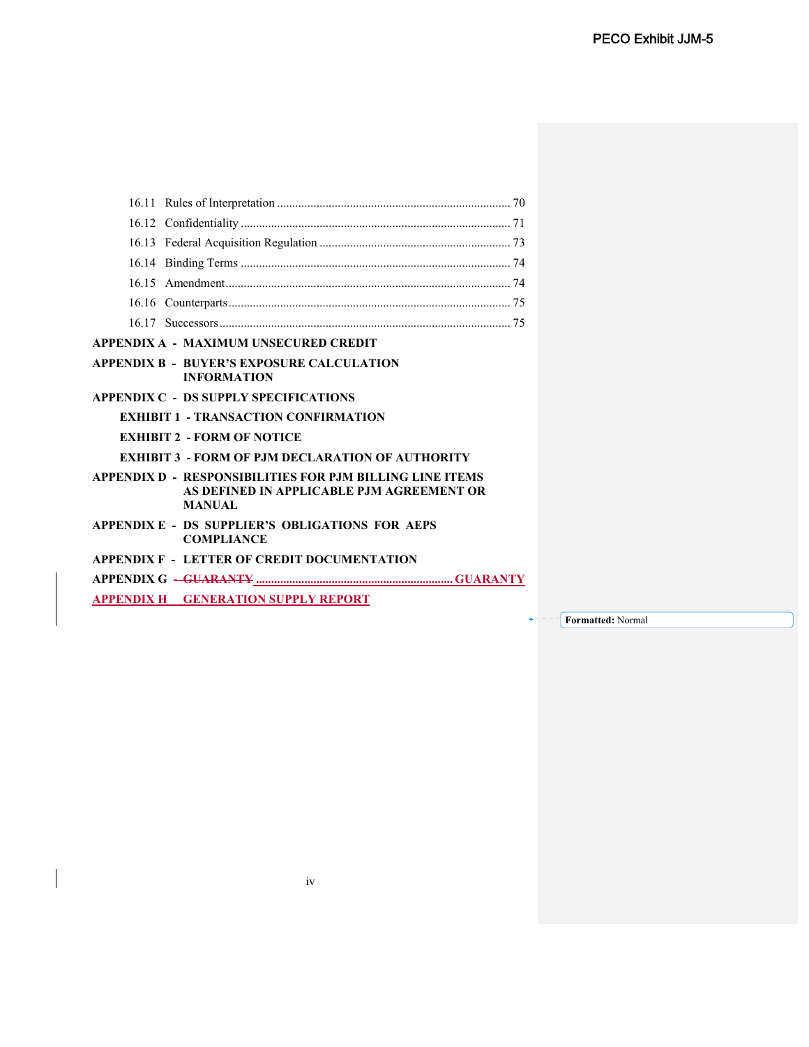| 16.15                                                                                                                  |
|------------------------------------------------------------------------------------------------------------------------|
| 16.16                                                                                                                  |
|                                                                                                                        |
| APPENDIX A - MAXIMUM UNSECURED CREDIT                                                                                  |
| <b>APPENDIX B - BUYER'S EXPOSURE CALCULATION</b><br><b>INFORMATION</b>                                                 |
| <b>APPENDIX C - DS SUPPLY SPECIFICATIONS</b>                                                                           |
| <b>EXHIBIT 1 - TRANSACTION CONFIRMATION</b>                                                                            |
| <b>EXHIBIT 2 - FORM OF NOTICE</b>                                                                                      |
| <b>EXHIBIT 3 - FORM OF P.IM DECLARATION OF AUTHORITY</b>                                                               |
| APPENDIX D - RESPONSIBILITIES FOR PJM BILLING LINE ITEMS<br>AS DEFINED IN APPLICABLE PJM AGREEMENT OR<br><b>MANUAL</b> |
| APPENDIX E - DS SUPPLIER'S OBLIGATIONS FOR AEPS<br><b>COMPLIANCE</b>                                                   |
| <b>APPENDIX F - LETTER OF CREDIT DOCUMENTATION</b>                                                                     |
|                                                                                                                        |
| <b>APPENDIX H GENERATION SUPPLY REPORT</b>                                                                             |

**Formatted:** Normal  $+ - - -$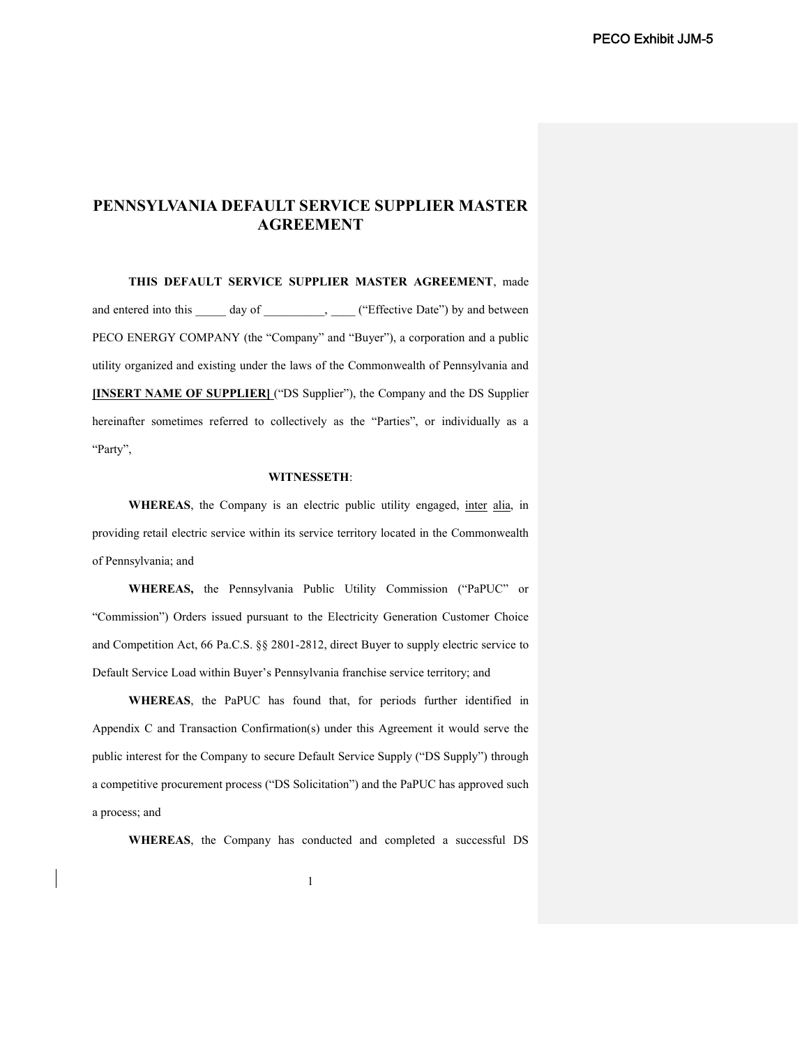# **PENNSYLVANIA DEFAULT SERVICE SUPPLIER MASTER AGREEMENT**

**THIS DEFAULT SERVICE SUPPLIER MASTER AGREEMENT**, made and entered into this \_\_\_\_\_ day of \_\_\_\_\_\_\_\_\_, \_\_\_\_ ("Effective Date") by and between PECO ENERGY COMPANY (the "Company" and "Buyer"), a corporation and a public utility organized and existing under the laws of the Commonwealth of Pennsylvania and **[INSERT NAME OF SUPPLIER]** ("DS Supplier"), the Company and the DS Supplier hereinafter sometimes referred to collectively as the "Parties", or individually as a "Party",

### **WITNESSETH**:

**WHEREAS**, the Company is an electric public utility engaged, inter alia, in providing retail electric service within its service territory located in the Commonwealth of Pennsylvania; and

**WHEREAS,** the Pennsylvania Public Utility Commission ("PaPUC" or "Commission") Orders issued pursuant to the Electricity Generation Customer Choice and Competition Act, 66 Pa.C.S. §§ 2801-2812, direct Buyer to supply electric service to Default Service Load within Buyer's Pennsylvania franchise service territory; and

**WHEREAS**, the PaPUC has found that, for periods further identified in Appendix C and Transaction Confirmation(s) under this Agreement it would serve the public interest for the Company to secure Default Service Supply ("DS Supply") through a competitive procurement process ("DS Solicitation") and the PaPUC has approved such a process; and

**WHEREAS**, the Company has conducted and completed a successful DS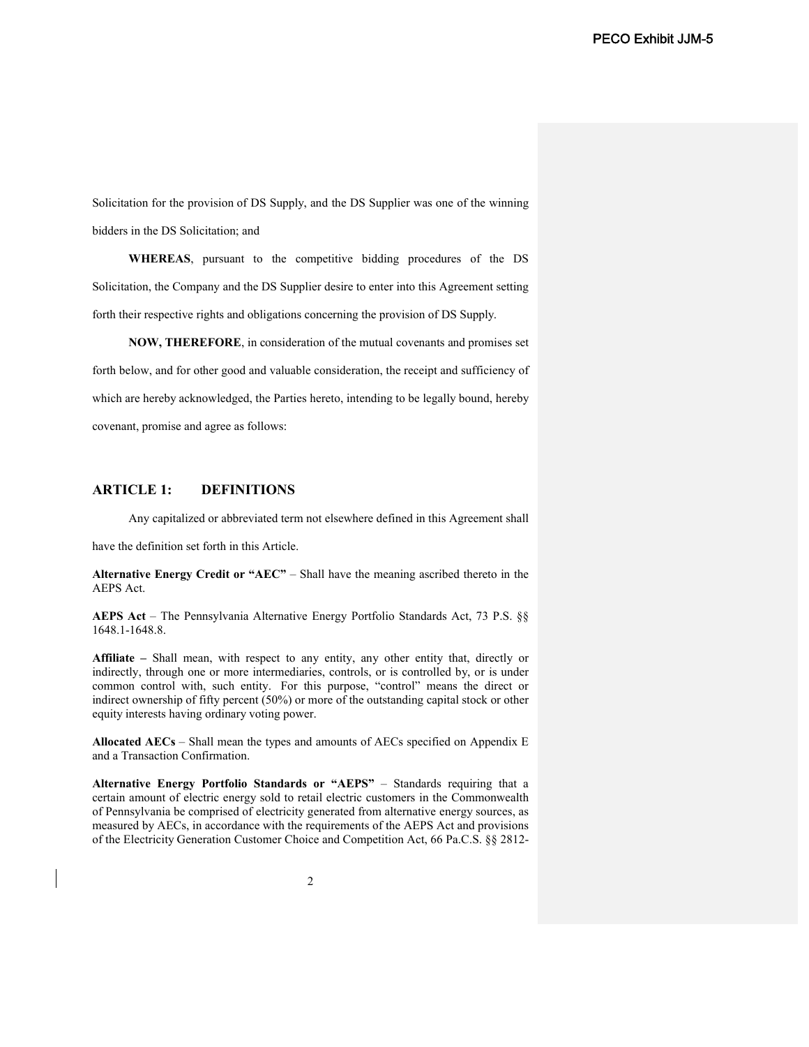Solicitation for the provision of DS Supply, and the DS Supplier was one of the winning bidders in the DS Solicitation; and

**WHEREAS**, pursuant to the competitive bidding procedures of the DS Solicitation, the Company and the DS Supplier desire to enter into this Agreement setting forth their respective rights and obligations concerning the provision of DS Supply.

**NOW, THEREFORE**, in consideration of the mutual covenants and promises set forth below, and for other good and valuable consideration, the receipt and sufficiency of which are hereby acknowledged, the Parties hereto, intending to be legally bound, hereby covenant, promise and agree as follows:

## **ARTICLE 1: DEFINITIONS**

Any capitalized or abbreviated term not elsewhere defined in this Agreement shall

have the definition set forth in this Article.

**Alternative Energy Credit or "AEC"** – Shall have the meaning ascribed thereto in the AEPS Act.

**AEPS Act** – The Pennsylvania Alternative Energy Portfolio Standards Act, 73 P.S. §§ 1648.1-1648.8.

**Affiliate –** Shall mean, with respect to any entity, any other entity that, directly or indirectly, through one or more intermediaries, controls, or is controlled by, or is under common control with, such entity. For this purpose, "control" means the direct or indirect ownership of fifty percent (50%) or more of the outstanding capital stock or other equity interests having ordinary voting power.

**Allocated AECs** – Shall mean the types and amounts of AECs specified on Appendix E and a Transaction Confirmation.

**Alternative Energy Portfolio Standards or "AEPS"** – Standards requiring that a certain amount of electric energy sold to retail electric customers in the Commonwealth of Pennsylvania be comprised of electricity generated from alternative energy sources, as measured by AECs, in accordance with the requirements of the AEPS Act and provisions of the Electricity Generation Customer Choice and Competition Act, 66 Pa.C.S. §§ 2812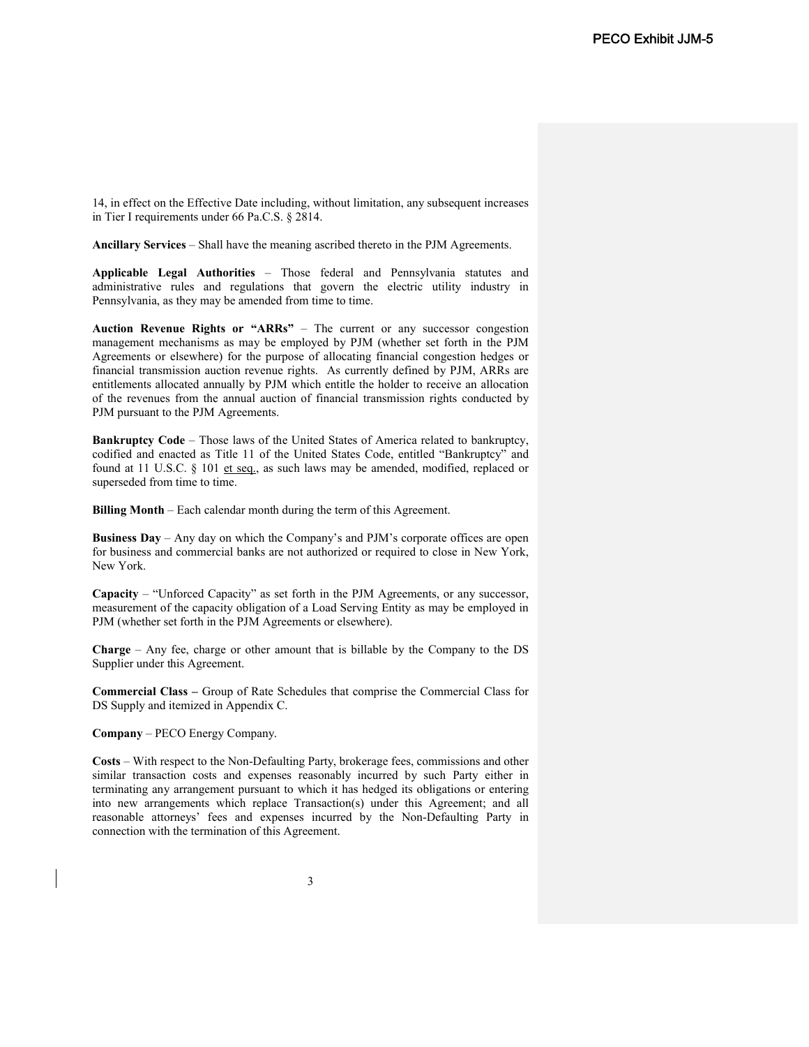14, in effect on the Effective Date including, without limitation, any subsequent increases in Tier I requirements under 66 Pa.C.S. § 2814.

**Ancillary Services** – Shall have the meaning ascribed thereto in the PJM Agreements.

**Applicable Legal Authorities** – Those federal and Pennsylvania statutes and administrative rules and regulations that govern the electric utility industry in Pennsylvania, as they may be amended from time to time.

**Auction Revenue Rights or "ARRs"** – The current or any successor congestion management mechanisms as may be employed by PJM (whether set forth in the PJM Agreements or elsewhere) for the purpose of allocating financial congestion hedges or financial transmission auction revenue rights. As currently defined by PJM, ARRs are entitlements allocated annually by PJM which entitle the holder to receive an allocation of the revenues from the annual auction of financial transmission rights conducted by PJM pursuant to the PJM Agreements.

**Bankruptcy Code** – Those laws of the United States of America related to bankruptcy, codified and enacted as Title 11 of the United States Code, entitled "Bankruptcy" and found at 11 U.S.C. § 101 et seq., as such laws may be amended, modified, replaced or superseded from time to time.

**Billing Month** – Each calendar month during the term of this Agreement.

**Business Day** – Any day on which the Company's and PJM's corporate offices are open for business and commercial banks are not authorized or required to close in New York, New York.

**Capacity** – "Unforced Capacity" as set forth in the PJM Agreements, or any successor, measurement of the capacity obligation of a Load Serving Entity as may be employed in PJM (whether set forth in the PJM Agreements or elsewhere).

**Charge** – Any fee, charge or other amount that is billable by the Company to the DS Supplier under this Agreement.

**Commercial Class –** Group of Rate Schedules that comprise the Commercial Class for DS Supply and itemized in Appendix C.

**Company** – PECO Energy Company.

**Costs** – With respect to the Non-Defaulting Party, brokerage fees, commissions and other similar transaction costs and expenses reasonably incurred by such Party either in terminating any arrangement pursuant to which it has hedged its obligations or entering into new arrangements which replace Transaction(s) under this Agreement; and all reasonable attorneys' fees and expenses incurred by the Non-Defaulting Party in connection with the termination of this Agreement.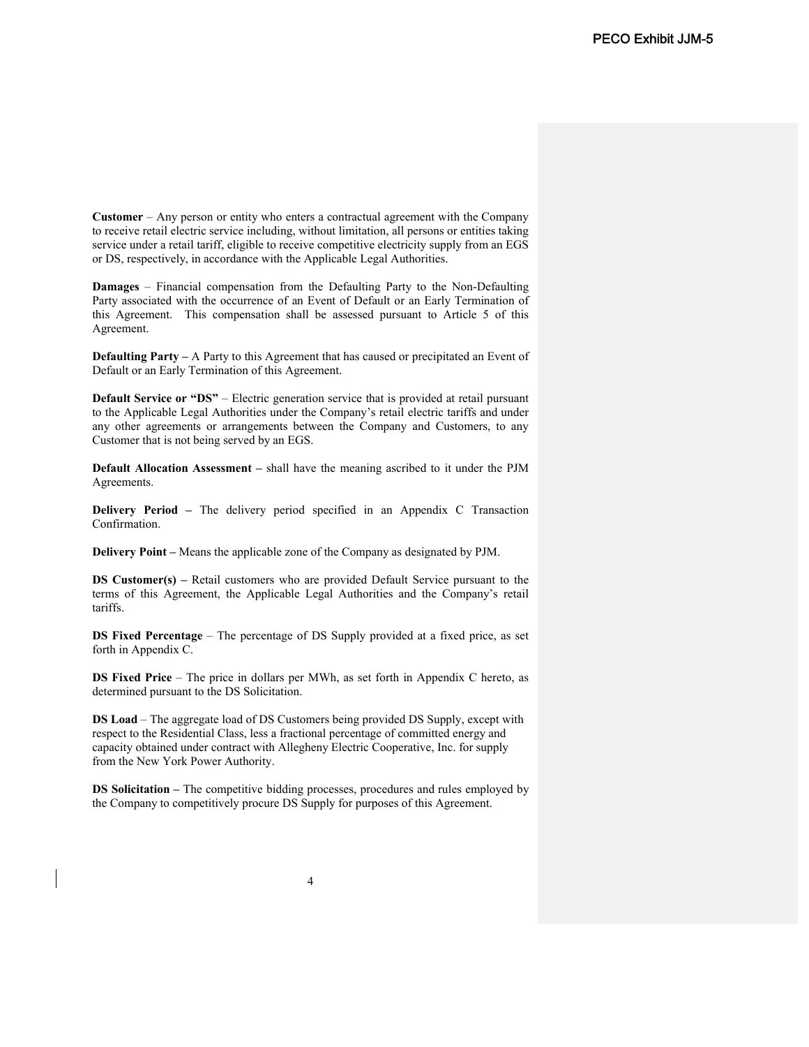**Customer** – Any person or entity who enters a contractual agreement with the Company to receive retail electric service including, without limitation, all persons or entities taking service under a retail tariff, eligible to receive competitive electricity supply from an EGS or DS, respectively, in accordance with the Applicable Legal Authorities.

**Damages** – Financial compensation from the Defaulting Party to the Non-Defaulting Party associated with the occurrence of an Event of Default or an Early Termination of this Agreement. This compensation shall be assessed pursuant to Article 5 of this Agreement.

**Defaulting Party –** A Party to this Agreement that has caused or precipitated an Event of Default or an Early Termination of this Agreement.

**Default Service or "DS"** – Electric generation service that is provided at retail pursuant to the Applicable Legal Authorities under the Company's retail electric tariffs and under any other agreements or arrangements between the Company and Customers, to any Customer that is not being served by an EGS.

**Default Allocation Assessment –** shall have the meaning ascribed to it under the PJM Agreements.

**Delivery Period –** The delivery period specified in an Appendix C Transaction Confirmation.

**Delivery Point –** Means the applicable zone of the Company as designated by PJM.

**DS Customer(s) –** Retail customers who are provided Default Service pursuant to the terms of this Agreement, the Applicable Legal Authorities and the Company's retail tariffs.

**DS Fixed Percentage** – The percentage of DS Supply provided at a fixed price, as set forth in Appendix C.

**DS Fixed Price** – The price in dollars per MWh, as set forth in Appendix C hereto, as determined pursuant to the DS Solicitation.

**DS Load** – The aggregate load of DS Customers being provided DS Supply, except with respect to the Residential Class, less a fractional percentage of committed energy and capacity obtained under contract with Allegheny Electric Cooperative, Inc. for supply from the New York Power Authority.

**DS Solicitation –** The competitive bidding processes, procedures and rules employed by the Company to competitively procure DS Supply for purposes of this Agreement.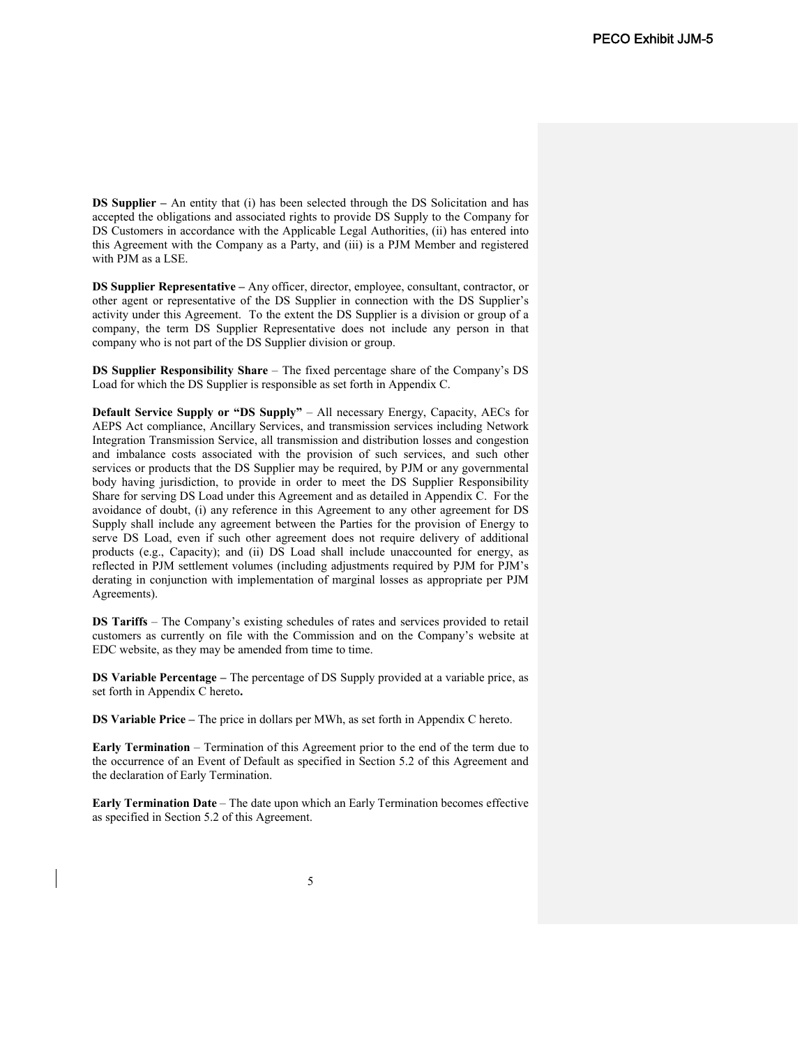**DS Supplier** – An entity that (i) has been selected through the DS Solicitation and has accepted the obligations and associated rights to provide DS Supply to the Company for DS Customers in accordance with the Applicable Legal Authorities, (ii) has entered into this Agreement with the Company as a Party, and (iii) is a PJM Member and registered with PJM as a LSE.

**DS Supplier Representative –** Any officer, director, employee, consultant, contractor, or other agent or representative of the DS Supplier in connection with the DS Supplier's activity under this Agreement. To the extent the DS Supplier is a division or group of a company, the term DS Supplier Representative does not include any person in that company who is not part of the DS Supplier division or group.

**DS Supplier Responsibility Share** – The fixed percentage share of the Company's DS Load for which the DS Supplier is responsible as set forth in Appendix C.

**Default Service Supply or "DS Supply"** – All necessary Energy, Capacity, AECs for AEPS Act compliance, Ancillary Services, and transmission services including Network Integration Transmission Service, all transmission and distribution losses and congestion and imbalance costs associated with the provision of such services, and such other services or products that the DS Supplier may be required, by PJM or any governmental body having jurisdiction, to provide in order to meet the DS Supplier Responsibility Share for serving DS Load under this Agreement and as detailed in Appendix C. For the avoidance of doubt, (i) any reference in this Agreement to any other agreement for DS Supply shall include any agreement between the Parties for the provision of Energy to serve DS Load, even if such other agreement does not require delivery of additional products (e.g., Capacity); and (ii) DS Load shall include unaccounted for energy, as reflected in PJM settlement volumes (including adjustments required by PJM for PJM's derating in conjunction with implementation of marginal losses as appropriate per PJM Agreements).

**DS Tariffs** – The Company's existing schedules of rates and services provided to retail customers as currently on file with the Commission and on the Company's website at EDC website, as they may be amended from time to time.

**DS Variable Percentage –** The percentage of DS Supply provided at a variable price, as set forth in Appendix C hereto**.**

**DS Variable Price –** The price in dollars per MWh, as set forth in Appendix C hereto.

**Early Termination** – Termination of this Agreement prior to the end of the term due to the occurrence of an Event of Default as specified in Section 5.2 of this Agreement and the declaration of Early Termination.

**Early Termination Date** – The date upon which an Early Termination becomes effective as specified in Section 5.2 of this Agreement.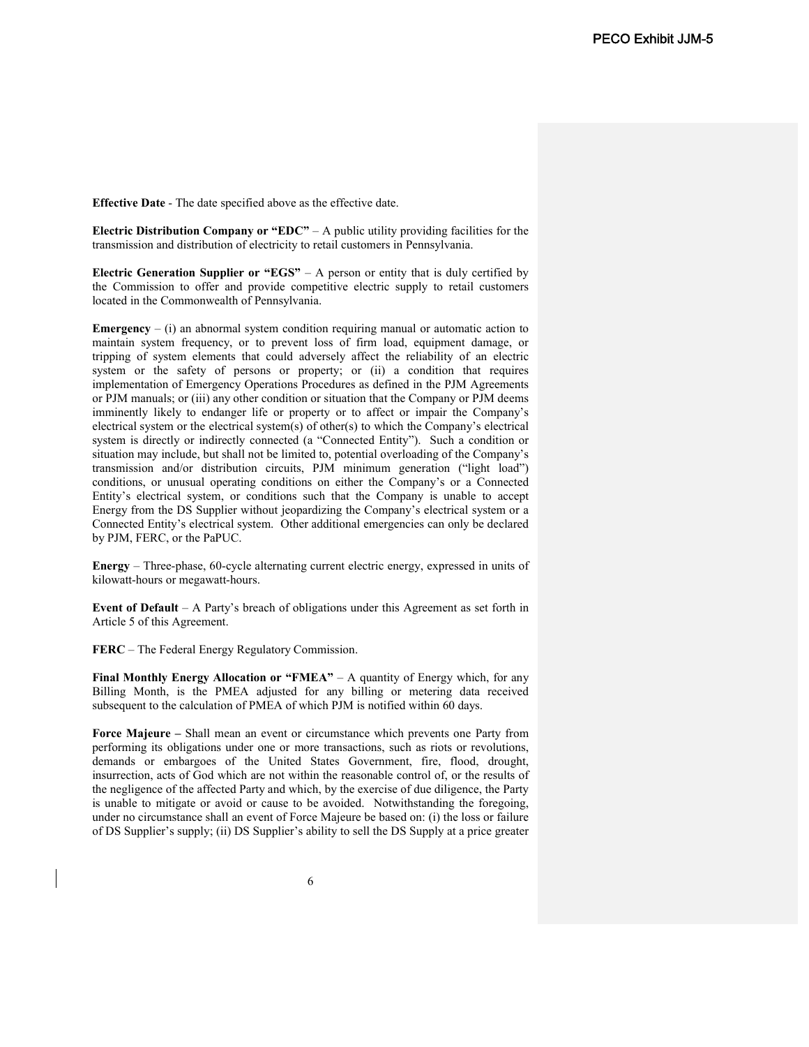**Effective Date** - The date specified above as the effective date.

**Electric Distribution Company or "EDC"** – A public utility providing facilities for the transmission and distribution of electricity to retail customers in Pennsylvania.

**Electric Generation Supplier or "EGS"** – A person or entity that is duly certified by the Commission to offer and provide competitive electric supply to retail customers located in the Commonwealth of Pennsylvania.

**Emergency**  $-$  (i) an abnormal system condition requiring manual or automatic action to maintain system frequency, or to prevent loss of firm load, equipment damage, or tripping of system elements that could adversely affect the reliability of an electric system or the safety of persons or property; or (ii) a condition that requires implementation of Emergency Operations Procedures as defined in the PJM Agreements or PJM manuals; or (iii) any other condition or situation that the Company or PJM deems imminently likely to endanger life or property or to affect or impair the Company's electrical system or the electrical system(s) of other(s) to which the Company's electrical system is directly or indirectly connected (a "Connected Entity"). Such a condition or situation may include, but shall not be limited to, potential overloading of the Company's transmission and/or distribution circuits, PJM minimum generation ("light load") conditions, or unusual operating conditions on either the Company's or a Connected Entity's electrical system, or conditions such that the Company is unable to accept Energy from the DS Supplier without jeopardizing the Company's electrical system or a Connected Entity's electrical system. Other additional emergencies can only be declared by PJM, FERC, or the PaPUC.

**Energy** – Three-phase, 60-cycle alternating current electric energy, expressed in units of kilowatt-hours or megawatt-hours.

**Event of Default** – A Party's breach of obligations under this Agreement as set forth in Article 5 of this Agreement.

**FERC** – The Federal Energy Regulatory Commission.

**Final Monthly Energy Allocation or "FMEA"** – A quantity of Energy which, for any Billing Month, is the PMEA adjusted for any billing or metering data received subsequent to the calculation of PMEA of which PJM is notified within 60 days.

**Force Majeure –** Shall mean an event or circumstance which prevents one Party from performing its obligations under one or more transactions, such as riots or revolutions, demands or embargoes of the United States Government, fire, flood, drought, insurrection, acts of God which are not within the reasonable control of, or the results of the negligence of the affected Party and which, by the exercise of due diligence, the Party is unable to mitigate or avoid or cause to be avoided. Notwithstanding the foregoing, under no circumstance shall an event of Force Majeure be based on: (i) the loss or failure of DS Supplier's supply; (ii) DS Supplier's ability to sell the DS Supply at a price greater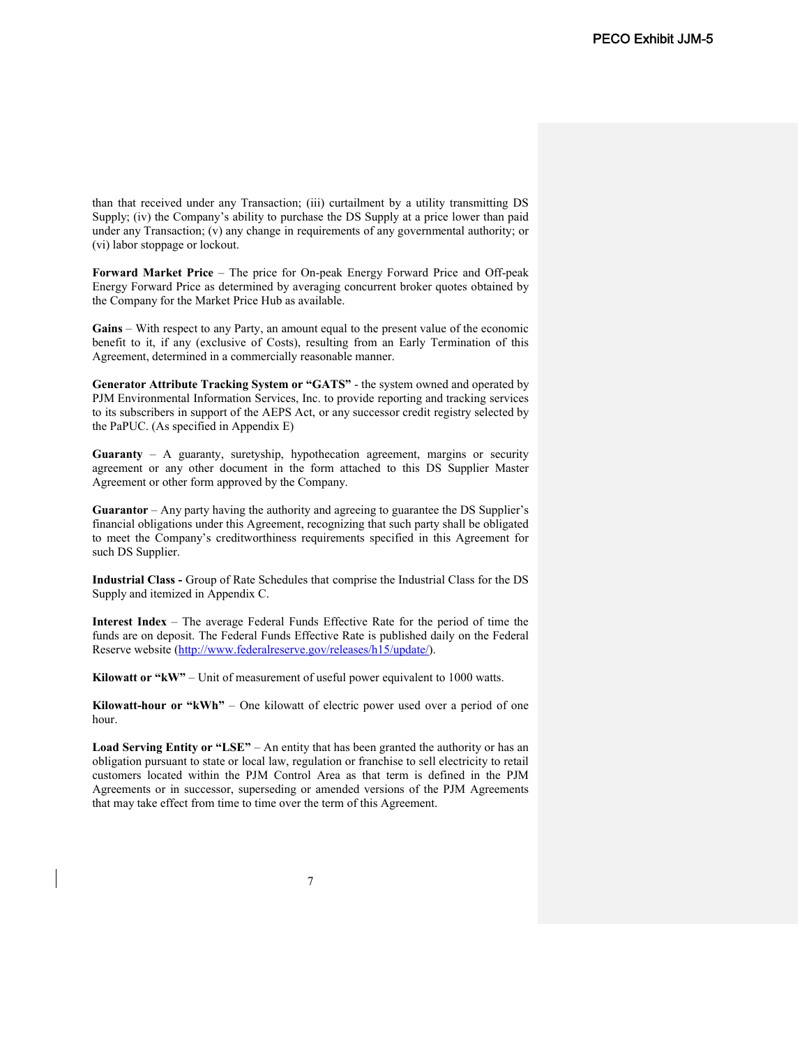than that received under any Transaction; (iii) curtailment by a utility transmitting DS Supply; (iv) the Company's ability to purchase the DS Supply at a price lower than paid under any Transaction; (v) any change in requirements of any governmental authority; or (vi) labor stoppage or lockout.

**Forward Market Price** – The price for On-peak Energy Forward Price and Off-peak Energy Forward Price as determined by averaging concurrent broker quotes obtained by the Company for the Market Price Hub as available.

**Gains** – With respect to any Party, an amount equal to the present value of the economic benefit to it, if any (exclusive of Costs), resulting from an Early Termination of this Agreement, determined in a commercially reasonable manner.

**Generator Attribute Tracking System or "GATS"** - the system owned and operated by PJM Environmental Information Services, Inc. to provide reporting and tracking services to its subscribers in support of the AEPS Act, or any successor credit registry selected by the PaPUC. (As specified in Appendix E)

**Guaranty** – A guaranty, suretyship, hypothecation agreement, margins or security agreement or any other document in the form attached to this DS Supplier Master Agreement or other form approved by the Company.

**Guarantor** – Any party having the authority and agreeing to guarantee the DS Supplier's financial obligations under this Agreement, recognizing that such party shall be obligated to meet the Company's creditworthiness requirements specified in this Agreement for such DS Supplier.

**Industrial Class -** Group of Rate Schedules that comprise the Industrial Class for the DS Supply and itemized in Appendix C.

**Interest Index** – The average Federal Funds Effective Rate for the period of time the funds are on deposit. The Federal Funds Effective Rate is published daily on the Federal Reserve website (http://www.federalreserve.gov/releases/h15/update/).

**Kilowatt or "kW"** – Unit of measurement of useful power equivalent to 1000 watts.

**Kilowatt-hour or "kWh"** – One kilowatt of electric power used over a period of one hour.

**Load Serving Entity or "LSE"** – An entity that has been granted the authority or has an obligation pursuant to state or local law, regulation or franchise to sell electricity to retail customers located within the PJM Control Area as that term is defined in the PJM Agreements or in successor, superseding or amended versions of the PJM Agreements that may take effect from time to time over the term of this Agreement.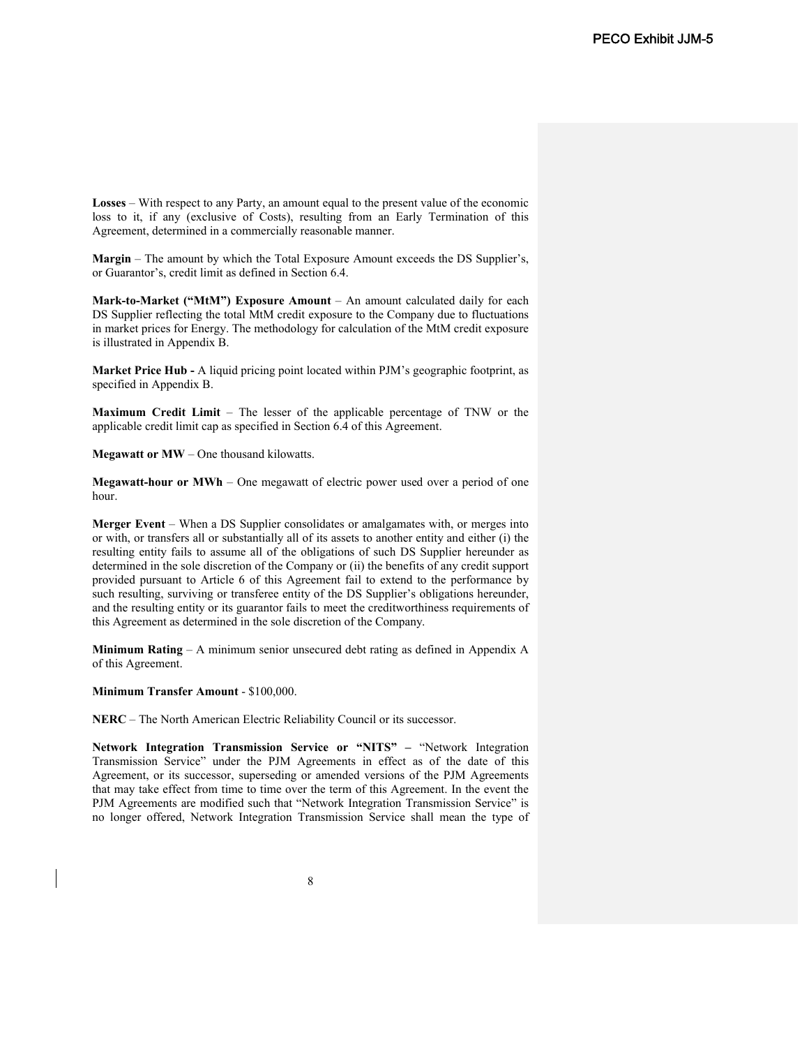**Losses** – With respect to any Party, an amount equal to the present value of the economic loss to it, if any (exclusive of Costs), resulting from an Early Termination of this Agreement, determined in a commercially reasonable manner.

**Margin** – The amount by which the Total Exposure Amount exceeds the DS Supplier's, or Guarantor's, credit limit as defined in Section 6.4.

**Mark-to-Market ("MtM") Exposure Amount** – An amount calculated daily for each DS Supplier reflecting the total MtM credit exposure to the Company due to fluctuations in market prices for Energy. The methodology for calculation of the MtM credit exposure is illustrated in Appendix B.

**Market Price Hub -** A liquid pricing point located within PJM's geographic footprint, as specified in Appendix B.

**Maximum Credit Limit** – The lesser of the applicable percentage of TNW or the applicable credit limit cap as specified in Section 6.4 of this Agreement.

**Megawatt or MW** – One thousand kilowatts.

**Megawatt-hour or MWh** – One megawatt of electric power used over a period of one hour.

**Merger Event** – When a DS Supplier consolidates or amalgamates with, or merges into or with, or transfers all or substantially all of its assets to another entity and either (i) the resulting entity fails to assume all of the obligations of such DS Supplier hereunder as determined in the sole discretion of the Company or (ii) the benefits of any credit support provided pursuant to Article 6 of this Agreement fail to extend to the performance by such resulting, surviving or transferee entity of the DS Supplier's obligations hereunder, and the resulting entity or its guarantor fails to meet the creditworthiness requirements of this Agreement as determined in the sole discretion of the Company.

**Minimum Rating** – A minimum senior unsecured debt rating as defined in Appendix A of this Agreement.

**Minimum Transfer Amount** - \$100,000.

**NERC** – The North American Electric Reliability Council or its successor.

**Network Integration Transmission Service or "NITS" –** "Network Integration Transmission Service" under the PJM Agreements in effect as of the date of this Agreement, or its successor, superseding or amended versions of the PJM Agreements that may take effect from time to time over the term of this Agreement. In the event the PJM Agreements are modified such that "Network Integration Transmission Service" is no longer offered, Network Integration Transmission Service shall mean the type of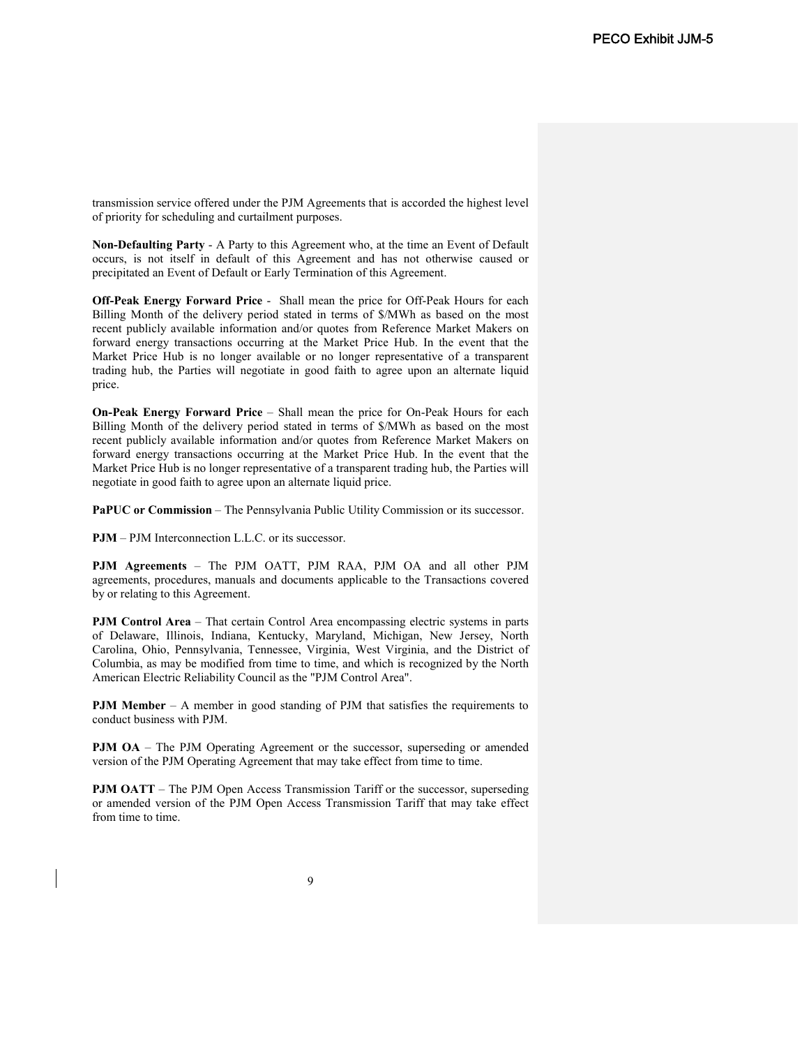transmission service offered under the PJM Agreements that is accorded the highest level of priority for scheduling and curtailment purposes.

**Non-Defaulting Party** - A Party to this Agreement who, at the time an Event of Default occurs, is not itself in default of this Agreement and has not otherwise caused or precipitated an Event of Default or Early Termination of this Agreement.

**Off-Peak Energy Forward Price** - Shall mean the price for Off-Peak Hours for each Billing Month of the delivery period stated in terms of \$/MWh as based on the most recent publicly available information and/or quotes from Reference Market Makers on forward energy transactions occurring at the Market Price Hub. In the event that the Market Price Hub is no longer available or no longer representative of a transparent trading hub, the Parties will negotiate in good faith to agree upon an alternate liquid price.

**On-Peak Energy Forward Price** – Shall mean the price for On-Peak Hours for each Billing Month of the delivery period stated in terms of \$/MWh as based on the most recent publicly available information and/or quotes from Reference Market Makers on forward energy transactions occurring at the Market Price Hub. In the event that the Market Price Hub is no longer representative of a transparent trading hub, the Parties will negotiate in good faith to agree upon an alternate liquid price.

**PaPUC or Commission** – The Pennsylvania Public Utility Commission or its successor.

**PJM** – PJM Interconnection L.L.C. or its successor.

**PJM Agreements** – The PJM OATT, PJM RAA, PJM OA and all other PJM agreements, procedures, manuals and documents applicable to the Transactions covered by or relating to this Agreement.

**PJM Control Area** – That certain Control Area encompassing electric systems in parts of Delaware, Illinois, Indiana, Kentucky, Maryland, Michigan, New Jersey, North Carolina, Ohio, Pennsylvania, Tennessee, Virginia, West Virginia, and the District of Columbia, as may be modified from time to time, and which is recognized by the North American Electric Reliability Council as the "PJM Control Area".

**PJM Member** – A member in good standing of PJM that satisfies the requirements to conduct business with PJM.

**PJM OA** – The PJM Operating Agreement or the successor, superseding or amended version of the PJM Operating Agreement that may take effect from time to time.

**PJM OATT** – The PJM Open Access Transmission Tariff or the successor, superseding or amended version of the PJM Open Access Transmission Tariff that may take effect from time to time.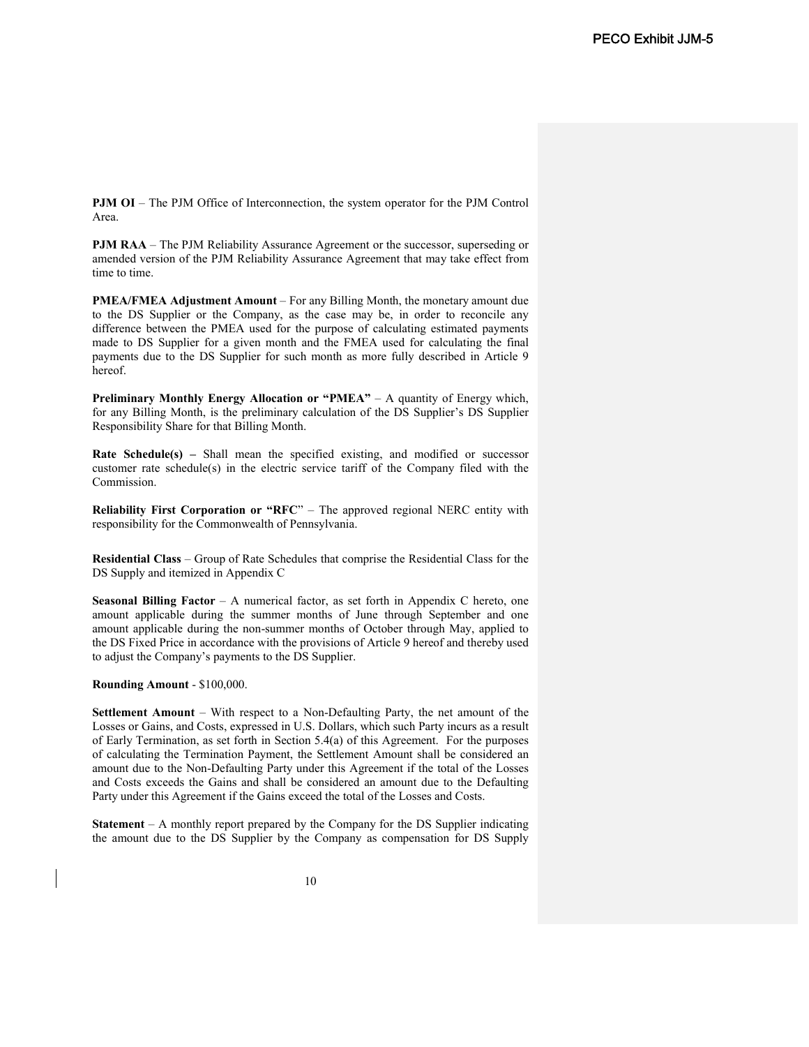**PJM OI** – The PJM Office of Interconnection, the system operator for the PJM Control Area.

**PJM RAA** – The PJM Reliability Assurance Agreement or the successor, superseding or amended version of the PJM Reliability Assurance Agreement that may take effect from time to time.

**PMEA/FMEA Adjustment Amount** – For any Billing Month, the monetary amount due to the DS Supplier or the Company, as the case may be, in order to reconcile any difference between the PMEA used for the purpose of calculating estimated payments made to DS Supplier for a given month and the FMEA used for calculating the final payments due to the DS Supplier for such month as more fully described in Article 9 hereof.

**Preliminary Monthly Energy Allocation or "PMEA"** – A quantity of Energy which, for any Billing Month, is the preliminary calculation of the DS Supplier's DS Supplier Responsibility Share for that Billing Month.

**Rate Schedule(s)** – Shall mean the specified existing, and modified or successor customer rate schedule(s) in the electric service tariff of the Company filed with the Commission.

**Reliability First Corporation or "RFC"** – The approved regional NERC entity with responsibility for the Commonwealth of Pennsylvania.

**Residential Class** – Group of Rate Schedules that comprise the Residential Class for the DS Supply and itemized in Appendix C

**Seasonal Billing Factor** – A numerical factor, as set forth in Appendix C hereto, one amount applicable during the summer months of June through September and one amount applicable during the non-summer months of October through May, applied to the DS Fixed Price in accordance with the provisions of Article 9 hereof and thereby used to adjust the Company's payments to the DS Supplier.

#### **Rounding Amount** - \$100,000.

**Settlement Amount** – With respect to a Non-Defaulting Party, the net amount of the Losses or Gains, and Costs, expressed in U.S. Dollars, which such Party incurs as a result of Early Termination, as set forth in Section 5.4(a) of this Agreement. For the purposes of calculating the Termination Payment, the Settlement Amount shall be considered an amount due to the Non-Defaulting Party under this Agreement if the total of the Losses and Costs exceeds the Gains and shall be considered an amount due to the Defaulting Party under this Agreement if the Gains exceed the total of the Losses and Costs.

**Statement** – A monthly report prepared by the Company for the DS Supplier indicating the amount due to the DS Supplier by the Company as compensation for DS Supply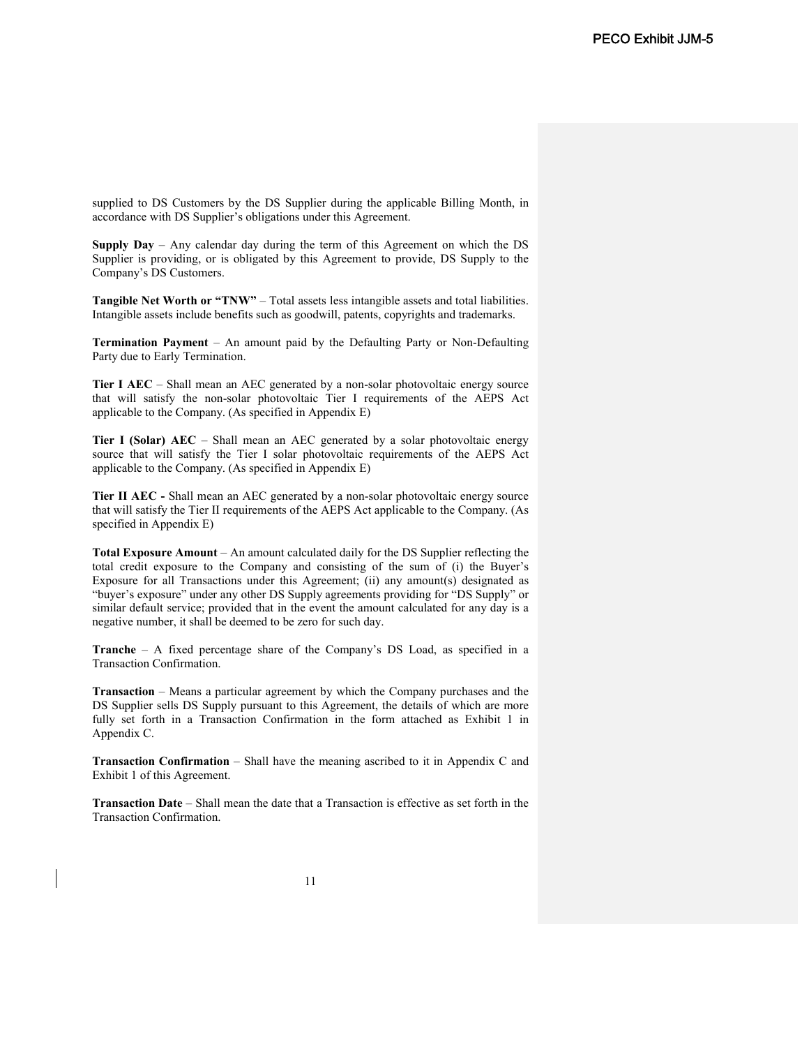supplied to DS Customers by the DS Supplier during the applicable Billing Month, in accordance with DS Supplier's obligations under this Agreement.

**Supply Day** – Any calendar day during the term of this Agreement on which the DS Supplier is providing, or is obligated by this Agreement to provide, DS Supply to the Company's DS Customers.

**Tangible Net Worth or "TNW"** – Total assets less intangible assets and total liabilities. Intangible assets include benefits such as goodwill, patents, copyrights and trademarks.

**Termination Payment** – An amount paid by the Defaulting Party or Non-Defaulting Party due to Early Termination.

**Tier I AEC** – Shall mean an AEC generated by a non-solar photovoltaic energy source that will satisfy the non-solar photovoltaic Tier I requirements of the AEPS Act applicable to the Company. (As specified in Appendix E)

**Tier I (Solar) AEC** – Shall mean an AEC generated by a solar photovoltaic energy source that will satisfy the Tier I solar photovoltaic requirements of the AEPS Act applicable to the Company. (As specified in Appendix E)

**Tier II AEC -** Shall mean an AEC generated by a non-solar photovoltaic energy source that will satisfy the Tier II requirements of the AEPS Act applicable to the Company. (As specified in Appendix E)

**Total Exposure Amount** – An amount calculated daily for the DS Supplier reflecting the total credit exposure to the Company and consisting of the sum of (i) the Buyer's Exposure for all Transactions under this Agreement; (ii) any amount(s) designated as "buyer's exposure" under any other DS Supply agreements providing for "DS Supply" or similar default service; provided that in the event the amount calculated for any day is a negative number, it shall be deemed to be zero for such day.

**Tranche** – A fixed percentage share of the Company's DS Load, as specified in a Transaction Confirmation.

**Transaction** – Means a particular agreement by which the Company purchases and the DS Supplier sells DS Supply pursuant to this Agreement, the details of which are more fully set forth in a Transaction Confirmation in the form attached as Exhibit 1 in Appendix C.

**Transaction Confirmation** – Shall have the meaning ascribed to it in Appendix C and Exhibit 1 of this Agreement.

**Transaction Date** – Shall mean the date that a Transaction is effective as set forth in the Transaction Confirmation.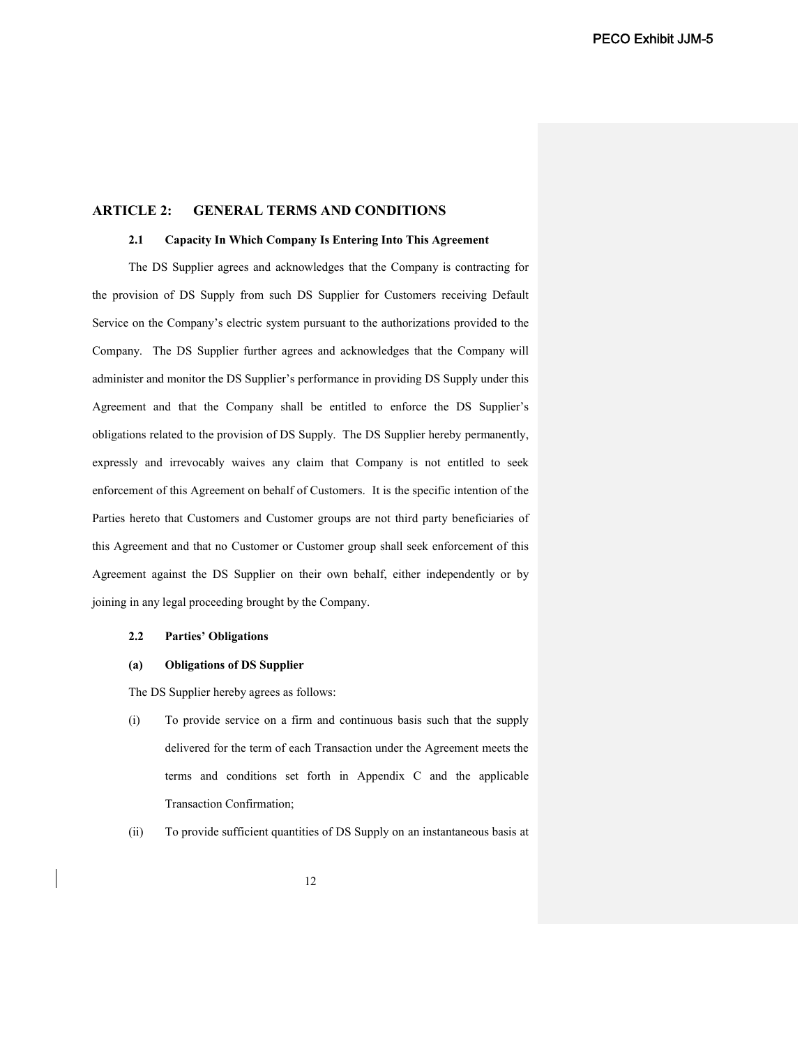# **ARTICLE 2: GENERAL TERMS AND CONDITIONS**

#### **2.1 Capacity In Which Company Is Entering Into This Agreement**

The DS Supplier agrees and acknowledges that the Company is contracting for the provision of DS Supply from such DS Supplier for Customers receiving Default Service on the Company's electric system pursuant to the authorizations provided to the Company. The DS Supplier further agrees and acknowledges that the Company will administer and monitor the DS Supplier's performance in providing DS Supply under this Agreement and that the Company shall be entitled to enforce the DS Supplier's obligations related to the provision of DS Supply. The DS Supplier hereby permanently, expressly and irrevocably waives any claim that Company is not entitled to seek enforcement of this Agreement on behalf of Customers. It is the specific intention of the Parties hereto that Customers and Customer groups are not third party beneficiaries of this Agreement and that no Customer or Customer group shall seek enforcement of this Agreement against the DS Supplier on their own behalf, either independently or by joining in any legal proceeding brought by the Company.

#### **2.2 Parties' Obligations**

## **(a) Obligations of DS Supplier**

The DS Supplier hereby agrees as follows:

- (i) To provide service on a firm and continuous basis such that the supply delivered for the term of each Transaction under the Agreement meets the terms and conditions set forth in Appendix C and the applicable Transaction Confirmation;
- (ii) To provide sufficient quantities of DS Supply on an instantaneous basis at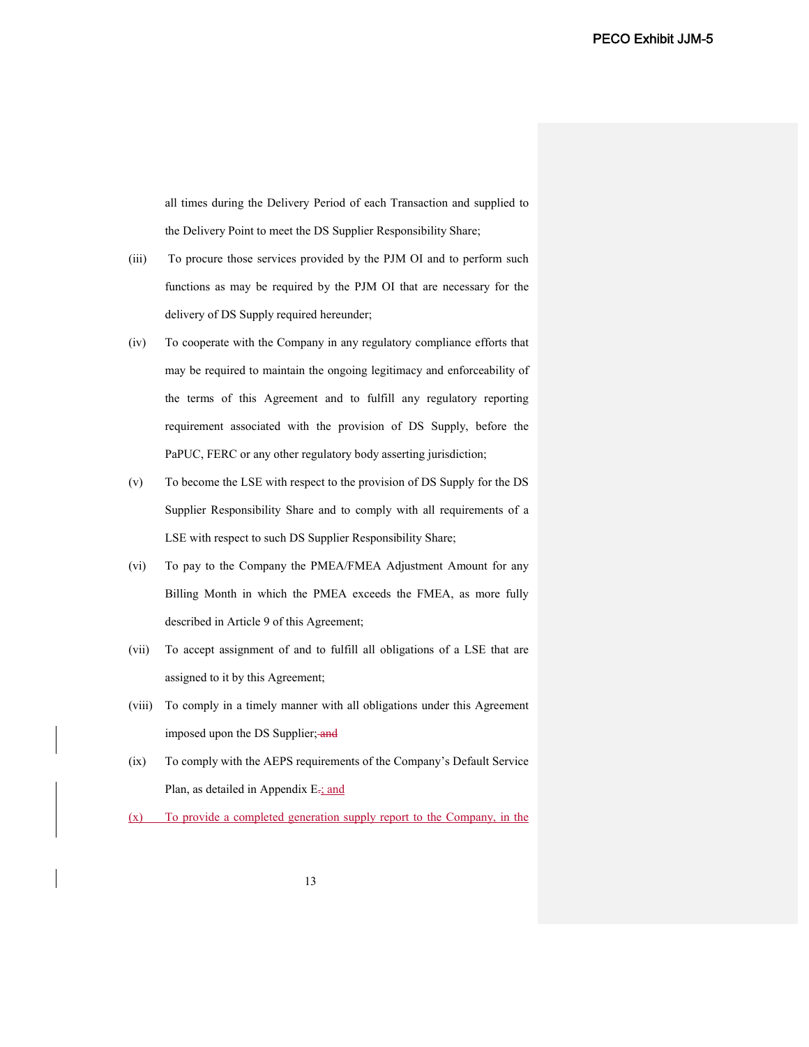all times during the Delivery Period of each Transaction and supplied to the Delivery Point to meet the DS Supplier Responsibility Share;

- (iii) To procure those services provided by the PJM OI and to perform such functions as may be required by the PJM OI that are necessary for the delivery of DS Supply required hereunder;
- (iv) To cooperate with the Company in any regulatory compliance efforts that may be required to maintain the ongoing legitimacy and enforceability of the terms of this Agreement and to fulfill any regulatory reporting requirement associated with the provision of DS Supply, before the PaPUC, FERC or any other regulatory body asserting jurisdiction;
- (v) To become the LSE with respect to the provision of DS Supply for the DS Supplier Responsibility Share and to comply with all requirements of a LSE with respect to such DS Supplier Responsibility Share;
- (vi) To pay to the Company the PMEA/FMEA Adjustment Amount for any Billing Month in which the PMEA exceeds the FMEA, as more fully described in Article 9 of this Agreement;
- (vii) To accept assignment of and to fulfill all obligations of a LSE that are assigned to it by this Agreement;
- (viii) To comply in a timely manner with all obligations under this Agreement imposed upon the DS Supplier; and
- (ix) To comply with the AEPS requirements of the Company's Default Service Plan, as detailed in Appendix E-; and
- (x) To provide a completed generation supply report to the Company, in the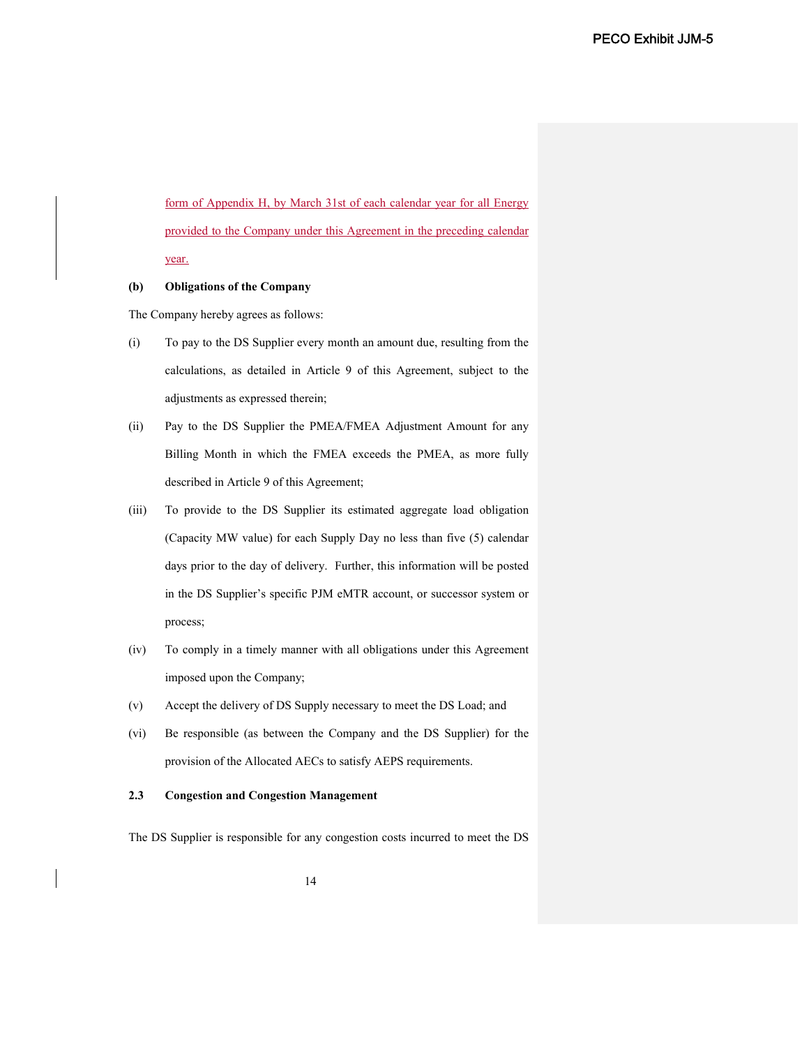form of Appendix H, by March 31st of each calendar year for all Energy provided to the Company under this Agreement in the preceding calendar year.

## **(b) Obligations of the Company**

The Company hereby agrees as follows:

- (i) To pay to the DS Supplier every month an amount due, resulting from the calculations, as detailed in Article 9 of this Agreement, subject to the adjustments as expressed therein;
- (ii) Pay to the DS Supplier the PMEA/FMEA Adjustment Amount for any Billing Month in which the FMEA exceeds the PMEA, as more fully described in Article 9 of this Agreement;
- (iii) To provide to the DS Supplier its estimated aggregate load obligation (Capacity MW value) for each Supply Day no less than five (5) calendar days prior to the day of delivery. Further, this information will be posted in the DS Supplier's specific PJM eMTR account, or successor system or process;
- (iv) To comply in a timely manner with all obligations under this Agreement imposed upon the Company;
- (v) Accept the delivery of DS Supply necessary to meet the DS Load; and
- (vi) Be responsible (as between the Company and the DS Supplier) for the provision of the Allocated AECs to satisfy AEPS requirements.

#### **2.3 Congestion and Congestion Management**

The DS Supplier is responsible for any congestion costs incurred to meet the DS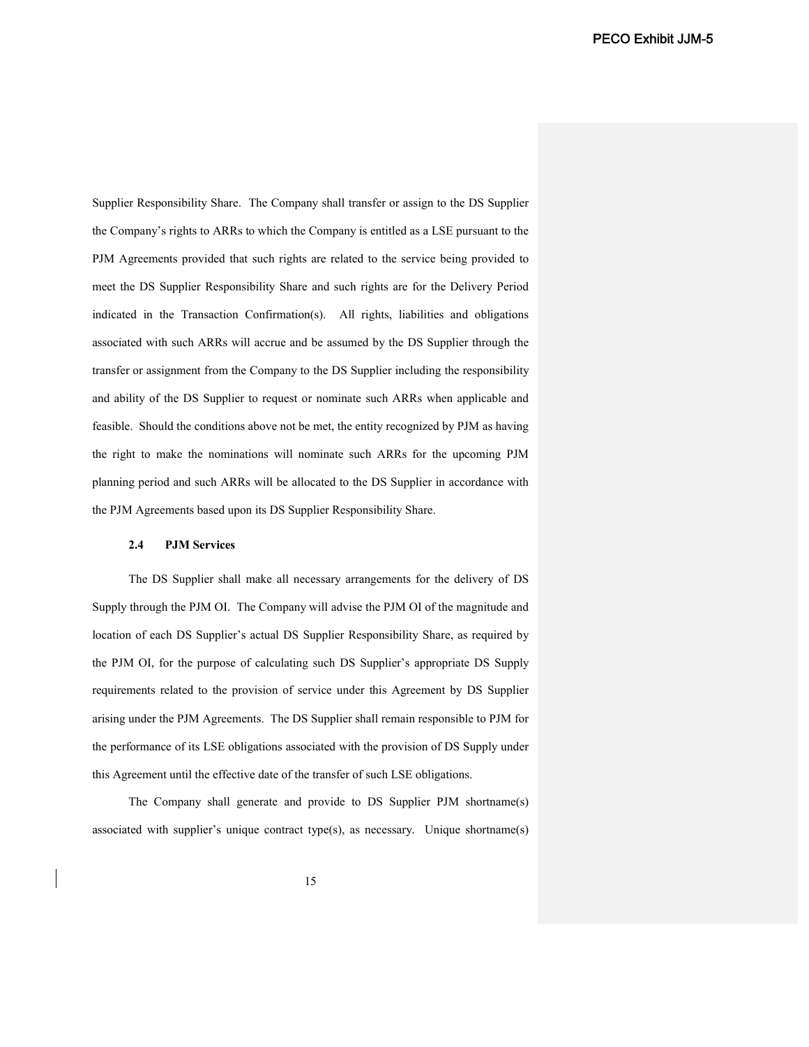Supplier Responsibility Share. The Company shall transfer or assign to the DS Supplier the Company's rights to ARRs to which the Company is entitled as a LSE pursuant to the PJM Agreements provided that such rights are related to the service being provided to meet the DS Supplier Responsibility Share and such rights are for the Delivery Period indicated in the Transaction Confirmation(s). All rights, liabilities and obligations associated with such ARRs will accrue and be assumed by the DS Supplier through the transfer or assignment from the Company to the DS Supplier including the responsibility and ability of the DS Supplier to request or nominate such ARRs when applicable and feasible. Should the conditions above not be met, the entity recognized by PJM as having the right to make the nominations will nominate such ARRs for the upcoming PJM planning period and such ARRs will be allocated to the DS Supplier in accordance with the PJM Agreements based upon its DS Supplier Responsibility Share.

### **2.4 PJM Services**

The DS Supplier shall make all necessary arrangements for the delivery of DS Supply through the PJM OI. The Company will advise the PJM OI of the magnitude and location of each DS Supplier's actual DS Supplier Responsibility Share, as required by the PJM OI, for the purpose of calculating such DS Supplier's appropriate DS Supply requirements related to the provision of service under this Agreement by DS Supplier arising under the PJM Agreements. The DS Supplier shall remain responsible to PJM for the performance of its LSE obligations associated with the provision of DS Supply under this Agreement until the effective date of the transfer of such LSE obligations.

The Company shall generate and provide to DS Supplier PJM shortname(s) associated with supplier's unique contract type(s), as necessary. Unique shortname(s)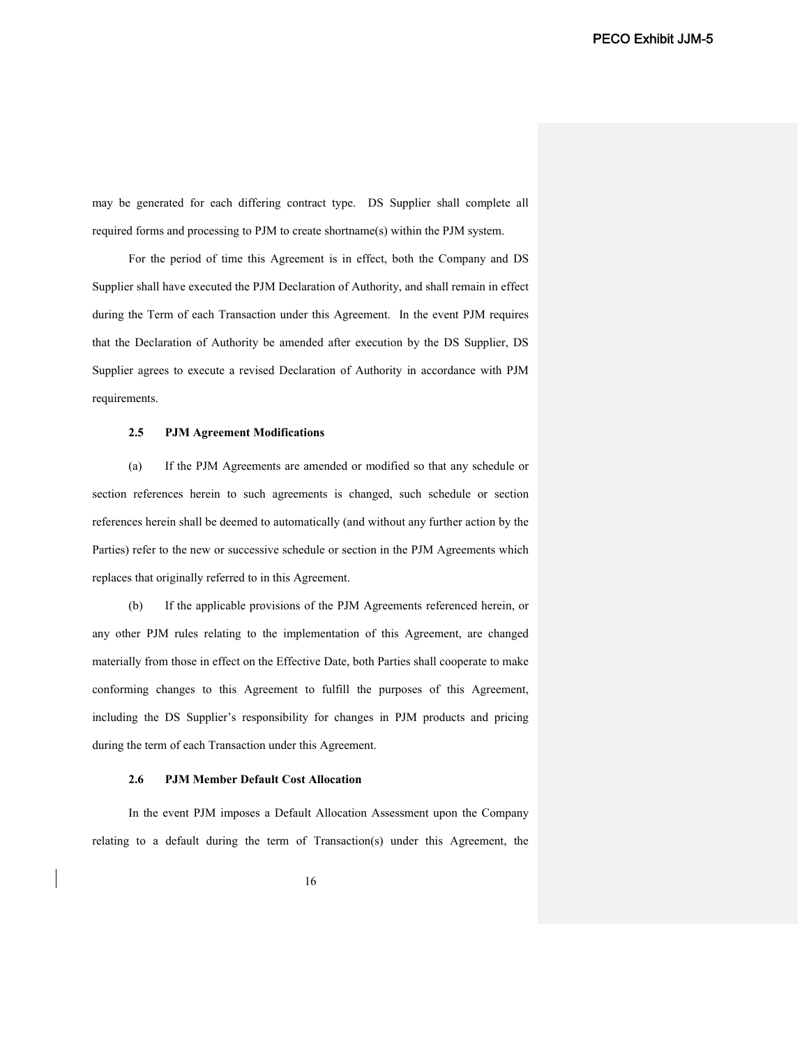may be generated for each differing contract type. DS Supplier shall complete all required forms and processing to PJM to create shortname(s) within the PJM system.

For the period of time this Agreement is in effect, both the Company and DS Supplier shall have executed the PJM Declaration of Authority, and shall remain in effect during the Term of each Transaction under this Agreement. In the event PJM requires that the Declaration of Authority be amended after execution by the DS Supplier, DS Supplier agrees to execute a revised Declaration of Authority in accordance with PJM requirements.

#### **2.5 PJM Agreement Modifications**

(a) If the PJM Agreements are amended or modified so that any schedule or section references herein to such agreements is changed, such schedule or section references herein shall be deemed to automatically (and without any further action by the Parties) refer to the new or successive schedule or section in the PJM Agreements which replaces that originally referred to in this Agreement.

(b) If the applicable provisions of the PJM Agreements referenced herein, or any other PJM rules relating to the implementation of this Agreement, are changed materially from those in effect on the Effective Date, both Parties shall cooperate to make conforming changes to this Agreement to fulfill the purposes of this Agreement, including the DS Supplier's responsibility for changes in PJM products and pricing during the term of each Transaction under this Agreement.

#### **2.6 PJM Member Default Cost Allocation**

In the event PJM imposes a Default Allocation Assessment upon the Company relating to a default during the term of Transaction(s) under this Agreement, the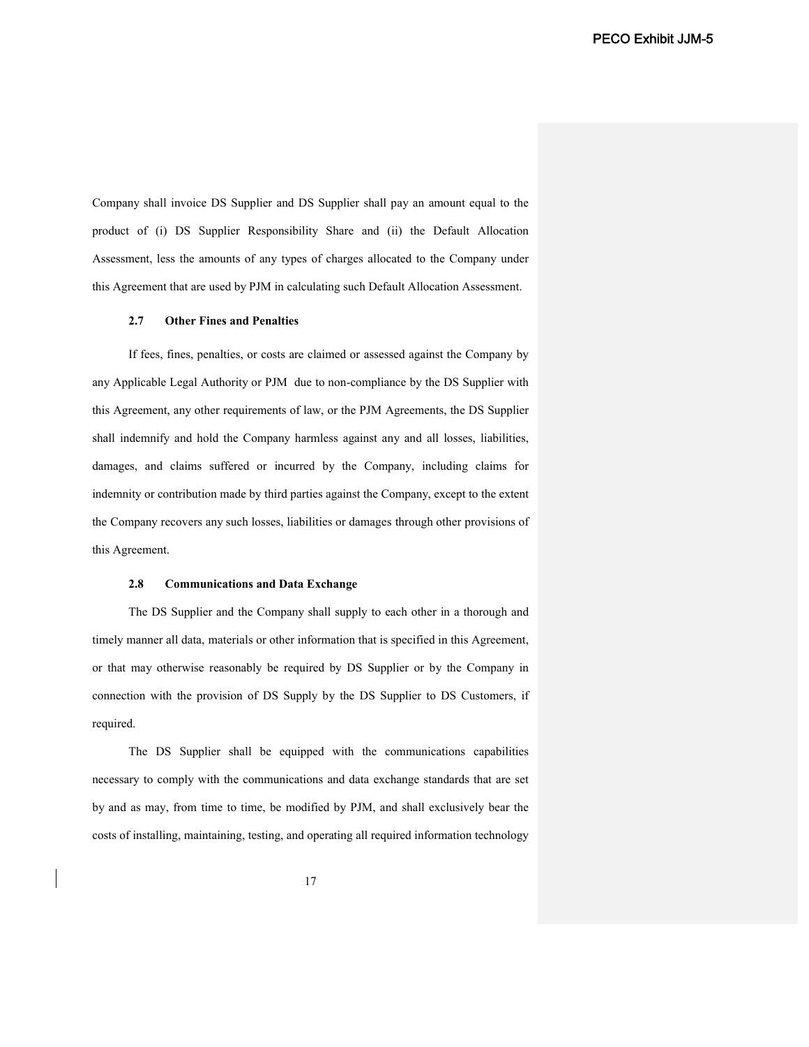Company shall invoice DS Supplier and DS Supplier shall pay an amount equal to the product of (i) DS Supplier Responsibility Share and (ii) the Default Allocation Assessment, less the amounts of any types of charges allocated to the Company under this Agreement that are used by PJM in calculating such Default Allocation Assessment.

### **2.7 Other Fines and Penalties**

If fees, fines, penalties, or costs are claimed or assessed against the Company by any Applicable Legal Authority or PJM due to non-compliance by the DS Supplier with this Agreement, any other requirements of law, or the PJM Agreements, the DS Supplier shall indemnify and hold the Company harmless against any and all losses, liabilities, damages, and claims suffered or incurred by the Company, including claims for indemnity or contribution made by third parties against the Company, except to the extent the Company recovers any such losses, liabilities or damages through other provisions of this Agreement.

#### **2.8 Communications and Data Exchange**

The DS Supplier and the Company shall supply to each other in a thorough and timely manner all data, materials or other information that is specified in this Agreement, or that may otherwise reasonably be required by DS Supplier or by the Company in connection with the provision of DS Supply by the DS Supplier to DS Customers, if required.

The DS Supplier shall be equipped with the communications capabilities necessary to comply with the communications and data exchange standards that are set by and as may, from time to time, be modified by PJM, and shall exclusively bear the costs of installing, maintaining, testing, and operating all required information technology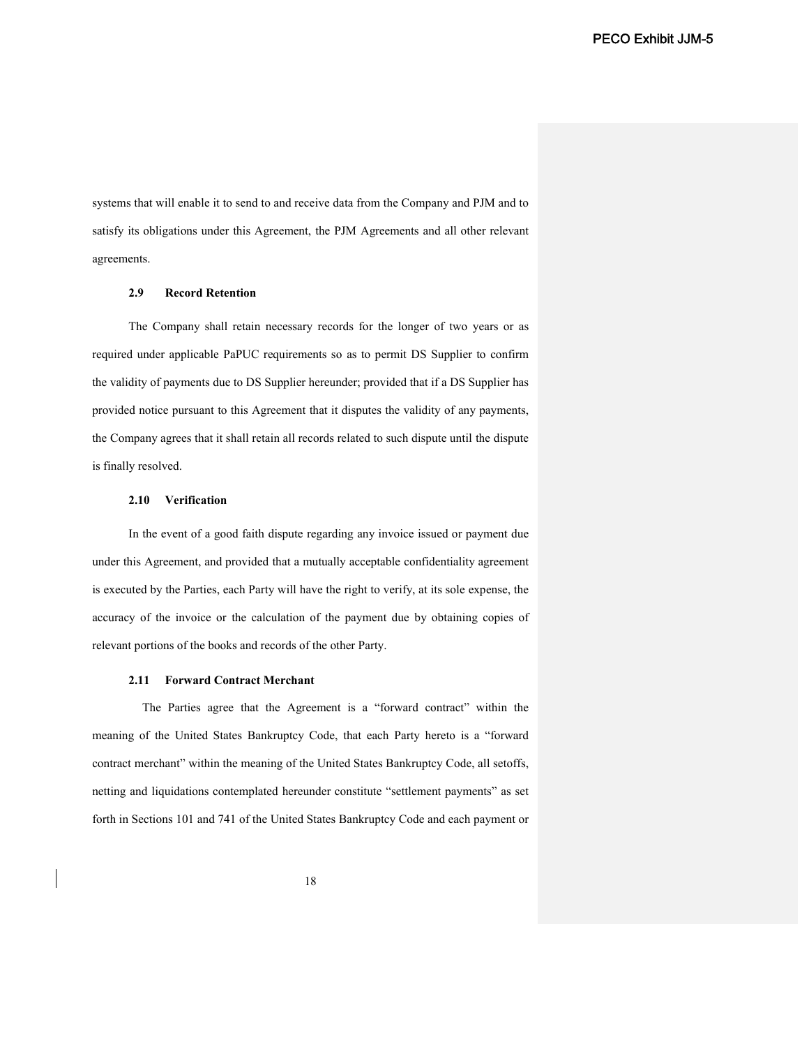systems that will enable it to send to and receive data from the Company and PJM and to satisfy its obligations under this Agreement, the PJM Agreements and all other relevant agreements.

## **2.9 Record Retention**

The Company shall retain necessary records for the longer of two years or as required under applicable PaPUC requirements so as to permit DS Supplier to confirm the validity of payments due to DS Supplier hereunder; provided that if a DS Supplier has provided notice pursuant to this Agreement that it disputes the validity of any payments, the Company agrees that it shall retain all records related to such dispute until the dispute is finally resolved.

## **2.10 Verification**

In the event of a good faith dispute regarding any invoice issued or payment due under this Agreement, and provided that a mutually acceptable confidentiality agreement is executed by the Parties, each Party will have the right to verify, at its sole expense, the accuracy of the invoice or the calculation of the payment due by obtaining copies of relevant portions of the books and records of the other Party.

#### **2.11 Forward Contract Merchant**

The Parties agree that the Agreement is a "forward contract" within the meaning of the United States Bankruptcy Code, that each Party hereto is a "forward contract merchant" within the meaning of the United States Bankruptcy Code, all setoffs, netting and liquidations contemplated hereunder constitute "settlement payments" as set forth in Sections 101 and 741 of the United States Bankruptcy Code and each payment or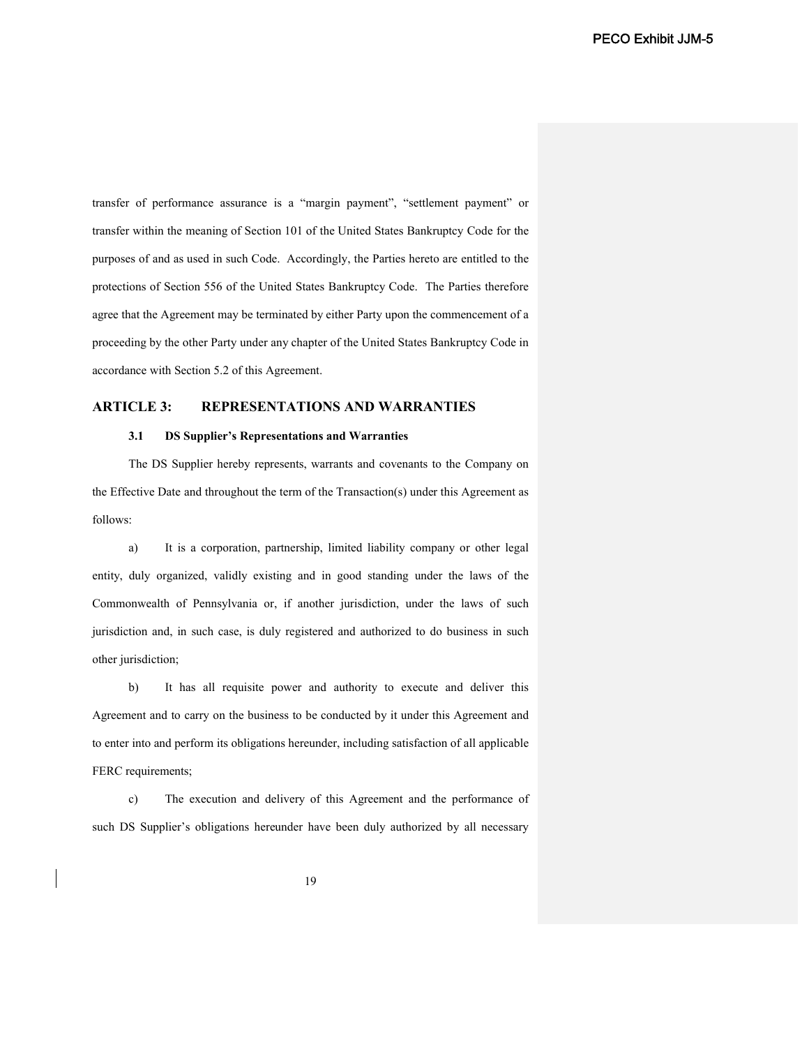transfer of performance assurance is a "margin payment", "settlement payment" or transfer within the meaning of Section 101 of the United States Bankruptcy Code for the purposes of and as used in such Code. Accordingly, the Parties hereto are entitled to the protections of Section 556 of the United States Bankruptcy Code. The Parties therefore agree that the Agreement may be terminated by either Party upon the commencement of a proceeding by the other Party under any chapter of the United States Bankruptcy Code in accordance with Section 5.2 of this Agreement.

# **ARTICLE 3: REPRESENTATIONS AND WARRANTIES**

## **3.1 DS Supplier's Representations and Warranties**

The DS Supplier hereby represents, warrants and covenants to the Company on the Effective Date and throughout the term of the Transaction(s) under this Agreement as follows:

a) It is a corporation, partnership, limited liability company or other legal entity, duly organized, validly existing and in good standing under the laws of the Commonwealth of Pennsylvania or, if another jurisdiction, under the laws of such jurisdiction and, in such case, is duly registered and authorized to do business in such other jurisdiction;

b) It has all requisite power and authority to execute and deliver this Agreement and to carry on the business to be conducted by it under this Agreement and to enter into and perform its obligations hereunder, including satisfaction of all applicable FERC requirements;

c) The execution and delivery of this Agreement and the performance of such DS Supplier's obligations hereunder have been duly authorized by all necessary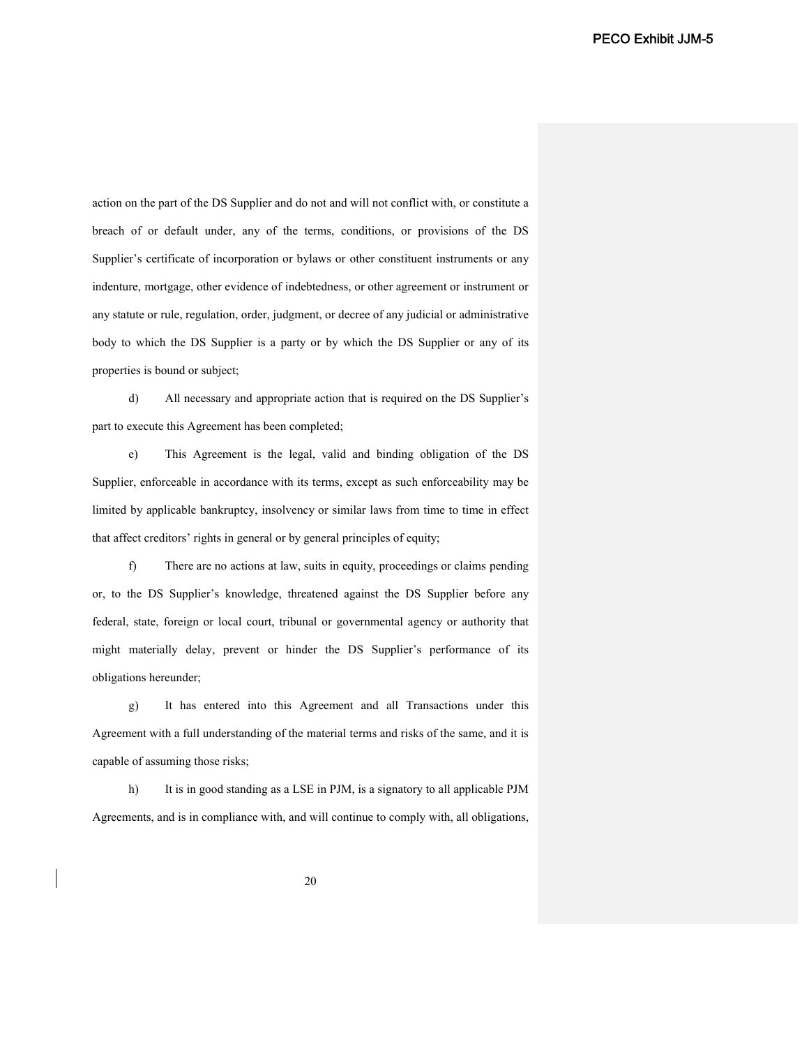action on the part of the DS Supplier and do not and will not conflict with, or constitute a breach of or default under, any of the terms, conditions, or provisions of the DS Supplier's certificate of incorporation or bylaws or other constituent instruments or any indenture, mortgage, other evidence of indebtedness, or other agreement or instrument or any statute or rule, regulation, order, judgment, or decree of any judicial or administrative body to which the DS Supplier is a party or by which the DS Supplier or any of its properties is bound or subject;

d) All necessary and appropriate action that is required on the DS Supplier's part to execute this Agreement has been completed;

e) This Agreement is the legal, valid and binding obligation of the DS Supplier, enforceable in accordance with its terms, except as such enforceability may be limited by applicable bankruptcy, insolvency or similar laws from time to time in effect that affect creditors' rights in general or by general principles of equity;

f) There are no actions at law, suits in equity, proceedings or claims pending or, to the DS Supplier's knowledge, threatened against the DS Supplier before any federal, state, foreign or local court, tribunal or governmental agency or authority that might materially delay, prevent or hinder the DS Supplier's performance of its obligations hereunder;

g) It has entered into this Agreement and all Transactions under this Agreement with a full understanding of the material terms and risks of the same, and it is capable of assuming those risks;

h) It is in good standing as a LSE in PJM, is a signatory to all applicable PJM Agreements, and is in compliance with, and will continue to comply with, all obligations,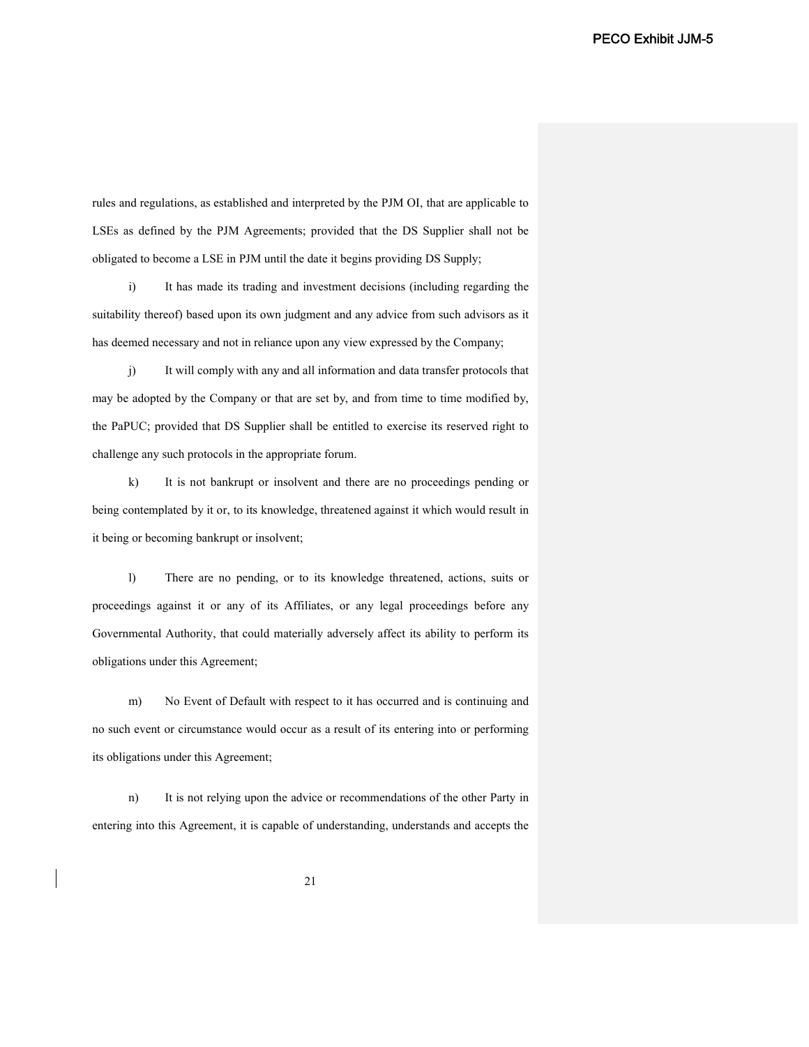rules and regulations, as established and interpreted by the PJM OI, that are applicable to LSEs as defined by the PJM Agreements; provided that the DS Supplier shall not be obligated to become a LSE in PJM until the date it begins providing DS Supply;

i) It has made its trading and investment decisions (including regarding the suitability thereof) based upon its own judgment and any advice from such advisors as it has deemed necessary and not in reliance upon any view expressed by the Company;

j) It will comply with any and all information and data transfer protocols that may be adopted by the Company or that are set by, and from time to time modified by, the PaPUC; provided that DS Supplier shall be entitled to exercise its reserved right to challenge any such protocols in the appropriate forum.

k) It is not bankrupt or insolvent and there are no proceedings pending or being contemplated by it or, to its knowledge, threatened against it which would result in it being or becoming bankrupt or insolvent;

l) There are no pending, or to its knowledge threatened, actions, suits or proceedings against it or any of its Affiliates, or any legal proceedings before any Governmental Authority, that could materially adversely affect its ability to perform its obligations under this Agreement;

m) No Event of Default with respect to it has occurred and is continuing and no such event or circumstance would occur as a result of its entering into or performing its obligations under this Agreement;

n) It is not relying upon the advice or recommendations of the other Party in entering into this Agreement, it is capable of understanding, understands and accepts the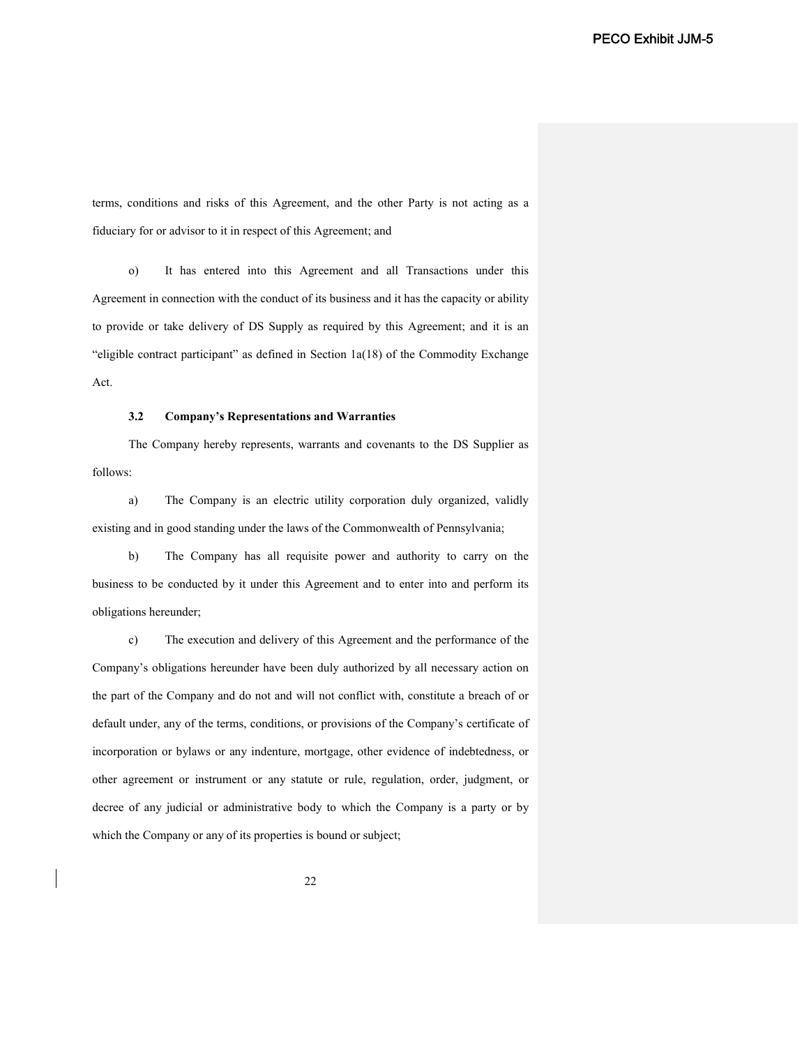terms, conditions and risks of this Agreement, and the other Party is not acting as a fiduciary for or advisor to it in respect of this Agreement; and

o) It has entered into this Agreement and all Transactions under this Agreement in connection with the conduct of its business and it has the capacity or ability to provide or take delivery of DS Supply as required by this Agreement; and it is an "eligible contract participant" as defined in Section 1a(18) of the Commodity Exchange Act.

## **3.2 Company's Representations and Warranties**

The Company hereby represents, warrants and covenants to the DS Supplier as follows:

a) The Company is an electric utility corporation duly organized, validly existing and in good standing under the laws of the Commonwealth of Pennsylvania;

b) The Company has all requisite power and authority to carry on the business to be conducted by it under this Agreement and to enter into and perform its obligations hereunder;

c) The execution and delivery of this Agreement and the performance of the Company's obligations hereunder have been duly authorized by all necessary action on the part of the Company and do not and will not conflict with, constitute a breach of or default under, any of the terms, conditions, or provisions of the Company's certificate of incorporation or bylaws or any indenture, mortgage, other evidence of indebtedness, or other agreement or instrument or any statute or rule, regulation, order, judgment, or decree of any judicial or administrative body to which the Company is a party or by which the Company or any of its properties is bound or subject;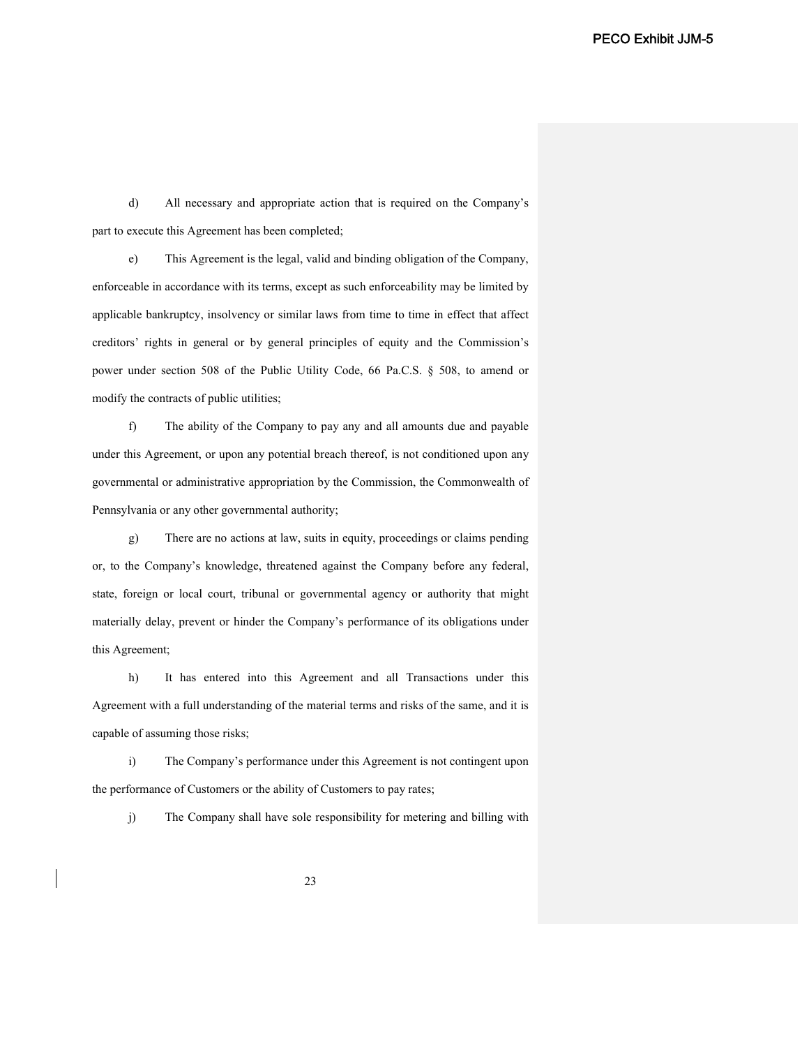d) All necessary and appropriate action that is required on the Company's part to execute this Agreement has been completed;

e) This Agreement is the legal, valid and binding obligation of the Company, enforceable in accordance with its terms, except as such enforceability may be limited by applicable bankruptcy, insolvency or similar laws from time to time in effect that affect creditors' rights in general or by general principles of equity and the Commission's power under section 508 of the Public Utility Code, 66 Pa.C.S. § 508, to amend or modify the contracts of public utilities;

f) The ability of the Company to pay any and all amounts due and payable under this Agreement, or upon any potential breach thereof, is not conditioned upon any governmental or administrative appropriation by the Commission, the Commonwealth of Pennsylvania or any other governmental authority;

g) There are no actions at law, suits in equity, proceedings or claims pending or, to the Company's knowledge, threatened against the Company before any federal, state, foreign or local court, tribunal or governmental agency or authority that might materially delay, prevent or hinder the Company's performance of its obligations under this Agreement;

h) It has entered into this Agreement and all Transactions under this Agreement with a full understanding of the material terms and risks of the same, and it is capable of assuming those risks;

i) The Company's performance under this Agreement is not contingent upon the performance of Customers or the ability of Customers to pay rates;

j) The Company shall have sole responsibility for metering and billing with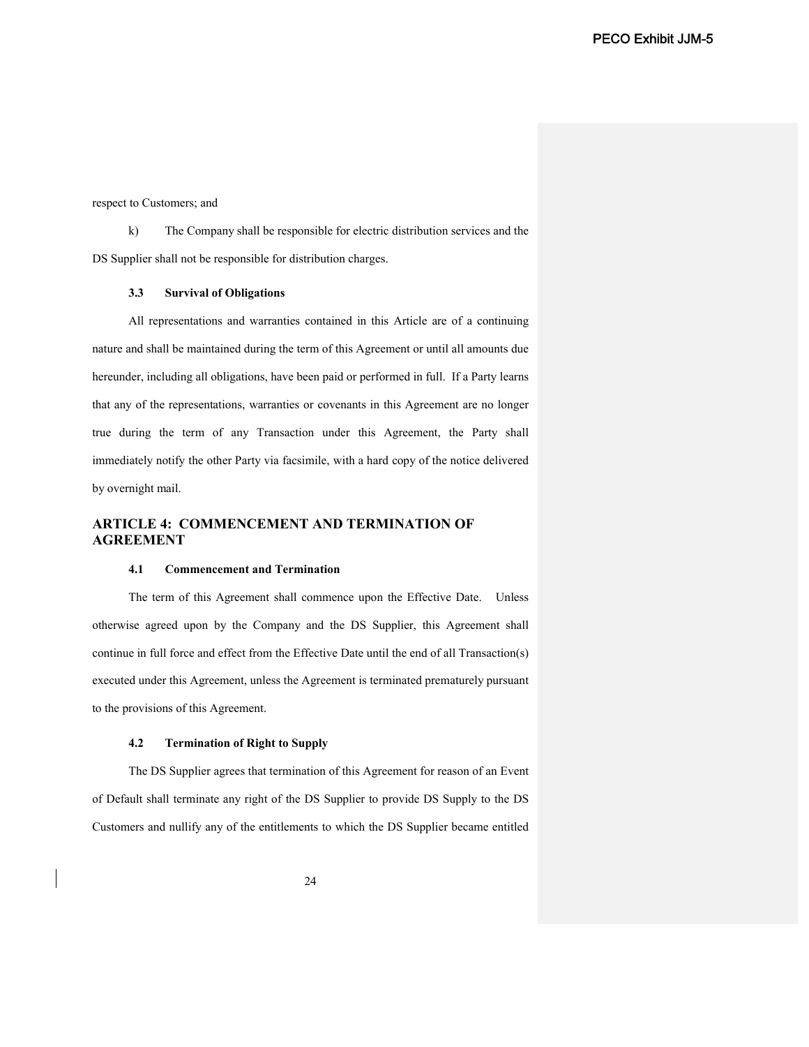respect to Customers; and

k) The Company shall be responsible for electric distribution services and the DS Supplier shall not be responsible for distribution charges.

#### **3.3 Survival of Obligations**

All representations and warranties contained in this Article are of a continuing nature and shall be maintained during the term of this Agreement or until all amounts due hereunder, including all obligations, have been paid or performed in full. If a Party learns that any of the representations, warranties or covenants in this Agreement are no longer true during the term of any Transaction under this Agreement, the Party shall immediately notify the other Party via facsimile, with a hard copy of the notice delivered by overnight mail.

# **ARTICLE 4: COMMENCEMENT AND TERMINATION OF AGREEMENT**

#### **4.1 Commencement and Termination**

The term of this Agreement shall commence upon the Effective Date. Unless otherwise agreed upon by the Company and the DS Supplier, this Agreement shall continue in full force and effect from the Effective Date until the end of all Transaction(s) executed under this Agreement, unless the Agreement is terminated prematurely pursuant to the provisions of this Agreement.

#### **4.2 Termination of Right to Supply**

The DS Supplier agrees that termination of this Agreement for reason of an Event of Default shall terminate any right of the DS Supplier to provide DS Supply to the DS Customers and nullify any of the entitlements to which the DS Supplier became entitled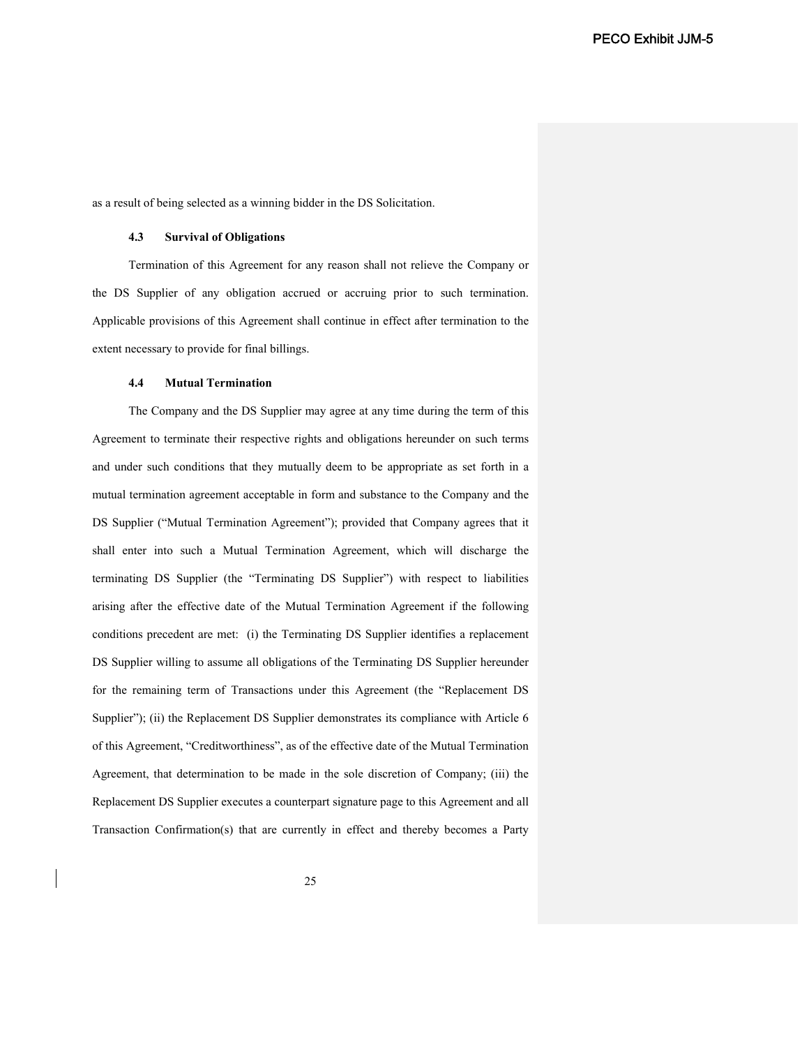as a result of being selected as a winning bidder in the DS Solicitation.

#### **4.3 Survival of Obligations**

Termination of this Agreement for any reason shall not relieve the Company or the DS Supplier of any obligation accrued or accruing prior to such termination. Applicable provisions of this Agreement shall continue in effect after termination to the extent necessary to provide for final billings.

#### **4.4 Mutual Termination**

The Company and the DS Supplier may agree at any time during the term of this Agreement to terminate their respective rights and obligations hereunder on such terms and under such conditions that they mutually deem to be appropriate as set forth in a mutual termination agreement acceptable in form and substance to the Company and the DS Supplier ("Mutual Termination Agreement"); provided that Company agrees that it shall enter into such a Mutual Termination Agreement, which will discharge the terminating DS Supplier (the "Terminating DS Supplier") with respect to liabilities arising after the effective date of the Mutual Termination Agreement if the following conditions precedent are met: (i) the Terminating DS Supplier identifies a replacement DS Supplier willing to assume all obligations of the Terminating DS Supplier hereunder for the remaining term of Transactions under this Agreement (the "Replacement DS Supplier"); (ii) the Replacement DS Supplier demonstrates its compliance with Article 6 of this Agreement, "Creditworthiness", as of the effective date of the Mutual Termination Agreement, that determination to be made in the sole discretion of Company; (iii) the Replacement DS Supplier executes a counterpart signature page to this Agreement and all Transaction Confirmation(s) that are currently in effect and thereby becomes a Party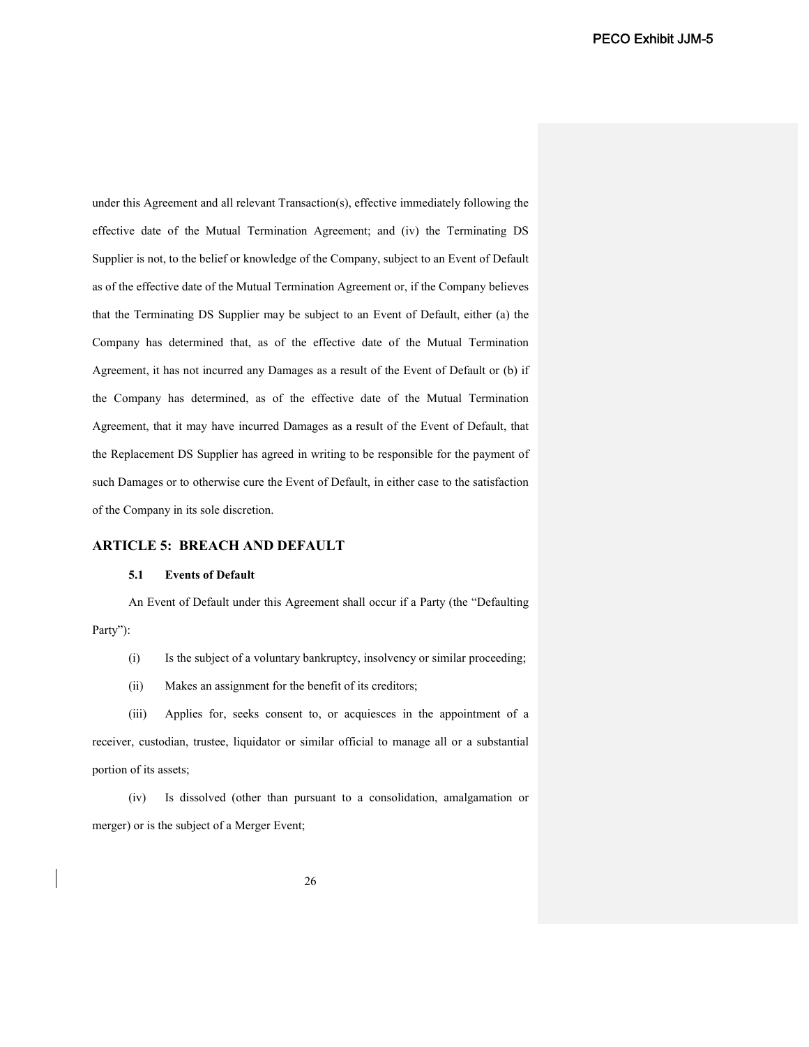under this Agreement and all relevant Transaction(s), effective immediately following the effective date of the Mutual Termination Agreement; and (iv) the Terminating DS Supplier is not, to the belief or knowledge of the Company, subject to an Event of Default as of the effective date of the Mutual Termination Agreement or, if the Company believes that the Terminating DS Supplier may be subject to an Event of Default, either (a) the Company has determined that, as of the effective date of the Mutual Termination Agreement, it has not incurred any Damages as a result of the Event of Default or (b) if the Company has determined, as of the effective date of the Mutual Termination Agreement, that it may have incurred Damages as a result of the Event of Default, that the Replacement DS Supplier has agreed in writing to be responsible for the payment of such Damages or to otherwise cure the Event of Default, in either case to the satisfaction of the Company in its sole discretion.

# **ARTICLE 5: BREACH AND DEFAULT**

### **5.1 Events of Default**

An Event of Default under this Agreement shall occur if a Party (the "Defaulting Party"):

- (i) Is the subject of a voluntary bankruptcy, insolvency or similar proceeding;
- (ii) Makes an assignment for the benefit of its creditors;

(iii) Applies for, seeks consent to, or acquiesces in the appointment of a receiver, custodian, trustee, liquidator or similar official to manage all or a substantial portion of its assets;

(iv) Is dissolved (other than pursuant to a consolidation, amalgamation or merger) or is the subject of a Merger Event;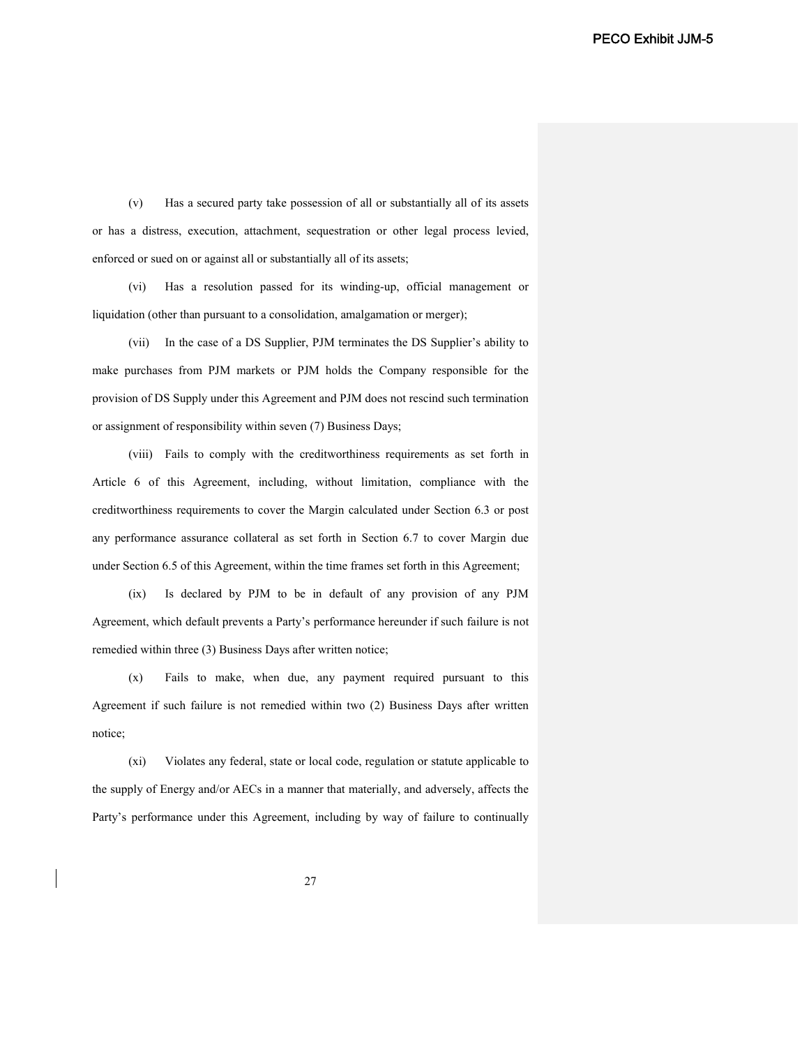(v) Has a secured party take possession of all or substantially all of its assets or has a distress, execution, attachment, sequestration or other legal process levied, enforced or sued on or against all or substantially all of its assets;

(vi) Has a resolution passed for its winding-up, official management or liquidation (other than pursuant to a consolidation, amalgamation or merger);

(vii) In the case of a DS Supplier, PJM terminates the DS Supplier's ability to make purchases from PJM markets or PJM holds the Company responsible for the provision of DS Supply under this Agreement and PJM does not rescind such termination or assignment of responsibility within seven (7) Business Days;

(viii) Fails to comply with the creditworthiness requirements as set forth in Article 6 of this Agreement, including, without limitation, compliance with the creditworthiness requirements to cover the Margin calculated under Section 6.3 or post any performance assurance collateral as set forth in Section 6.7 to cover Margin due under Section 6.5 of this Agreement, within the time frames set forth in this Agreement;

(ix) Is declared by PJM to be in default of any provision of any PJM Agreement, which default prevents a Party's performance hereunder if such failure is not remedied within three (3) Business Days after written notice;

(x) Fails to make, when due, any payment required pursuant to this Agreement if such failure is not remedied within two (2) Business Days after written notice;

(xi) Violates any federal, state or local code, regulation or statute applicable to the supply of Energy and/or AECs in a manner that materially, and adversely, affects the Party's performance under this Agreement, including by way of failure to continually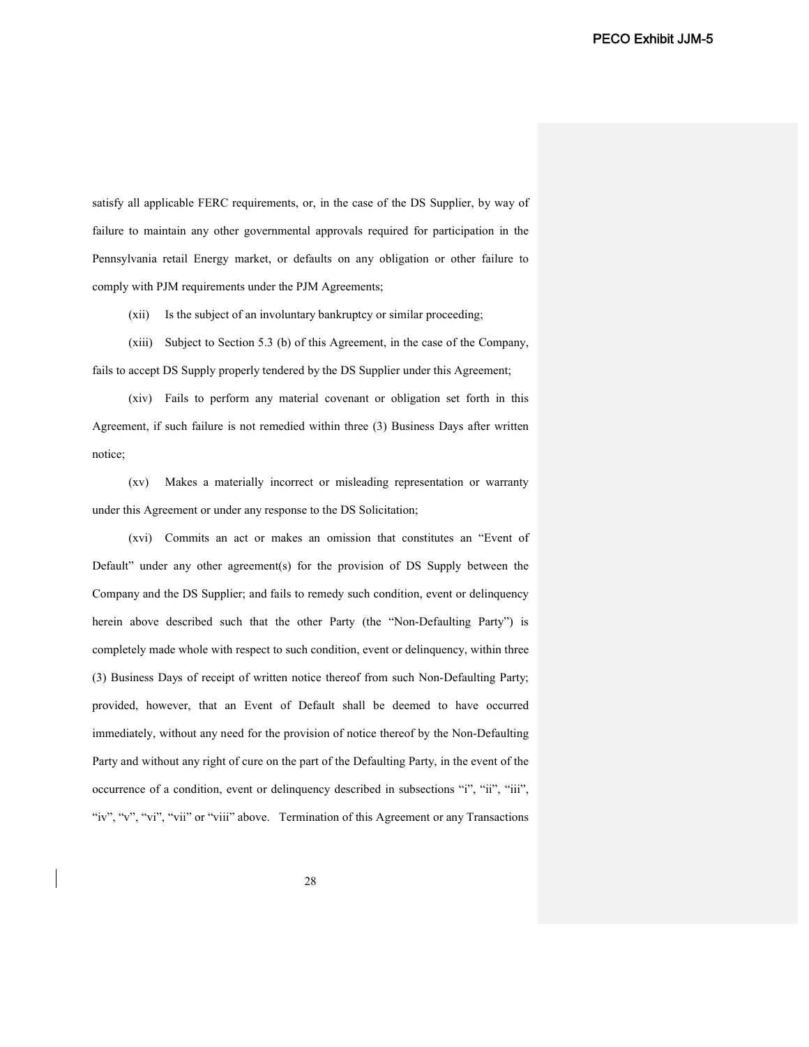satisfy all applicable FERC requirements, or, in the case of the DS Supplier, by way of failure to maintain any other governmental approvals required for participation in the Pennsylvania retail Energy market, or defaults on any obligation or other failure to comply with PJM requirements under the PJM Agreements;

(xii) Is the subject of an involuntary bankruptcy or similar proceeding;

(xiii) Subject to Section 5.3 (b) of this Agreement, in the case of the Company, fails to accept DS Supply properly tendered by the DS Supplier under this Agreement;

(xiv) Fails to perform any material covenant or obligation set forth in this Agreement, if such failure is not remedied within three (3) Business Days after written notice;

(xv) Makes a materially incorrect or misleading representation or warranty under this Agreement or under any response to the DS Solicitation;

(xvi) Commits an act or makes an omission that constitutes an "Event of Default" under any other agreement(s) for the provision of DS Supply between the Company and the DS Supplier; and fails to remedy such condition, event or delinquency herein above described such that the other Party (the "Non-Defaulting Party") is completely made whole with respect to such condition, event or delinquency, within three (3) Business Days of receipt of written notice thereof from such Non-Defaulting Party; provided, however, that an Event of Default shall be deemed to have occurred immediately, without any need for the provision of notice thereof by the Non-Defaulting Party and without any right of cure on the part of the Defaulting Party, in the event of the occurrence of a condition, event or delinquency described in subsections "i", "ii", "iii", "iv", "v", "vi", "vii" or "viii" above. Termination of this Agreement or any Transactions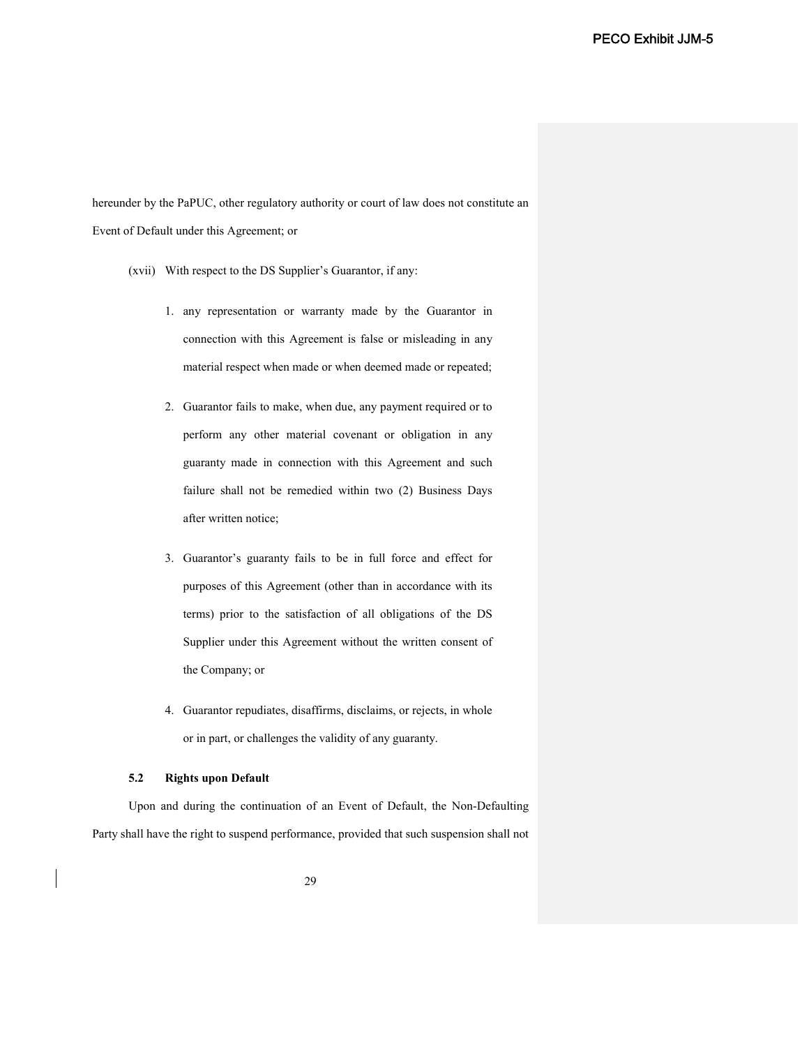hereunder by the PaPUC, other regulatory authority or court of law does not constitute an Event of Default under this Agreement; or

- (xvii) With respect to the DS Supplier's Guarantor, if any:
	- 1. any representation or warranty made by the Guarantor in connection with this Agreement is false or misleading in any material respect when made or when deemed made or repeated;
	- 2. Guarantor fails to make, when due, any payment required or to perform any other material covenant or obligation in any guaranty made in connection with this Agreement and such failure shall not be remedied within two (2) Business Days after written notice;
	- 3. Guarantor's guaranty fails to be in full force and effect for purposes of this Agreement (other than in accordance with its terms) prior to the satisfaction of all obligations of the DS Supplier under this Agreement without the written consent of the Company; or
	- 4. Guarantor repudiates, disaffirms, disclaims, or rejects, in whole or in part, or challenges the validity of any guaranty.

## **5.2 Rights upon Default**

Upon and during the continuation of an Event of Default, the Non-Defaulting Party shall have the right to suspend performance, provided that such suspension shall not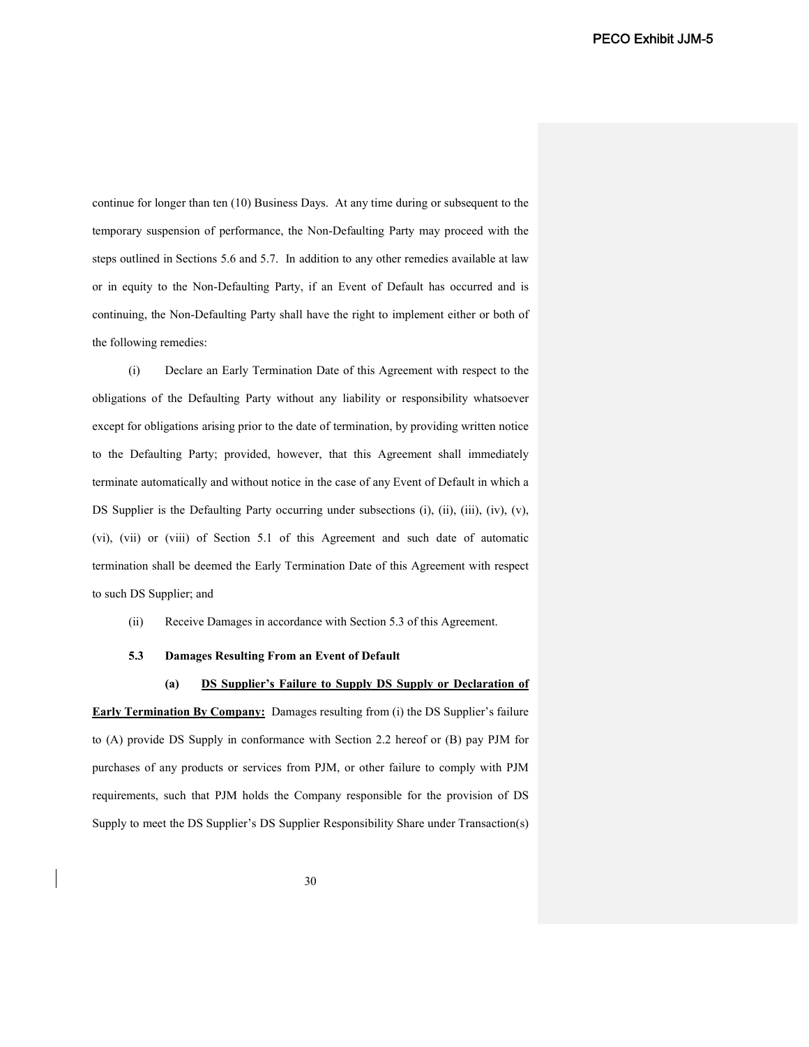continue for longer than ten (10) Business Days. At any time during or subsequent to the temporary suspension of performance, the Non-Defaulting Party may proceed with the steps outlined in Sections 5.6 and 5.7. In addition to any other remedies available at law or in equity to the Non-Defaulting Party, if an Event of Default has occurred and is continuing, the Non-Defaulting Party shall have the right to implement either or both of the following remedies:

(i) Declare an Early Termination Date of this Agreement with respect to the obligations of the Defaulting Party without any liability or responsibility whatsoever except for obligations arising prior to the date of termination, by providing written notice to the Defaulting Party; provided, however, that this Agreement shall immediately terminate automatically and without notice in the case of any Event of Default in which a DS Supplier is the Defaulting Party occurring under subsections (i), (ii), (iii), (iv), (v), (vi), (vii) or (viii) of Section 5.1 of this Agreement and such date of automatic termination shall be deemed the Early Termination Date of this Agreement with respect to such DS Supplier; and

(ii) Receive Damages in accordance with Section 5.3 of this Agreement.

### **5.3 Damages Resulting From an Event of Default**

**(a) DS Supplier's Failure to Supply DS Supply or Declaration of** 

**Early Termination By Company:** Damages resulting from (i) the DS Supplier's failure to (A) provide DS Supply in conformance with Section 2.2 hereof or (B) pay PJM for purchases of any products or services from PJM, or other failure to comply with PJM requirements, such that PJM holds the Company responsible for the provision of DS Supply to meet the DS Supplier's DS Supplier Responsibility Share under Transaction(s)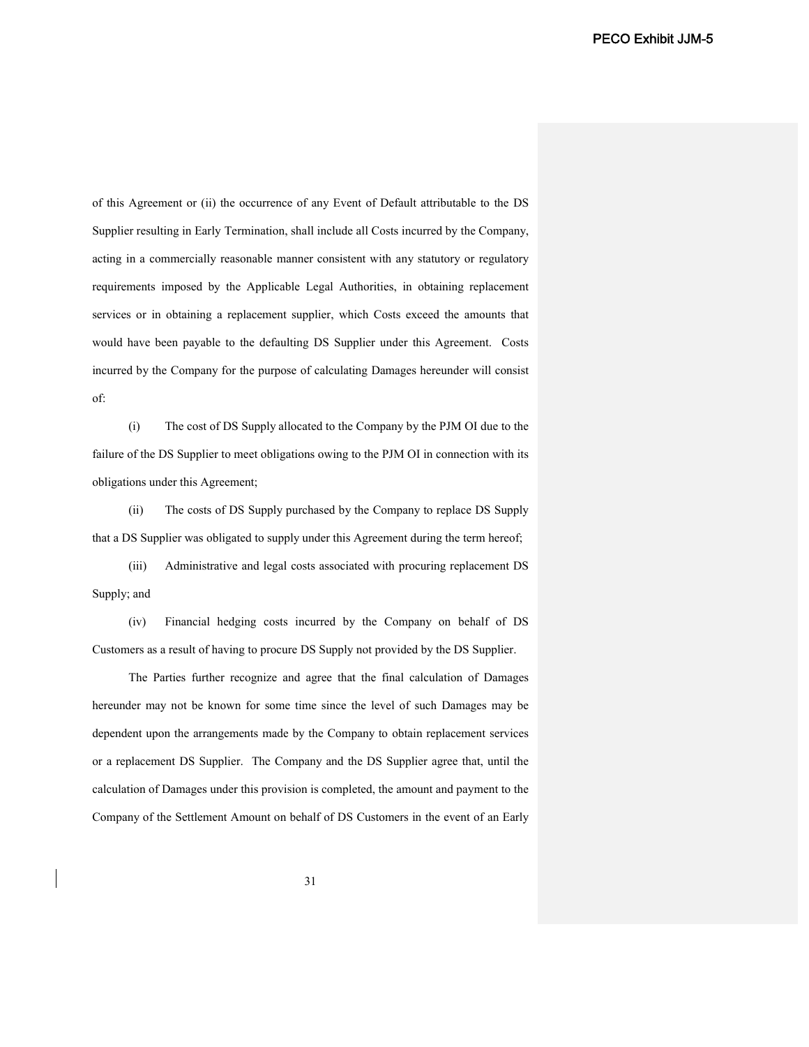of this Agreement or (ii) the occurrence of any Event of Default attributable to the DS Supplier resulting in Early Termination, shall include all Costs incurred by the Company, acting in a commercially reasonable manner consistent with any statutory or regulatory requirements imposed by the Applicable Legal Authorities, in obtaining replacement services or in obtaining a replacement supplier, which Costs exceed the amounts that would have been payable to the defaulting DS Supplier under this Agreement. Costs incurred by the Company for the purpose of calculating Damages hereunder will consist of:

(i) The cost of DS Supply allocated to the Company by the PJM OI due to the failure of the DS Supplier to meet obligations owing to the PJM OI in connection with its obligations under this Agreement;

(ii) The costs of DS Supply purchased by the Company to replace DS Supply that a DS Supplier was obligated to supply under this Agreement during the term hereof;

(iii) Administrative and legal costs associated with procuring replacement DS Supply; and

(iv) Financial hedging costs incurred by the Company on behalf of DS Customers as a result of having to procure DS Supply not provided by the DS Supplier.

The Parties further recognize and agree that the final calculation of Damages hereunder may not be known for some time since the level of such Damages may be dependent upon the arrangements made by the Company to obtain replacement services or a replacement DS Supplier. The Company and the DS Supplier agree that, until the calculation of Damages under this provision is completed, the amount and payment to the Company of the Settlement Amount on behalf of DS Customers in the event of an Early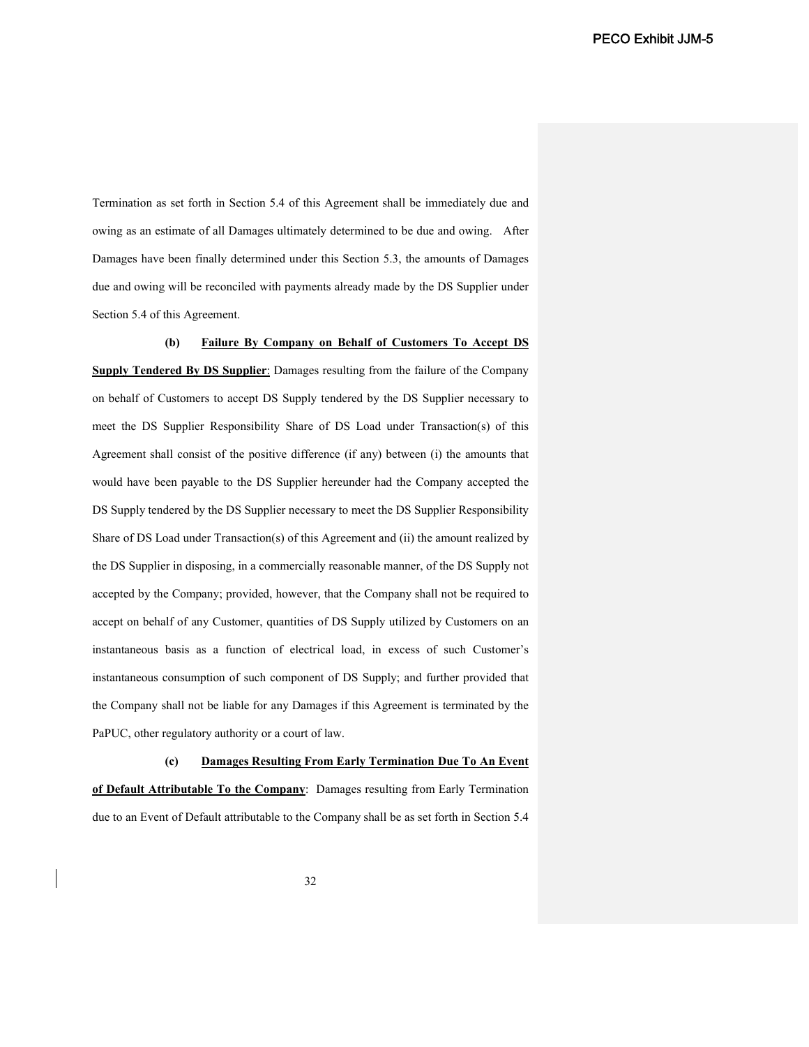Termination as set forth in Section 5.4 of this Agreement shall be immediately due and owing as an estimate of all Damages ultimately determined to be due and owing. After Damages have been finally determined under this Section 5.3, the amounts of Damages due and owing will be reconciled with payments already made by the DS Supplier under Section 5.4 of this Agreement.

**(b) Failure By Company on Behalf of Customers To Accept DS Supply Tendered By DS Supplier**: Damages resulting from the failure of the Company on behalf of Customers to accept DS Supply tendered by the DS Supplier necessary to meet the DS Supplier Responsibility Share of DS Load under Transaction(s) of this Agreement shall consist of the positive difference (if any) between (i) the amounts that would have been payable to the DS Supplier hereunder had the Company accepted the DS Supply tendered by the DS Supplier necessary to meet the DS Supplier Responsibility Share of DS Load under Transaction(s) of this Agreement and (ii) the amount realized by the DS Supplier in disposing, in a commercially reasonable manner, of the DS Supply not accepted by the Company; provided, however, that the Company shall not be required to accept on behalf of any Customer, quantities of DS Supply utilized by Customers on an instantaneous basis as a function of electrical load, in excess of such Customer's instantaneous consumption of such component of DS Supply; and further provided that the Company shall not be liable for any Damages if this Agreement is terminated by the PaPUC, other regulatory authority or a court of law.

**(c) Damages Resulting From Early Termination Due To An Event of Default Attributable To the Company**: Damages resulting from Early Termination due to an Event of Default attributable to the Company shall be as set forth in Section 5.4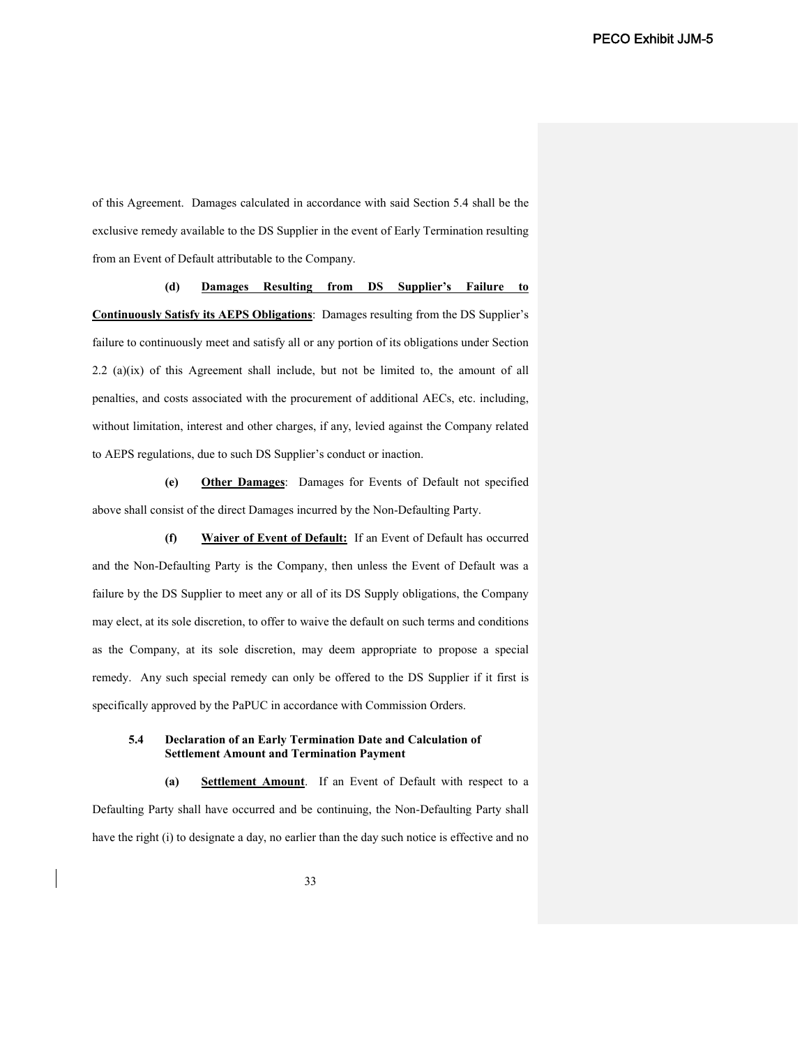of this Agreement. Damages calculated in accordance with said Section 5.4 shall be the exclusive remedy available to the DS Supplier in the event of Early Termination resulting from an Event of Default attributable to the Company.

**(d) Damages Resulting from DS Supplier's Failure to Continuously Satisfy its AEPS Obligations**: Damages resulting from the DS Supplier's failure to continuously meet and satisfy all or any portion of its obligations under Section 2.2 (a)(ix) of this Agreement shall include, but not be limited to, the amount of all penalties, and costs associated with the procurement of additional AECs, etc. including, without limitation, interest and other charges, if any, levied against the Company related to AEPS regulations, due to such DS Supplier's conduct or inaction.

**(e) Other Damages**: Damages for Events of Default not specified above shall consist of the direct Damages incurred by the Non-Defaulting Party.

**(f) Waiver of Event of Default:** If an Event of Default has occurred and the Non-Defaulting Party is the Company, then unless the Event of Default was a failure by the DS Supplier to meet any or all of its DS Supply obligations, the Company may elect, at its sole discretion, to offer to waive the default on such terms and conditions as the Company, at its sole discretion, may deem appropriate to propose a special remedy. Any such special remedy can only be offered to the DS Supplier if it first is specifically approved by the PaPUC in accordance with Commission Orders.

### **5.4 Declaration of an Early Termination Date and Calculation of Settlement Amount and Termination Payment**

**(a) Settlement Amount**. If an Event of Default with respect to a Defaulting Party shall have occurred and be continuing, the Non-Defaulting Party shall have the right (i) to designate a day, no earlier than the day such notice is effective and no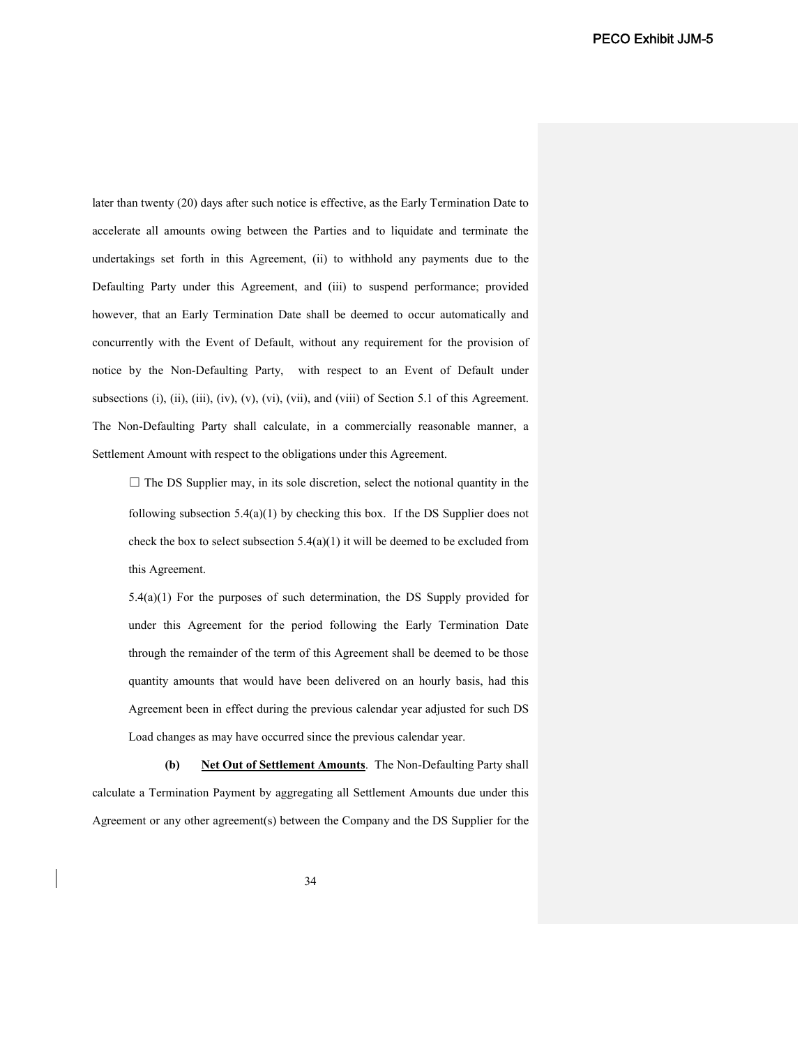later than twenty (20) days after such notice is effective, as the Early Termination Date to accelerate all amounts owing between the Parties and to liquidate and terminate the undertakings set forth in this Agreement, (ii) to withhold any payments due to the Defaulting Party under this Agreement, and (iii) to suspend performance; provided however, that an Early Termination Date shall be deemed to occur automatically and concurrently with the Event of Default, without any requirement for the provision of notice by the Non-Defaulting Party, with respect to an Event of Default under subsections (i), (ii), (iii), (iv), (v), (vi), (vii), and (viii) of Section 5.1 of this Agreement. The Non-Defaulting Party shall calculate, in a commercially reasonable manner, a Settlement Amount with respect to the obligations under this Agreement.

 $\Box$  The DS Supplier may, in its sole discretion, select the notional quantity in the following subsection 5.4(a)(1) by checking this box. If the DS Supplier does not check the box to select subsection  $5.4(a)(1)$  it will be deemed to be excluded from this Agreement.

5.4(a)(1) For the purposes of such determination, the DS Supply provided for under this Agreement for the period following the Early Termination Date through the remainder of the term of this Agreement shall be deemed to be those quantity amounts that would have been delivered on an hourly basis, had this Agreement been in effect during the previous calendar year adjusted for such DS Load changes as may have occurred since the previous calendar year.

**(b) Net Out of Settlement Amounts**. The Non-Defaulting Party shall calculate a Termination Payment by aggregating all Settlement Amounts due under this Agreement or any other agreement(s) between the Company and the DS Supplier for the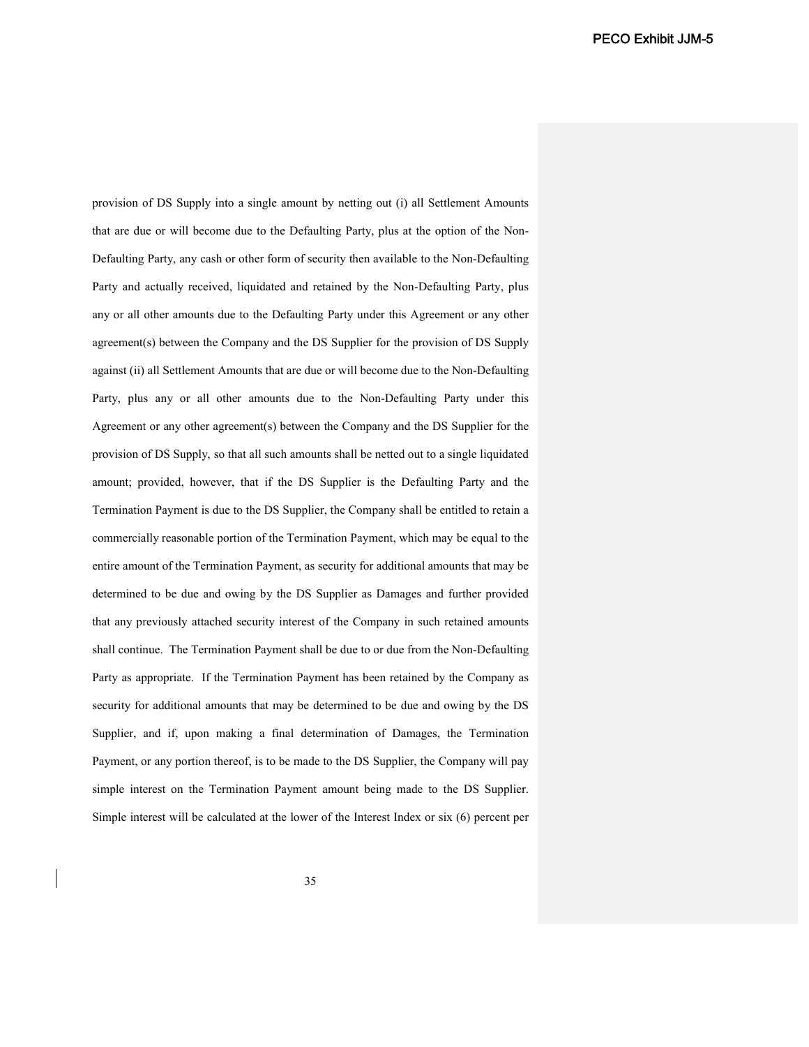provision of DS Supply into a single amount by netting out (i) all Settlement Amounts that are due or will become due to the Defaulting Party, plus at the option of the Non-Defaulting Party, any cash or other form of security then available to the Non-Defaulting Party and actually received, liquidated and retained by the Non-Defaulting Party, plus any or all other amounts due to the Defaulting Party under this Agreement or any other agreement(s) between the Company and the DS Supplier for the provision of DS Supply against (ii) all Settlement Amounts that are due or will become due to the Non-Defaulting Party, plus any or all other amounts due to the Non-Defaulting Party under this Agreement or any other agreement(s) between the Company and the DS Supplier for the provision of DS Supply, so that all such amounts shall be netted out to a single liquidated amount; provided, however, that if the DS Supplier is the Defaulting Party and the Termination Payment is due to the DS Supplier, the Company shall be entitled to retain a commercially reasonable portion of the Termination Payment, which may be equal to the entire amount of the Termination Payment, as security for additional amounts that may be determined to be due and owing by the DS Supplier as Damages and further provided that any previously attached security interest of the Company in such retained amounts shall continue. The Termination Payment shall be due to or due from the Non-Defaulting Party as appropriate. If the Termination Payment has been retained by the Company as security for additional amounts that may be determined to be due and owing by the DS Supplier, and if, upon making a final determination of Damages, the Termination Payment, or any portion thereof, is to be made to the DS Supplier, the Company will pay simple interest on the Termination Payment amount being made to the DS Supplier. Simple interest will be calculated at the lower of the Interest Index or six (6) percent per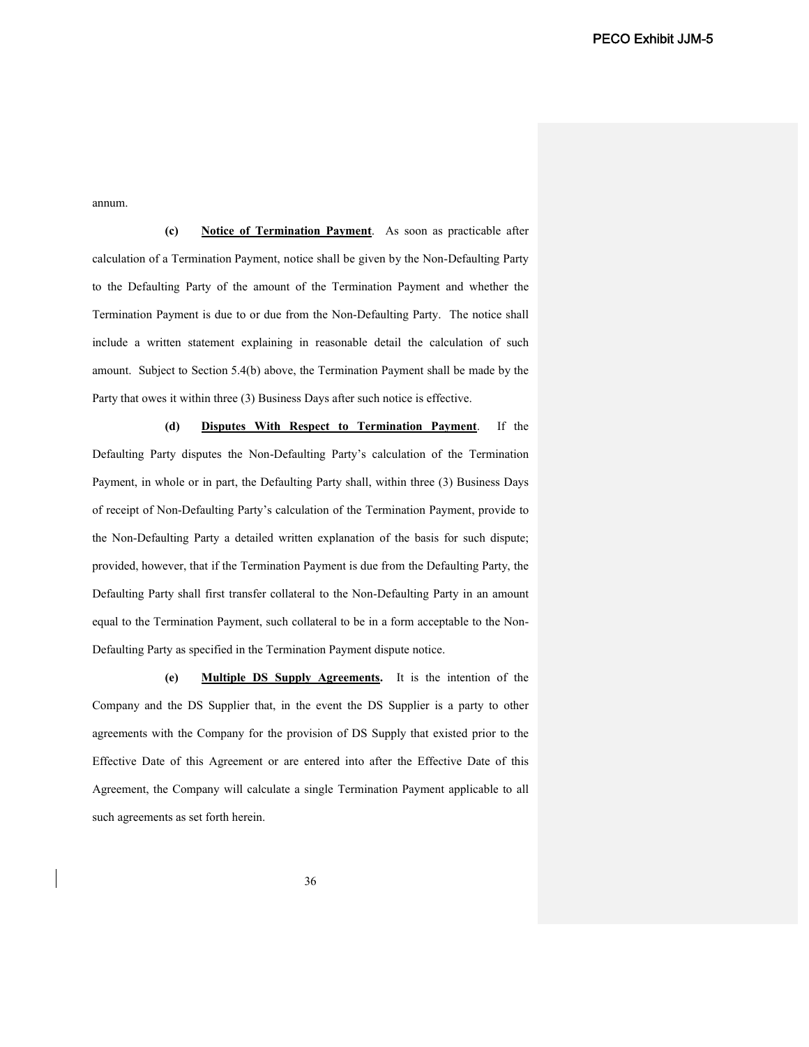annum.

**(c) Notice of Termination Payment**. As soon as practicable after calculation of a Termination Payment, notice shall be given by the Non-Defaulting Party to the Defaulting Party of the amount of the Termination Payment and whether the Termination Payment is due to or due from the Non-Defaulting Party. The notice shall include a written statement explaining in reasonable detail the calculation of such amount. Subject to Section 5.4(b) above, the Termination Payment shall be made by the Party that owes it within three (3) Business Days after such notice is effective.

**(d) Disputes With Respect to Termination Payment**. If the Defaulting Party disputes the Non-Defaulting Party's calculation of the Termination Payment, in whole or in part, the Defaulting Party shall, within three (3) Business Days of receipt of Non-Defaulting Party's calculation of the Termination Payment, provide to the Non-Defaulting Party a detailed written explanation of the basis for such dispute; provided, however, that if the Termination Payment is due from the Defaulting Party, the Defaulting Party shall first transfer collateral to the Non-Defaulting Party in an amount equal to the Termination Payment, such collateral to be in a form acceptable to the Non-Defaulting Party as specified in the Termination Payment dispute notice.

**(e) Multiple DS Supply Agreements.** It is the intention of the Company and the DS Supplier that, in the event the DS Supplier is a party to other agreements with the Company for the provision of DS Supply that existed prior to the Effective Date of this Agreement or are entered into after the Effective Date of this Agreement, the Company will calculate a single Termination Payment applicable to all such agreements as set forth herein.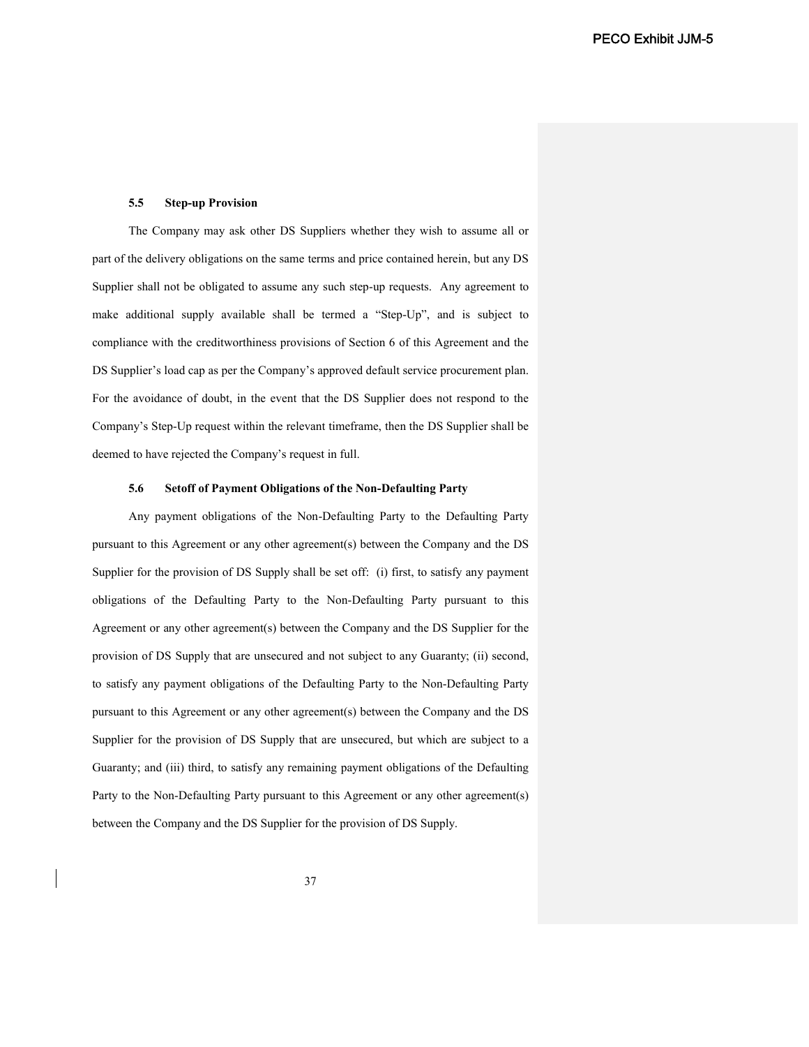#### **5.5 Step-up Provision**

The Company may ask other DS Suppliers whether they wish to assume all or part of the delivery obligations on the same terms and price contained herein, but any DS Supplier shall not be obligated to assume any such step-up requests. Any agreement to make additional supply available shall be termed a "Step-Up", and is subject to compliance with the creditworthiness provisions of Section 6 of this Agreement and the DS Supplier's load cap as per the Company's approved default service procurement plan. For the avoidance of doubt, in the event that the DS Supplier does not respond to the Company's Step-Up request within the relevant timeframe, then the DS Supplier shall be deemed to have rejected the Company's request in full.

### **5.6 Setoff of Payment Obligations of the Non-Defaulting Party**

Any payment obligations of the Non-Defaulting Party to the Defaulting Party pursuant to this Agreement or any other agreement(s) between the Company and the DS Supplier for the provision of DS Supply shall be set off: (i) first, to satisfy any payment obligations of the Defaulting Party to the Non-Defaulting Party pursuant to this Agreement or any other agreement(s) between the Company and the DS Supplier for the provision of DS Supply that are unsecured and not subject to any Guaranty; (ii) second, to satisfy any payment obligations of the Defaulting Party to the Non-Defaulting Party pursuant to this Agreement or any other agreement(s) between the Company and the DS Supplier for the provision of DS Supply that are unsecured, but which are subject to a Guaranty; and (iii) third, to satisfy any remaining payment obligations of the Defaulting Party to the Non-Defaulting Party pursuant to this Agreement or any other agreement(s) between the Company and the DS Supplier for the provision of DS Supply.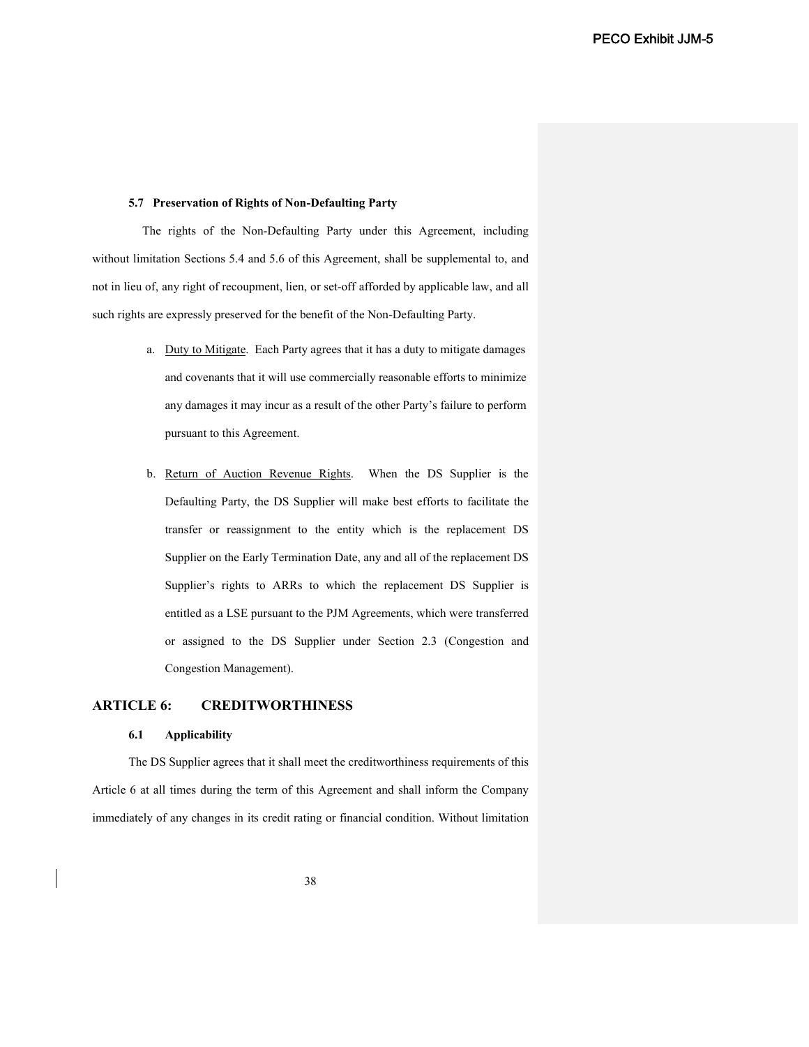## **5.7 Preservation of Rights of Non-Defaulting Party**

The rights of the Non-Defaulting Party under this Agreement, including without limitation Sections 5.4 and 5.6 of this Agreement, shall be supplemental to, and not in lieu of, any right of recoupment, lien, or set-off afforded by applicable law, and all such rights are expressly preserved for the benefit of the Non-Defaulting Party.

- a. Duty to Mitigate. Each Party agrees that it has a duty to mitigate damages and covenants that it will use commercially reasonable efforts to minimize any damages it may incur as a result of the other Party's failure to perform pursuant to this Agreement.
- b. Return of Auction Revenue Rights. When the DS Supplier is the Defaulting Party, the DS Supplier will make best efforts to facilitate the transfer or reassignment to the entity which is the replacement DS Supplier on the Early Termination Date, any and all of the replacement DS Supplier's rights to ARRs to which the replacement DS Supplier is entitled as a LSE pursuant to the PJM Agreements, which were transferred or assigned to the DS Supplier under Section 2.3 (Congestion and Congestion Management).

# **ARTICLE 6: CREDITWORTHINESS**

## **6.1 Applicability**

The DS Supplier agrees that it shall meet the creditworthiness requirements of this Article 6 at all times during the term of this Agreement and shall inform the Company immediately of any changes in its credit rating or financial condition. Without limitation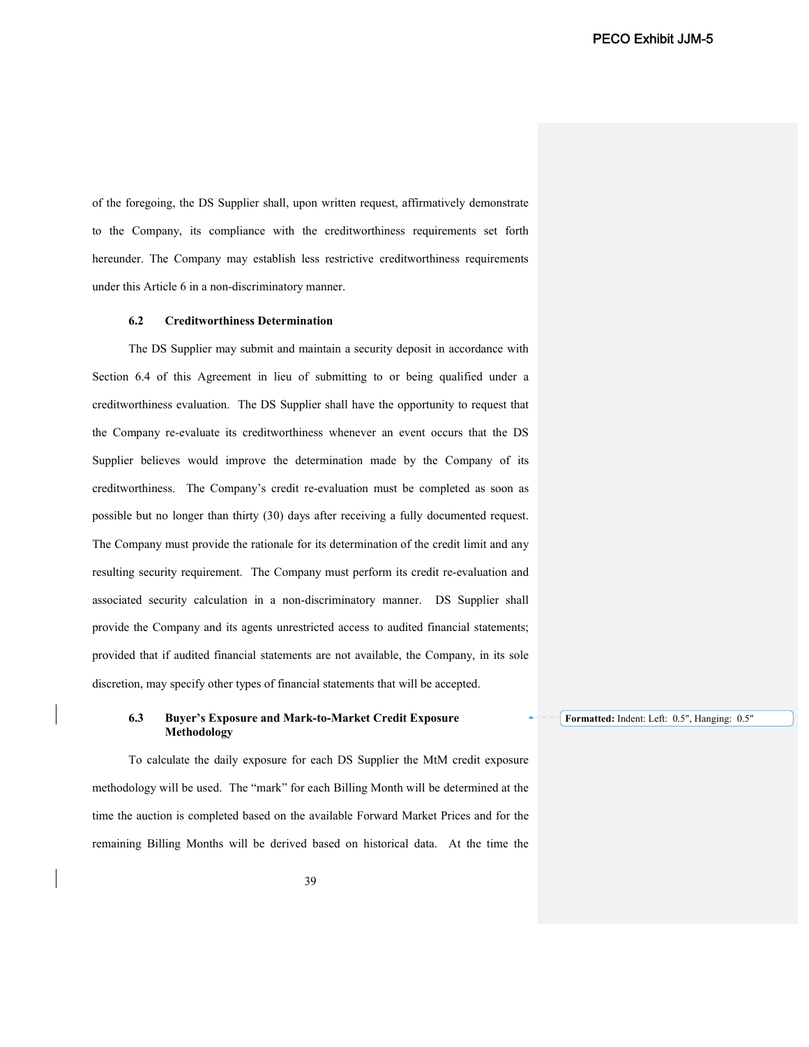of the foregoing, the DS Supplier shall, upon written request, affirmatively demonstrate to the Company, its compliance with the creditworthiness requirements set forth hereunder. The Company may establish less restrictive creditworthiness requirements under this Article 6 in a non-discriminatory manner.

### **6.2 Creditworthiness Determination**

The DS Supplier may submit and maintain a security deposit in accordance with Section 6.4 of this Agreement in lieu of submitting to or being qualified under a creditworthiness evaluation. The DS Supplier shall have the opportunity to request that the Company re-evaluate its creditworthiness whenever an event occurs that the DS Supplier believes would improve the determination made by the Company of its creditworthiness. The Company's credit re-evaluation must be completed as soon as possible but no longer than thirty (30) days after receiving a fully documented request. The Company must provide the rationale for its determination of the credit limit and any resulting security requirement. The Company must perform its credit re-evaluation and associated security calculation in a non-discriminatory manner. DS Supplier shall provide the Company and its agents unrestricted access to audited financial statements; provided that if audited financial statements are not available, the Company, in its sole discretion, may specify other types of financial statements that will be accepted.

## **6.3 Buyer's Exposure and Mark-to-Market Credit Exposure Methodology**

To calculate the daily exposure for each DS Supplier the MtM credit exposure methodology will be used. The "mark" for each Billing Month will be determined at the time the auction is completed based on the available Forward Market Prices and for the remaining Billing Months will be derived based on historical data. At the time the

**Formatted:** Indent: Left: 0.5", Hanging: 0.5"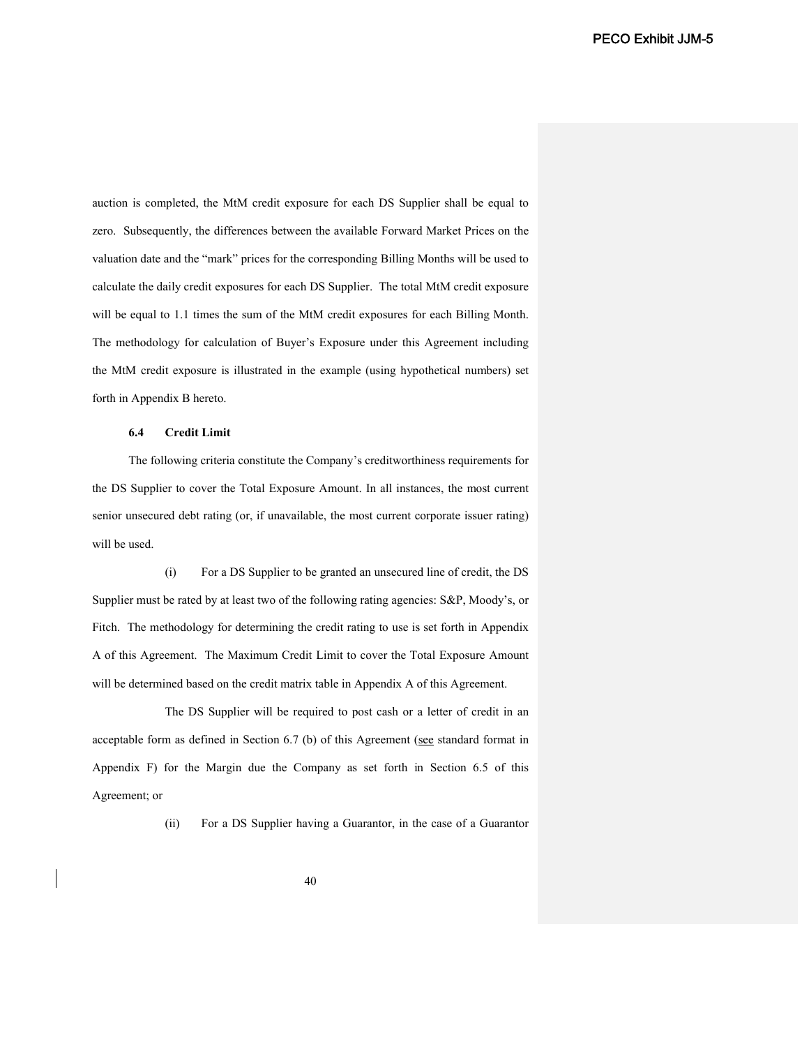auction is completed, the MtM credit exposure for each DS Supplier shall be equal to zero. Subsequently, the differences between the available Forward Market Prices on the valuation date and the "mark" prices for the corresponding Billing Months will be used to calculate the daily credit exposures for each DS Supplier. The total MtM credit exposure will be equal to 1.1 times the sum of the MtM credit exposures for each Billing Month. The methodology for calculation of Buyer's Exposure under this Agreement including the MtM credit exposure is illustrated in the example (using hypothetical numbers) set forth in Appendix B hereto.

### **6.4 Credit Limit**

The following criteria constitute the Company's creditworthiness requirements for the DS Supplier to cover the Total Exposure Amount. In all instances, the most current senior unsecured debt rating (or, if unavailable, the most current corporate issuer rating) will be used.

(i) For a DS Supplier to be granted an unsecured line of credit, the DS Supplier must be rated by at least two of the following rating agencies: S&P, Moody's, or Fitch. The methodology for determining the credit rating to use is set forth in Appendix A of this Agreement. The Maximum Credit Limit to cover the Total Exposure Amount will be determined based on the credit matrix table in Appendix A of this Agreement.

The DS Supplier will be required to post cash or a letter of credit in an acceptable form as defined in Section 6.7 (b) of this Agreement (see standard format in Appendix F) for the Margin due the Company as set forth in Section 6.5 of this Agreement; or

(ii) For a DS Supplier having a Guarantor, in the case of a Guarantor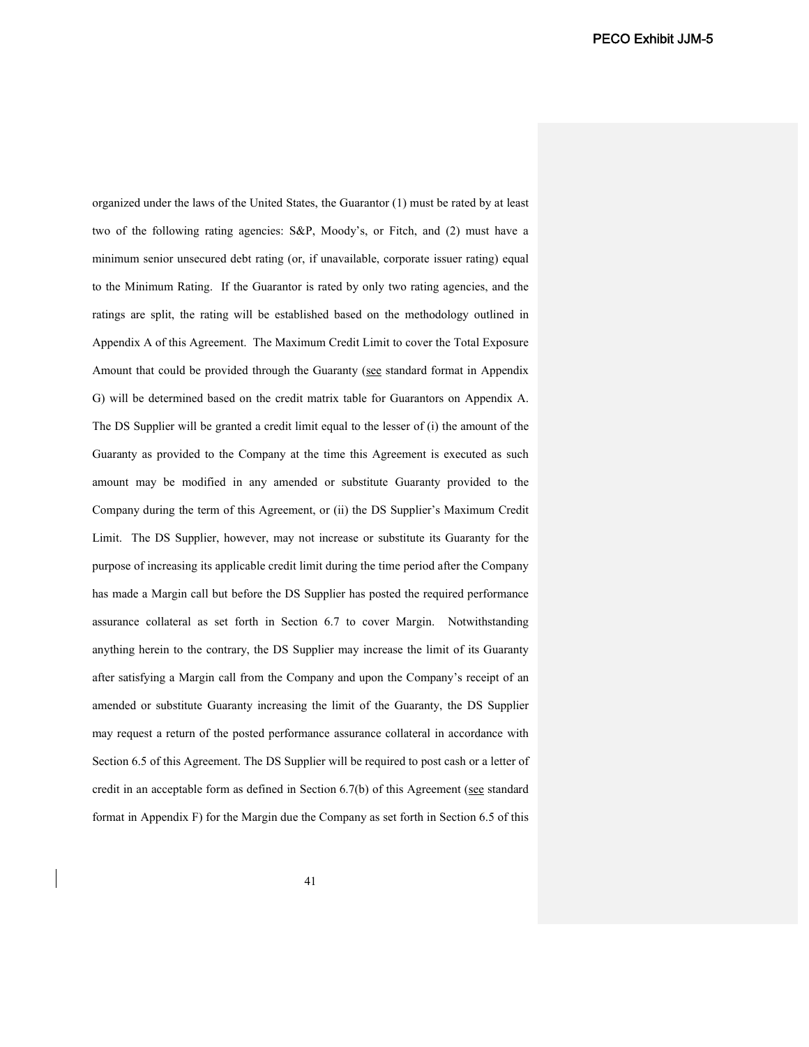organized under the laws of the United States, the Guarantor (1) must be rated by at least two of the following rating agencies: S&P, Moody's, or Fitch, and (2) must have a minimum senior unsecured debt rating (or, if unavailable, corporate issuer rating) equal to the Minimum Rating. If the Guarantor is rated by only two rating agencies, and the ratings are split, the rating will be established based on the methodology outlined in Appendix A of this Agreement. The Maximum Credit Limit to cover the Total Exposure Amount that could be provided through the Guaranty (see standard format in Appendix G) will be determined based on the credit matrix table for Guarantors on Appendix A. The DS Supplier will be granted a credit limit equal to the lesser of (i) the amount of the Guaranty as provided to the Company at the time this Agreement is executed as such amount may be modified in any amended or substitute Guaranty provided to the Company during the term of this Agreement, or (ii) the DS Supplier's Maximum Credit Limit. The DS Supplier, however, may not increase or substitute its Guaranty for the purpose of increasing its applicable credit limit during the time period after the Company has made a Margin call but before the DS Supplier has posted the required performance assurance collateral as set forth in Section 6.7 to cover Margin. Notwithstanding anything herein to the contrary, the DS Supplier may increase the limit of its Guaranty after satisfying a Margin call from the Company and upon the Company's receipt of an amended or substitute Guaranty increasing the limit of the Guaranty, the DS Supplier may request a return of the posted performance assurance collateral in accordance with Section 6.5 of this Agreement. The DS Supplier will be required to post cash or a letter of credit in an acceptable form as defined in Section 6.7(b) of this Agreement (see standard format in Appendix F) for the Margin due the Company as set forth in Section 6.5 of this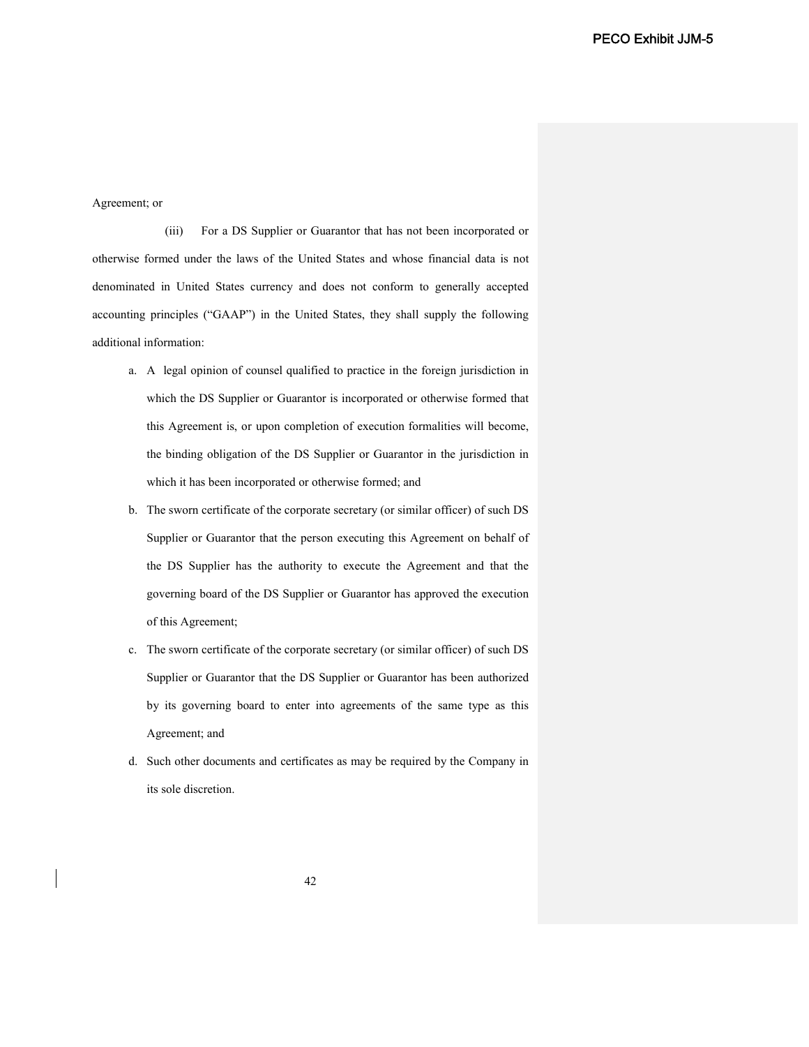### Agreement; or

(iii) For a DS Supplier or Guarantor that has not been incorporated or otherwise formed under the laws of the United States and whose financial data is not denominated in United States currency and does not conform to generally accepted accounting principles ("GAAP") in the United States, they shall supply the following additional information:

- a. A legal opinion of counsel qualified to practice in the foreign jurisdiction in which the DS Supplier or Guarantor is incorporated or otherwise formed that this Agreement is, or upon completion of execution formalities will become, the binding obligation of the DS Supplier or Guarantor in the jurisdiction in which it has been incorporated or otherwise formed; and
- b. The sworn certificate of the corporate secretary (or similar officer) of such DS Supplier or Guarantor that the person executing this Agreement on behalf of the DS Supplier has the authority to execute the Agreement and that the governing board of the DS Supplier or Guarantor has approved the execution of this Agreement;
- c. The sworn certificate of the corporate secretary (or similar officer) of such DS Supplier or Guarantor that the DS Supplier or Guarantor has been authorized by its governing board to enter into agreements of the same type as this Agreement; and
- d. Such other documents and certificates as may be required by the Company in its sole discretion.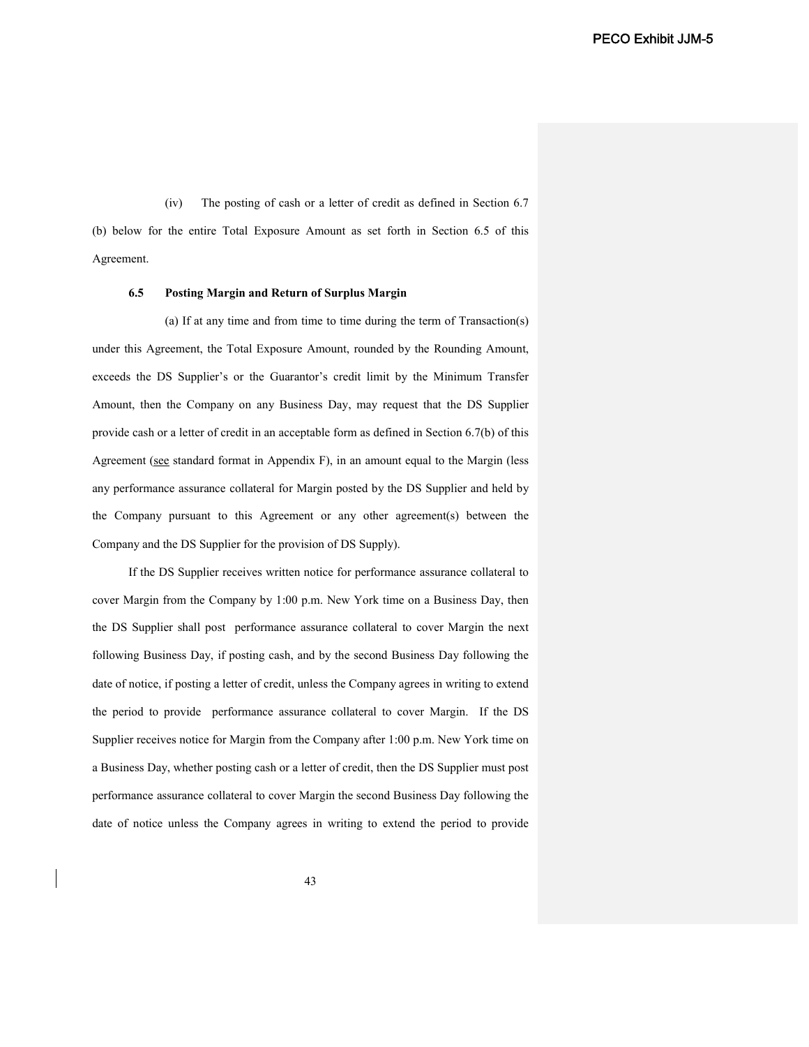(iv) The posting of cash or a letter of credit as defined in Section 6.7 (b) below for the entire Total Exposure Amount as set forth in Section 6.5 of this Agreement.

#### **6.5 Posting Margin and Return of Surplus Margin**

(a) If at any time and from time to time during the term of Transaction(s) under this Agreement, the Total Exposure Amount, rounded by the Rounding Amount, exceeds the DS Supplier's or the Guarantor's credit limit by the Minimum Transfer Amount, then the Company on any Business Day, may request that the DS Supplier provide cash or a letter of credit in an acceptable form as defined in Section 6.7(b) of this Agreement (see standard format in Appendix F), in an amount equal to the Margin (less any performance assurance collateral for Margin posted by the DS Supplier and held by the Company pursuant to this Agreement or any other agreement(s) between the Company and the DS Supplier for the provision of DS Supply).

If the DS Supplier receives written notice for performance assurance collateral to cover Margin from the Company by 1:00 p.m. New York time on a Business Day, then the DS Supplier shall post performance assurance collateral to cover Margin the next following Business Day, if posting cash, and by the second Business Day following the date of notice, if posting a letter of credit, unless the Company agrees in writing to extend the period to provide performance assurance collateral to cover Margin. If the DS Supplier receives notice for Margin from the Company after 1:00 p.m. New York time on a Business Day, whether posting cash or a letter of credit, then the DS Supplier must post performance assurance collateral to cover Margin the second Business Day following the date of notice unless the Company agrees in writing to extend the period to provide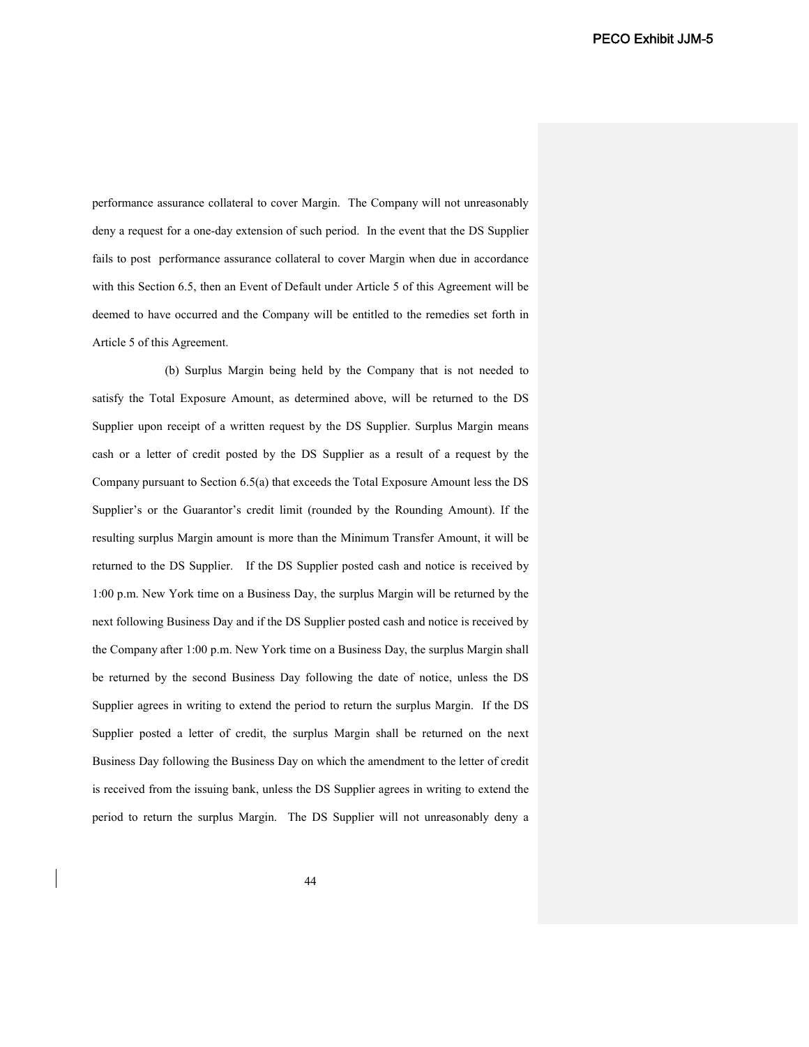performance assurance collateral to cover Margin. The Company will not unreasonably deny a request for a one-day extension of such period. In the event that the DS Supplier fails to post performance assurance collateral to cover Margin when due in accordance with this Section 6.5, then an Event of Default under Article 5 of this Agreement will be deemed to have occurred and the Company will be entitled to the remedies set forth in Article 5 of this Agreement.

(b) Surplus Margin being held by the Company that is not needed to satisfy the Total Exposure Amount, as determined above, will be returned to the DS Supplier upon receipt of a written request by the DS Supplier. Surplus Margin means cash or a letter of credit posted by the DS Supplier as a result of a request by the Company pursuant to Section 6.5(a) that exceeds the Total Exposure Amount less the DS Supplier's or the Guarantor's credit limit (rounded by the Rounding Amount). If the resulting surplus Margin amount is more than the Minimum Transfer Amount, it will be returned to the DS Supplier. If the DS Supplier posted cash and notice is received by 1:00 p.m. New York time on a Business Day, the surplus Margin will be returned by the next following Business Day and if the DS Supplier posted cash and notice is received by the Company after 1:00 p.m. New York time on a Business Day, the surplus Margin shall be returned by the second Business Day following the date of notice, unless the DS Supplier agrees in writing to extend the period to return the surplus Margin. If the DS Supplier posted a letter of credit, the surplus Margin shall be returned on the next Business Day following the Business Day on which the amendment to the letter of credit is received from the issuing bank, unless the DS Supplier agrees in writing to extend the period to return the surplus Margin. The DS Supplier will not unreasonably deny a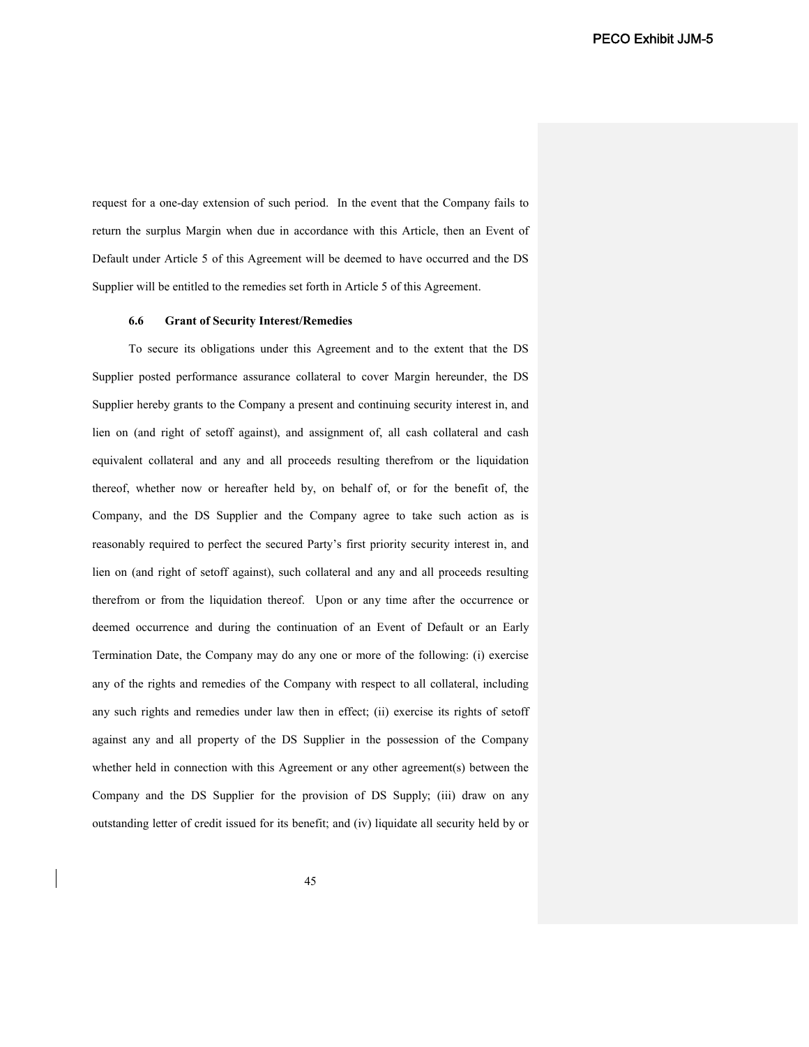request for a one-day extension of such period. In the event that the Company fails to return the surplus Margin when due in accordance with this Article, then an Event of Default under Article 5 of this Agreement will be deemed to have occurred and the DS Supplier will be entitled to the remedies set forth in Article 5 of this Agreement.

### **6.6 Grant of Security Interest/Remedies**

To secure its obligations under this Agreement and to the extent that the DS Supplier posted performance assurance collateral to cover Margin hereunder, the DS Supplier hereby grants to the Company a present and continuing security interest in, and lien on (and right of setoff against), and assignment of, all cash collateral and cash equivalent collateral and any and all proceeds resulting therefrom or the liquidation thereof, whether now or hereafter held by, on behalf of, or for the benefit of, the Company, and the DS Supplier and the Company agree to take such action as is reasonably required to perfect the secured Party's first priority security interest in, and lien on (and right of setoff against), such collateral and any and all proceeds resulting therefrom or from the liquidation thereof. Upon or any time after the occurrence or deemed occurrence and during the continuation of an Event of Default or an Early Termination Date, the Company may do any one or more of the following: (i) exercise any of the rights and remedies of the Company with respect to all collateral, including any such rights and remedies under law then in effect; (ii) exercise its rights of setoff against any and all property of the DS Supplier in the possession of the Company whether held in connection with this Agreement or any other agreement(s) between the Company and the DS Supplier for the provision of DS Supply; (iii) draw on any outstanding letter of credit issued for its benefit; and (iv) liquidate all security held by or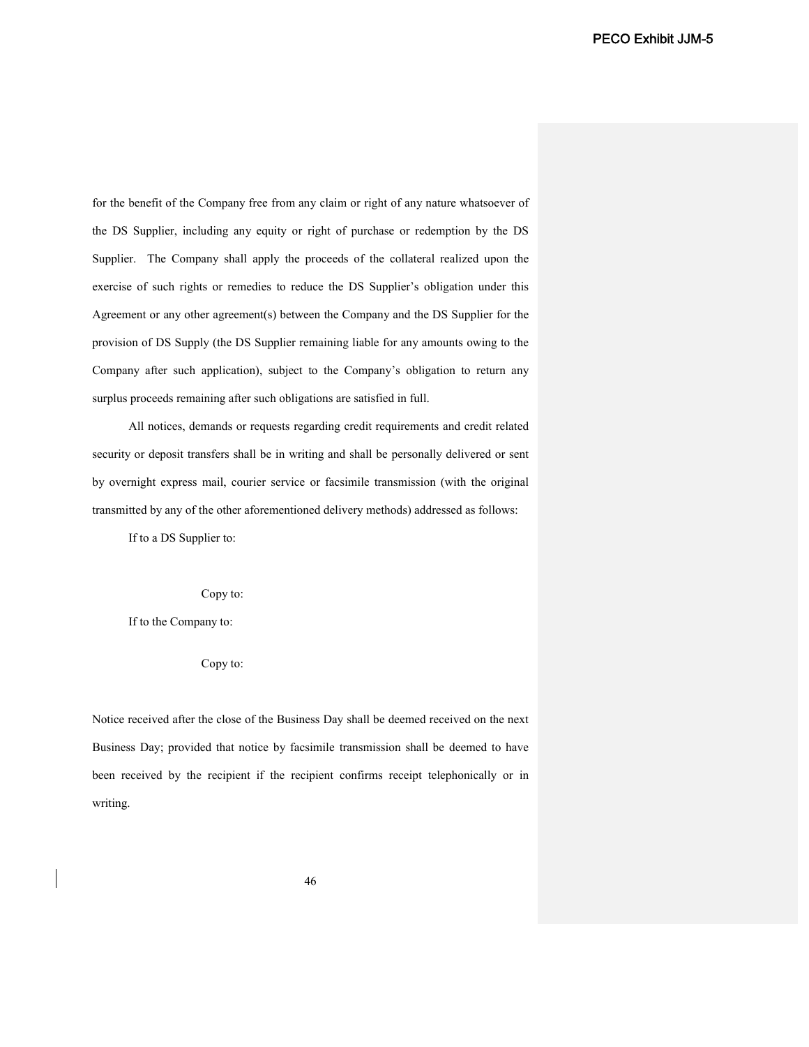for the benefit of the Company free from any claim or right of any nature whatsoever of the DS Supplier, including any equity or right of purchase or redemption by the DS Supplier. The Company shall apply the proceeds of the collateral realized upon the exercise of such rights or remedies to reduce the DS Supplier's obligation under this Agreement or any other agreement(s) between the Company and the DS Supplier for the provision of DS Supply (the DS Supplier remaining liable for any amounts owing to the Company after such application), subject to the Company's obligation to return any surplus proceeds remaining after such obligations are satisfied in full.

All notices, demands or requests regarding credit requirements and credit related security or deposit transfers shall be in writing and shall be personally delivered or sent by overnight express mail, courier service or facsimile transmission (with the original transmitted by any of the other aforementioned delivery methods) addressed as follows:

If to a DS Supplier to:

Copy to:

If to the Company to:

Copy to:

Notice received after the close of the Business Day shall be deemed received on the next Business Day; provided that notice by facsimile transmission shall be deemed to have been received by the recipient if the recipient confirms receipt telephonically or in writing.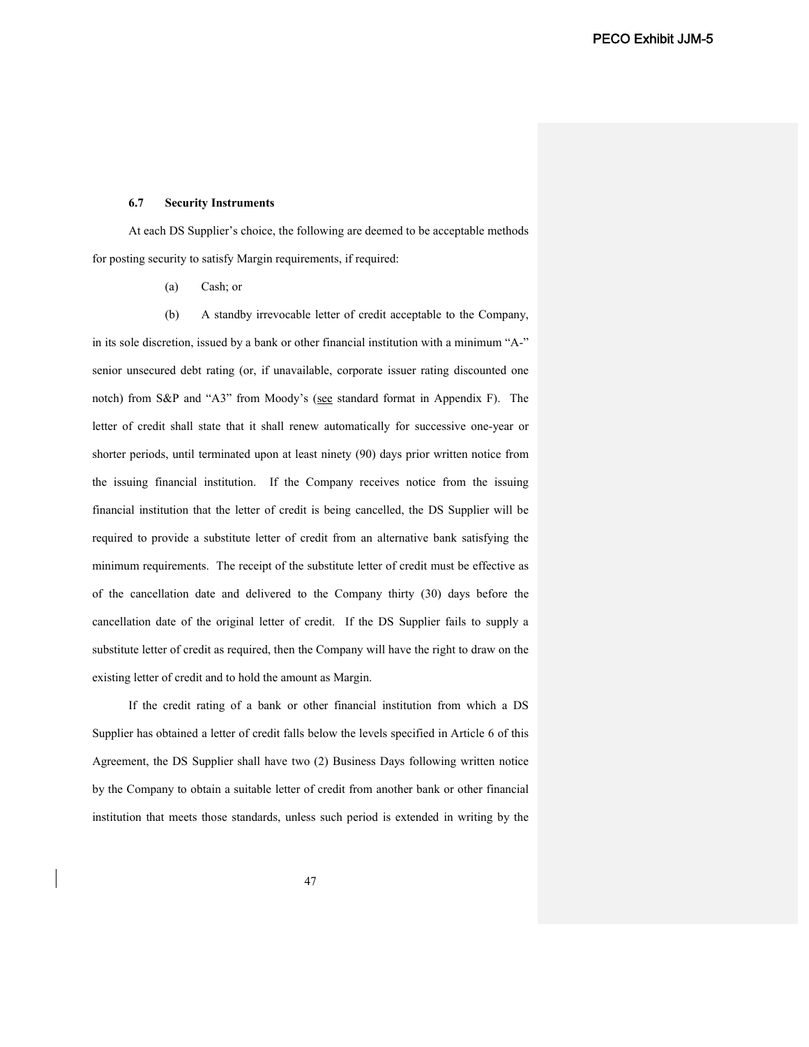#### **6.7 Security Instruments**

At each DS Supplier's choice, the following are deemed to be acceptable methods for posting security to satisfy Margin requirements, if required:

(a) Cash; or

(b) A standby irrevocable letter of credit acceptable to the Company, in its sole discretion, issued by a bank or other financial institution with a minimum "A-" senior unsecured debt rating (or, if unavailable, corporate issuer rating discounted one notch) from S&P and "A3" from Moody's (see standard format in Appendix F). The letter of credit shall state that it shall renew automatically for successive one-year or shorter periods, until terminated upon at least ninety (90) days prior written notice from the issuing financial institution. If the Company receives notice from the issuing financial institution that the letter of credit is being cancelled, the DS Supplier will be required to provide a substitute letter of credit from an alternative bank satisfying the minimum requirements. The receipt of the substitute letter of credit must be effective as of the cancellation date and delivered to the Company thirty (30) days before the cancellation date of the original letter of credit. If the DS Supplier fails to supply a substitute letter of credit as required, then the Company will have the right to draw on the existing letter of credit and to hold the amount as Margin.

If the credit rating of a bank or other financial institution from which a DS Supplier has obtained a letter of credit falls below the levels specified in Article 6 of this Agreement, the DS Supplier shall have two (2) Business Days following written notice by the Company to obtain a suitable letter of credit from another bank or other financial institution that meets those standards, unless such period is extended in writing by the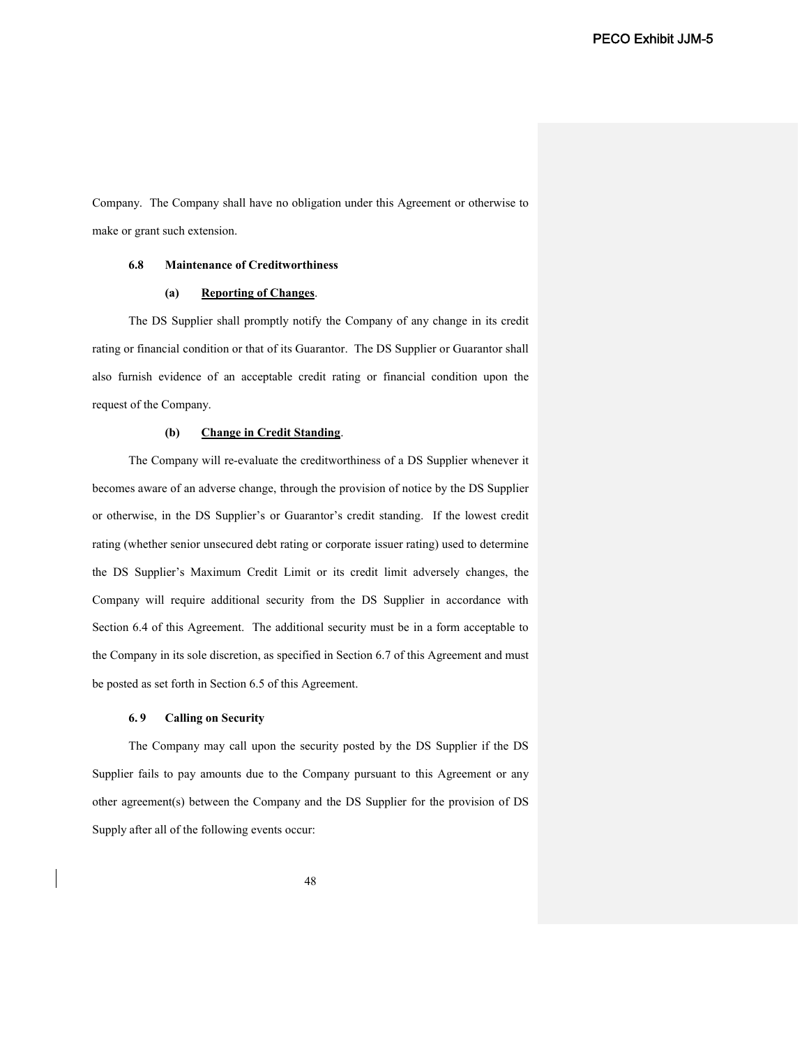Company. The Company shall have no obligation under this Agreement or otherwise to make or grant such extension.

#### **6.8 Maintenance of Creditworthiness**

# **(a) Reporting of Changes**.

The DS Supplier shall promptly notify the Company of any change in its credit rating or financial condition or that of its Guarantor. The DS Supplier or Guarantor shall also furnish evidence of an acceptable credit rating or financial condition upon the request of the Company.

#### **(b) Change in Credit Standing**.

The Company will re-evaluate the creditworthiness of a DS Supplier whenever it becomes aware of an adverse change, through the provision of notice by the DS Supplier or otherwise, in the DS Supplier's or Guarantor's credit standing. If the lowest credit rating (whether senior unsecured debt rating or corporate issuer rating) used to determine the DS Supplier's Maximum Credit Limit or its credit limit adversely changes, the Company will require additional security from the DS Supplier in accordance with Section 6.4 of this Agreement. The additional security must be in a form acceptable to the Company in its sole discretion, as specified in Section 6.7 of this Agreement and must be posted as set forth in Section 6.5 of this Agreement.

### **6. 9 Calling on Security**

The Company may call upon the security posted by the DS Supplier if the DS Supplier fails to pay amounts due to the Company pursuant to this Agreement or any other agreement(s) between the Company and the DS Supplier for the provision of DS Supply after all of the following events occur: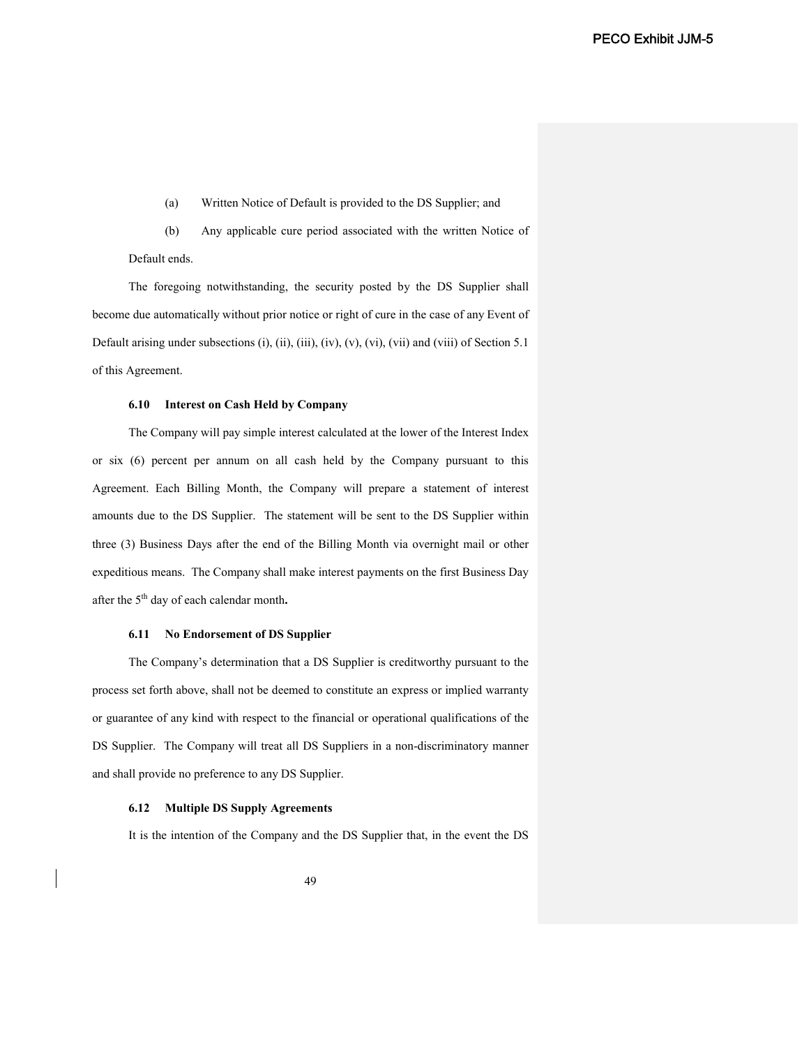(a) Written Notice of Default is provided to the DS Supplier; and

(b) Any applicable cure period associated with the written Notice of Default ends.

The foregoing notwithstanding, the security posted by the DS Supplier shall become due automatically without prior notice or right of cure in the case of any Event of Default arising under subsections (i), (ii), (iii), (iv), (v), (vi), (vii) and (viii) of Section 5.1 of this Agreement.

#### **6.10 Interest on Cash Held by Company**

The Company will pay simple interest calculated at the lower of the Interest Index or six (6) percent per annum on all cash held by the Company pursuant to this Agreement. Each Billing Month, the Company will prepare a statement of interest amounts due to the DS Supplier. The statement will be sent to the DS Supplier within three (3) Business Days after the end of the Billing Month via overnight mail or other expeditious means. The Company shall make interest payments on the first Business Day after the 5th day of each calendar month**.**

### **6.11 No Endorsement of DS Supplier**

The Company's determination that a DS Supplier is creditworthy pursuant to the process set forth above, shall not be deemed to constitute an express or implied warranty or guarantee of any kind with respect to the financial or operational qualifications of the DS Supplier. The Company will treat all DS Suppliers in a non-discriminatory manner and shall provide no preference to any DS Supplier.

#### **6.12 Multiple DS Supply Agreements**

It is the intention of the Company and the DS Supplier that, in the event the DS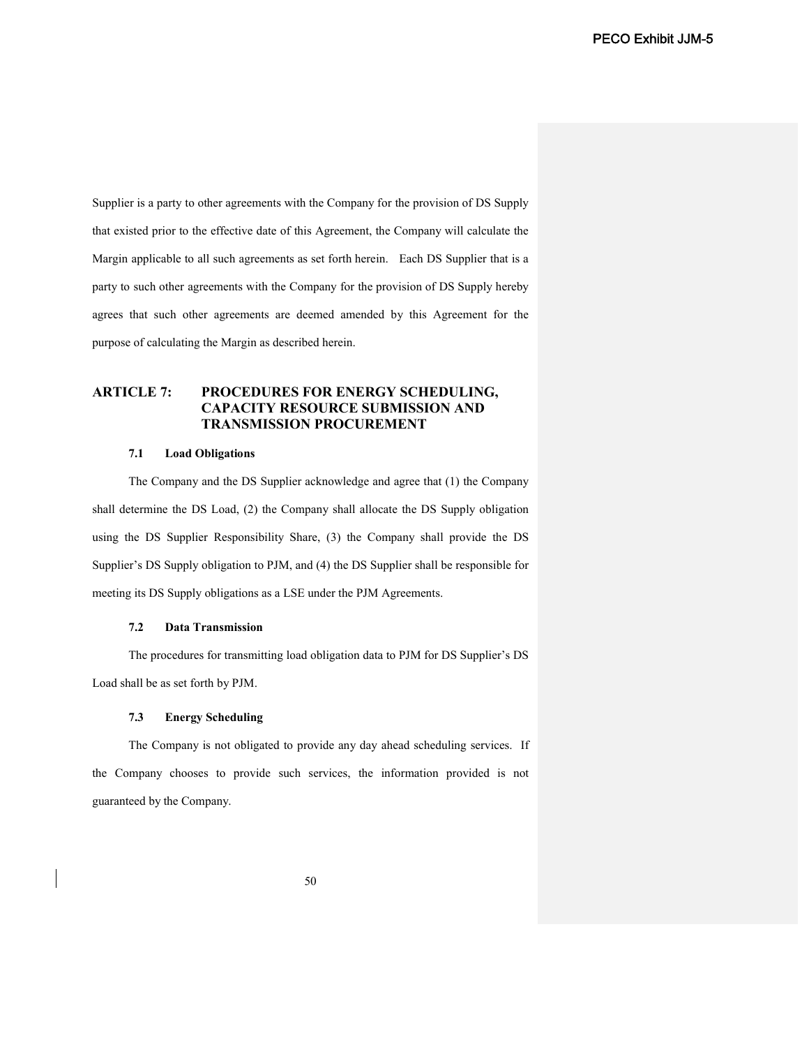Supplier is a party to other agreements with the Company for the provision of DS Supply that existed prior to the effective date of this Agreement, the Company will calculate the Margin applicable to all such agreements as set forth herein. Each DS Supplier that is a party to such other agreements with the Company for the provision of DS Supply hereby agrees that such other agreements are deemed amended by this Agreement for the purpose of calculating the Margin as described herein.

# **ARTICLE 7: PROCEDURES FOR ENERGY SCHEDULING, CAPACITY RESOURCE SUBMISSION AND TRANSMISSION PROCUREMENT**

#### **7.1 Load Obligations**

The Company and the DS Supplier acknowledge and agree that (1) the Company shall determine the DS Load, (2) the Company shall allocate the DS Supply obligation using the DS Supplier Responsibility Share, (3) the Company shall provide the DS Supplier's DS Supply obligation to PJM, and (4) the DS Supplier shall be responsible for meeting its DS Supply obligations as a LSE under the PJM Agreements.

#### **7.2 Data Transmission**

The procedures for transmitting load obligation data to PJM for DS Supplier's DS Load shall be as set forth by PJM.

### **7.3 Energy Scheduling**

The Company is not obligated to provide any day ahead scheduling services. If the Company chooses to provide such services, the information provided is not guaranteed by the Company.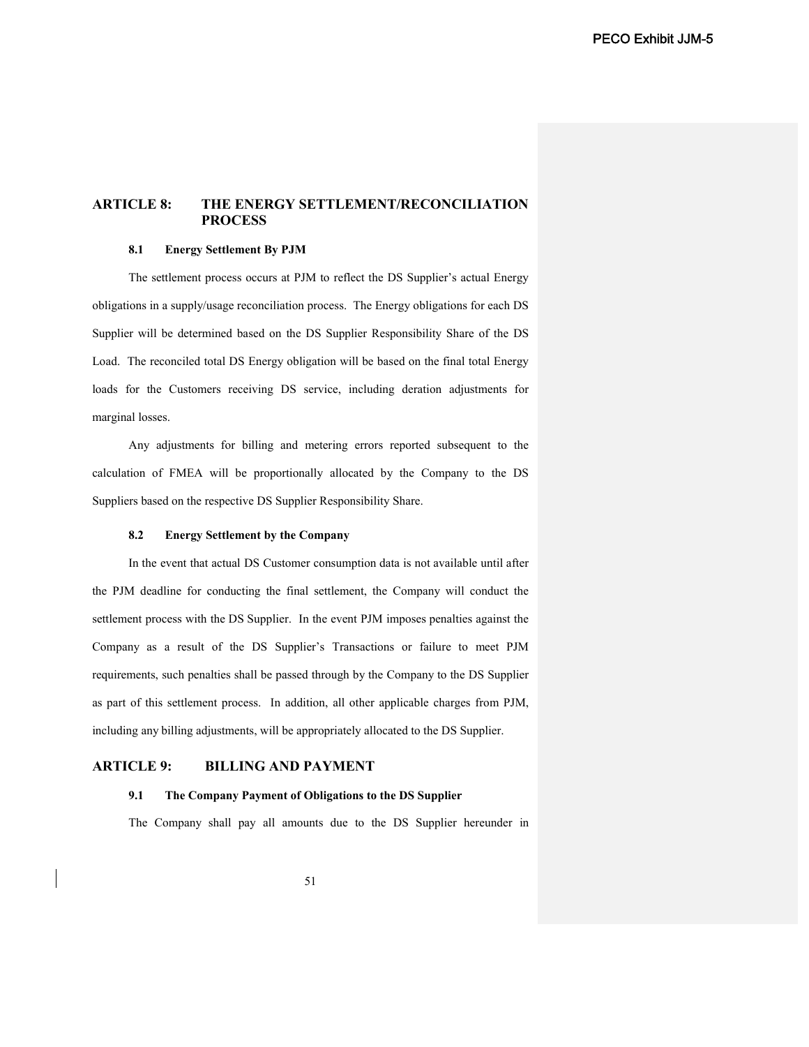# **ARTICLE 8: THE ENERGY SETTLEMENT/RECONCILIATION PROCESS**

#### **8.1 Energy Settlement By PJM**

The settlement process occurs at PJM to reflect the DS Supplier's actual Energy obligations in a supply/usage reconciliation process. The Energy obligations for each DS Supplier will be determined based on the DS Supplier Responsibility Share of the DS Load. The reconciled total DS Energy obligation will be based on the final total Energy loads for the Customers receiving DS service, including deration adjustments for marginal losses.

Any adjustments for billing and metering errors reported subsequent to the calculation of FMEA will be proportionally allocated by the Company to the DS Suppliers based on the respective DS Supplier Responsibility Share.

#### **8.2 Energy Settlement by the Company**

In the event that actual DS Customer consumption data is not available until after the PJM deadline for conducting the final settlement, the Company will conduct the settlement process with the DS Supplier. In the event PJM imposes penalties against the Company as a result of the DS Supplier's Transactions or failure to meet PJM requirements, such penalties shall be passed through by the Company to the DS Supplier as part of this settlement process. In addition, all other applicable charges from PJM, including any billing adjustments, will be appropriately allocated to the DS Supplier.

# **ARTICLE 9: BILLING AND PAYMENT**

#### **9.1 The Company Payment of Obligations to the DS Supplier**

The Company shall pay all amounts due to the DS Supplier hereunder in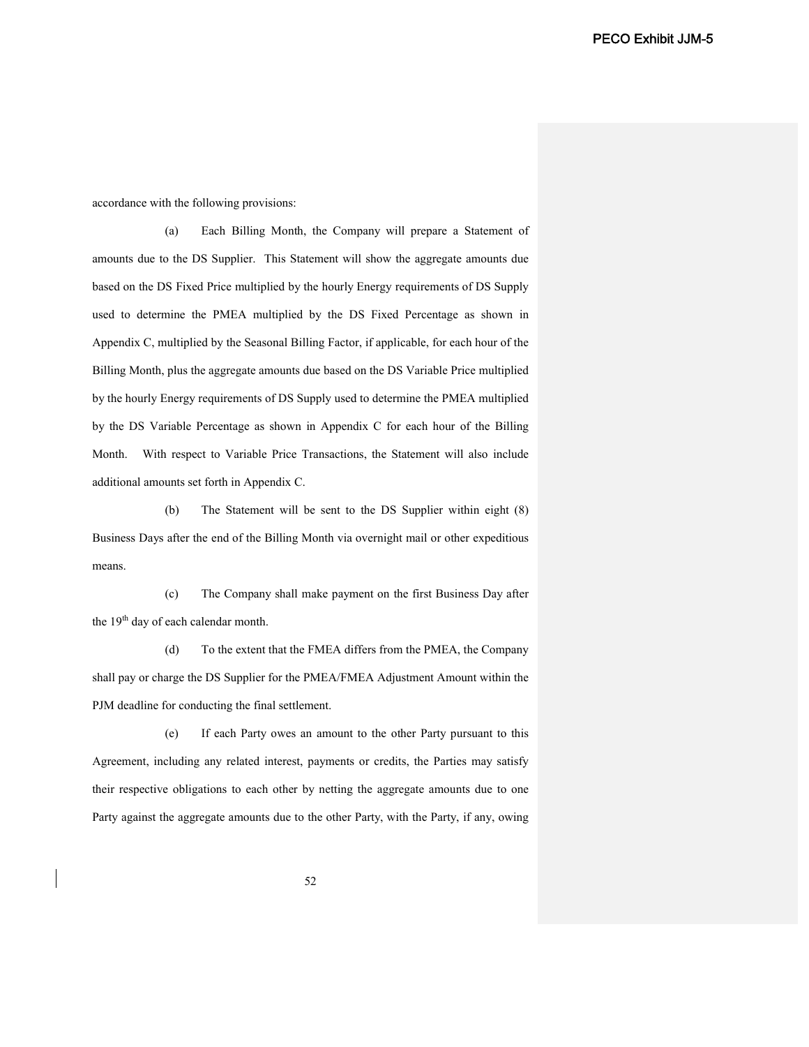accordance with the following provisions:

(a) Each Billing Month, the Company will prepare a Statement of amounts due to the DS Supplier. This Statement will show the aggregate amounts due based on the DS Fixed Price multiplied by the hourly Energy requirements of DS Supply used to determine the PMEA multiplied by the DS Fixed Percentage as shown in Appendix C, multiplied by the Seasonal Billing Factor, if applicable, for each hour of the Billing Month, plus the aggregate amounts due based on the DS Variable Price multiplied by the hourly Energy requirements of DS Supply used to determine the PMEA multiplied by the DS Variable Percentage as shown in Appendix C for each hour of the Billing Month. With respect to Variable Price Transactions, the Statement will also include additional amounts set forth in Appendix C.

(b) The Statement will be sent to the DS Supplier within eight (8) Business Days after the end of the Billing Month via overnight mail or other expeditious means.

(c) The Company shall make payment on the first Business Day after the 19<sup>th</sup> day of each calendar month.

(d) To the extent that the FMEA differs from the PMEA, the Company shall pay or charge the DS Supplier for the PMEA/FMEA Adjustment Amount within the PJM deadline for conducting the final settlement.

(e) If each Party owes an amount to the other Party pursuant to this Agreement, including any related interest, payments or credits, the Parties may satisfy their respective obligations to each other by netting the aggregate amounts due to one Party against the aggregate amounts due to the other Party, with the Party, if any, owing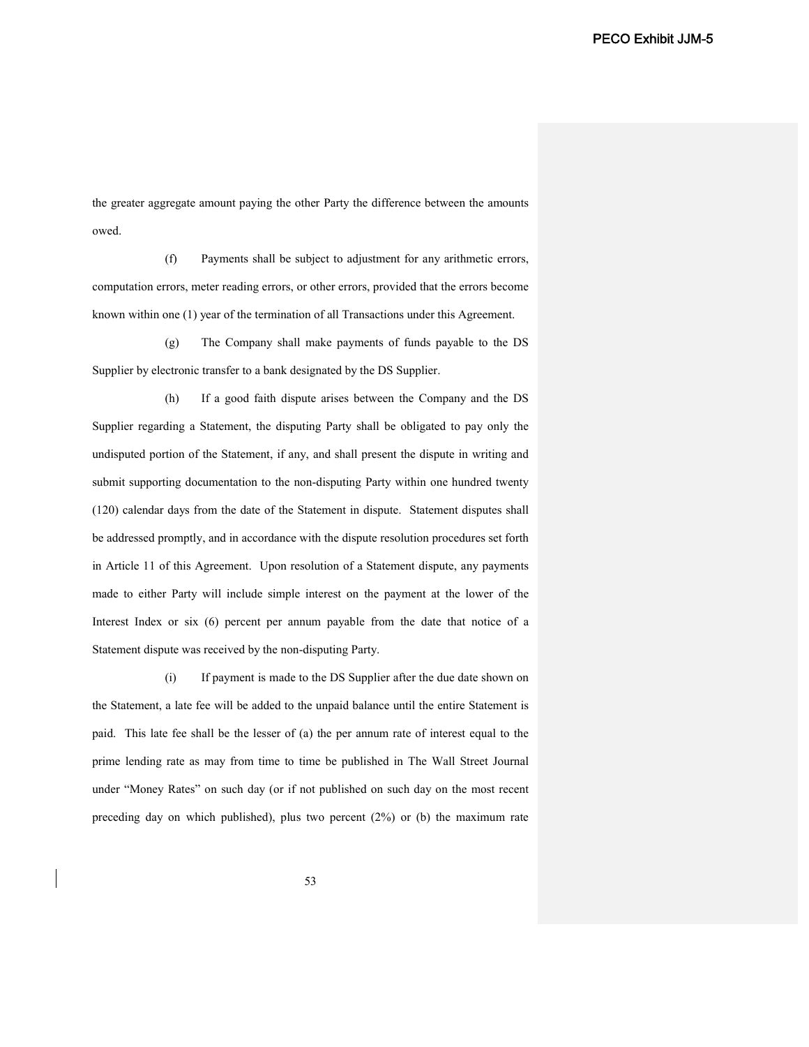the greater aggregate amount paying the other Party the difference between the amounts owed.

(f) Payments shall be subject to adjustment for any arithmetic errors, computation errors, meter reading errors, or other errors, provided that the errors become known within one (1) year of the termination of all Transactions under this Agreement.

(g) The Company shall make payments of funds payable to the DS Supplier by electronic transfer to a bank designated by the DS Supplier.

(h) If a good faith dispute arises between the Company and the DS Supplier regarding a Statement, the disputing Party shall be obligated to pay only the undisputed portion of the Statement, if any, and shall present the dispute in writing and submit supporting documentation to the non-disputing Party within one hundred twenty (120) calendar days from the date of the Statement in dispute. Statement disputes shall be addressed promptly, and in accordance with the dispute resolution procedures set forth in Article 11 of this Agreement. Upon resolution of a Statement dispute, any payments made to either Party will include simple interest on the payment at the lower of the Interest Index or six (6) percent per annum payable from the date that notice of a Statement dispute was received by the non-disputing Party.

(i) If payment is made to the DS Supplier after the due date shown on the Statement, a late fee will be added to the unpaid balance until the entire Statement is paid. This late fee shall be the lesser of (a) the per annum rate of interest equal to the prime lending rate as may from time to time be published in The Wall Street Journal under "Money Rates" on such day (or if not published on such day on the most recent preceding day on which published), plus two percent (2%) or (b) the maximum rate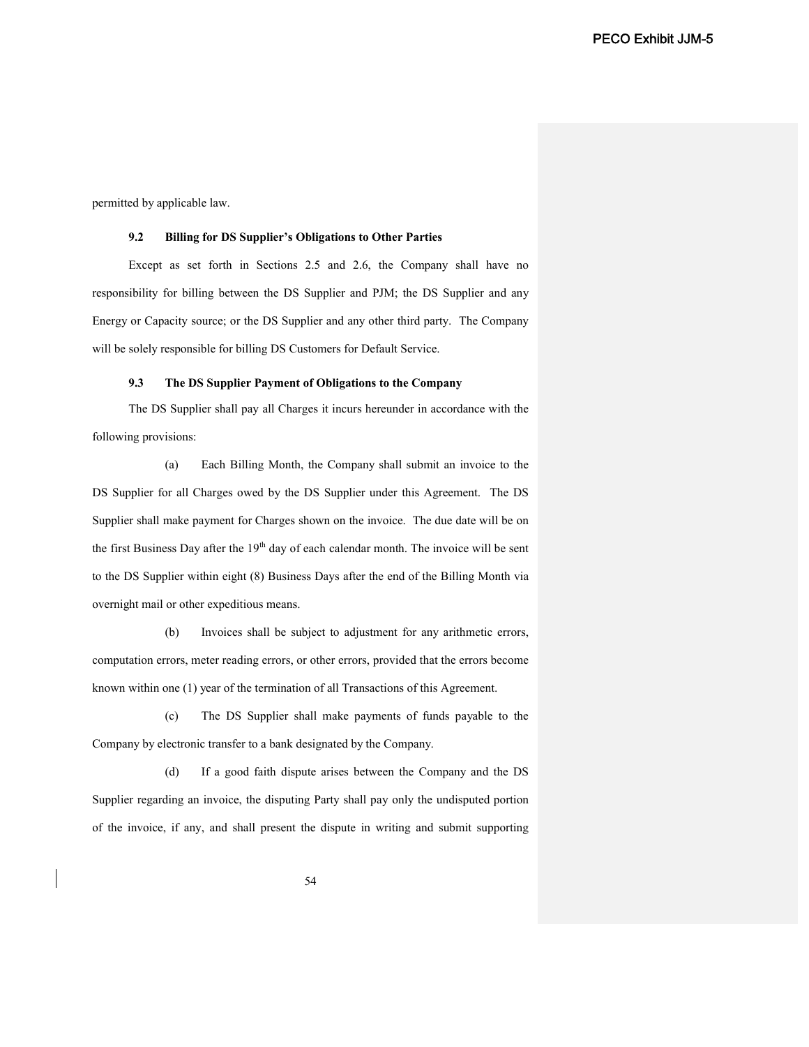permitted by applicable law.

#### **9.2 Billing for DS Supplier's Obligations to Other Parties**

Except as set forth in Sections 2.5 and 2.6, the Company shall have no responsibility for billing between the DS Supplier and PJM; the DS Supplier and any Energy or Capacity source; or the DS Supplier and any other third party. The Company will be solely responsible for billing DS Customers for Default Service.

### **9.3 The DS Supplier Payment of Obligations to the Company**

The DS Supplier shall pay all Charges it incurs hereunder in accordance with the following provisions:

(a) Each Billing Month, the Company shall submit an invoice to the DS Supplier for all Charges owed by the DS Supplier under this Agreement. The DS Supplier shall make payment for Charges shown on the invoice. The due date will be on the first Business Day after the  $19<sup>th</sup>$  day of each calendar month. The invoice will be sent to the DS Supplier within eight (8) Business Days after the end of the Billing Month via overnight mail or other expeditious means.

(b) Invoices shall be subject to adjustment for any arithmetic errors, computation errors, meter reading errors, or other errors, provided that the errors become known within one (1) year of the termination of all Transactions of this Agreement.

(c) The DS Supplier shall make payments of funds payable to the Company by electronic transfer to a bank designated by the Company.

(d) If a good faith dispute arises between the Company and the DS Supplier regarding an invoice, the disputing Party shall pay only the undisputed portion of the invoice, if any, and shall present the dispute in writing and submit supporting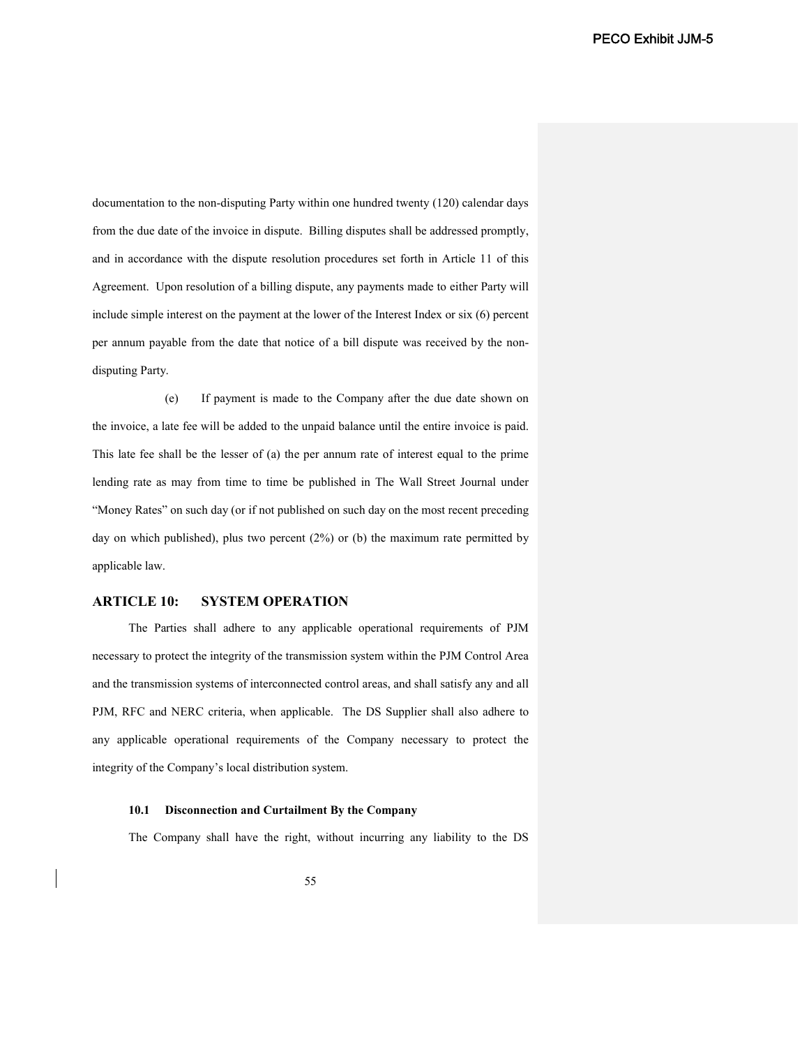documentation to the non-disputing Party within one hundred twenty (120) calendar days from the due date of the invoice in dispute. Billing disputes shall be addressed promptly, and in accordance with the dispute resolution procedures set forth in Article 11 of this Agreement. Upon resolution of a billing dispute, any payments made to either Party will include simple interest on the payment at the lower of the Interest Index or six (6) percent per annum payable from the date that notice of a bill dispute was received by the nondisputing Party.

(e) If payment is made to the Company after the due date shown on the invoice, a late fee will be added to the unpaid balance until the entire invoice is paid. This late fee shall be the lesser of (a) the per annum rate of interest equal to the prime lending rate as may from time to time be published in The Wall Street Journal under "Money Rates" on such day (or if not published on such day on the most recent preceding day on which published), plus two percent (2%) or (b) the maximum rate permitted by applicable law.

# **ARTICLE 10: SYSTEM OPERATION**

The Parties shall adhere to any applicable operational requirements of PJM necessary to protect the integrity of the transmission system within the PJM Control Area and the transmission systems of interconnected control areas, and shall satisfy any and all PJM, RFC and NERC criteria, when applicable. The DS Supplier shall also adhere to any applicable operational requirements of the Company necessary to protect the integrity of the Company's local distribution system.

#### **10.1 Disconnection and Curtailment By the Company**

The Company shall have the right, without incurring any liability to the DS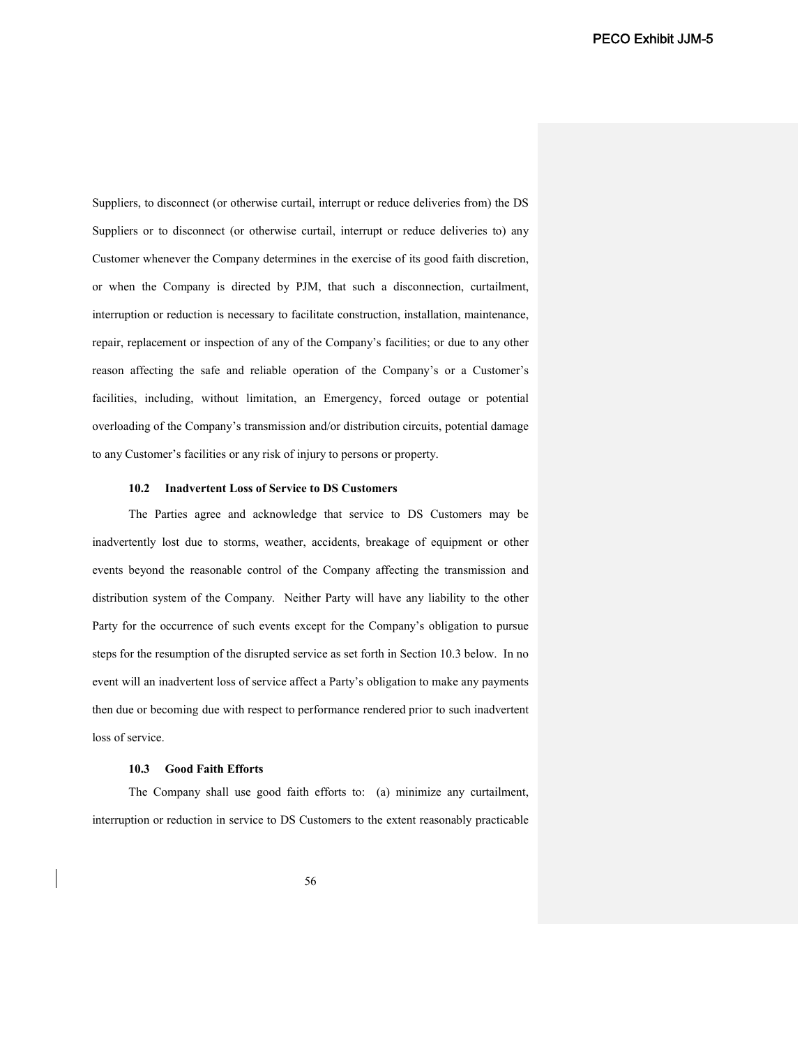Suppliers, to disconnect (or otherwise curtail, interrupt or reduce deliveries from) the DS Suppliers or to disconnect (or otherwise curtail, interrupt or reduce deliveries to) any Customer whenever the Company determines in the exercise of its good faith discretion, or when the Company is directed by PJM, that such a disconnection, curtailment, interruption or reduction is necessary to facilitate construction, installation, maintenance, repair, replacement or inspection of any of the Company's facilities; or due to any other reason affecting the safe and reliable operation of the Company's or a Customer's facilities, including, without limitation, an Emergency, forced outage or potential overloading of the Company's transmission and/or distribution circuits, potential damage to any Customer's facilities or any risk of injury to persons or property.

#### **10.2 Inadvertent Loss of Service to DS Customers**

The Parties agree and acknowledge that service to DS Customers may be inadvertently lost due to storms, weather, accidents, breakage of equipment or other events beyond the reasonable control of the Company affecting the transmission and distribution system of the Company. Neither Party will have any liability to the other Party for the occurrence of such events except for the Company's obligation to pursue steps for the resumption of the disrupted service as set forth in Section 10.3 below. In no event will an inadvertent loss of service affect a Party's obligation to make any payments then due or becoming due with respect to performance rendered prior to such inadvertent loss of service.

### **10.3 Good Faith Efforts**

The Company shall use good faith efforts to: (a) minimize any curtailment, interruption or reduction in service to DS Customers to the extent reasonably practicable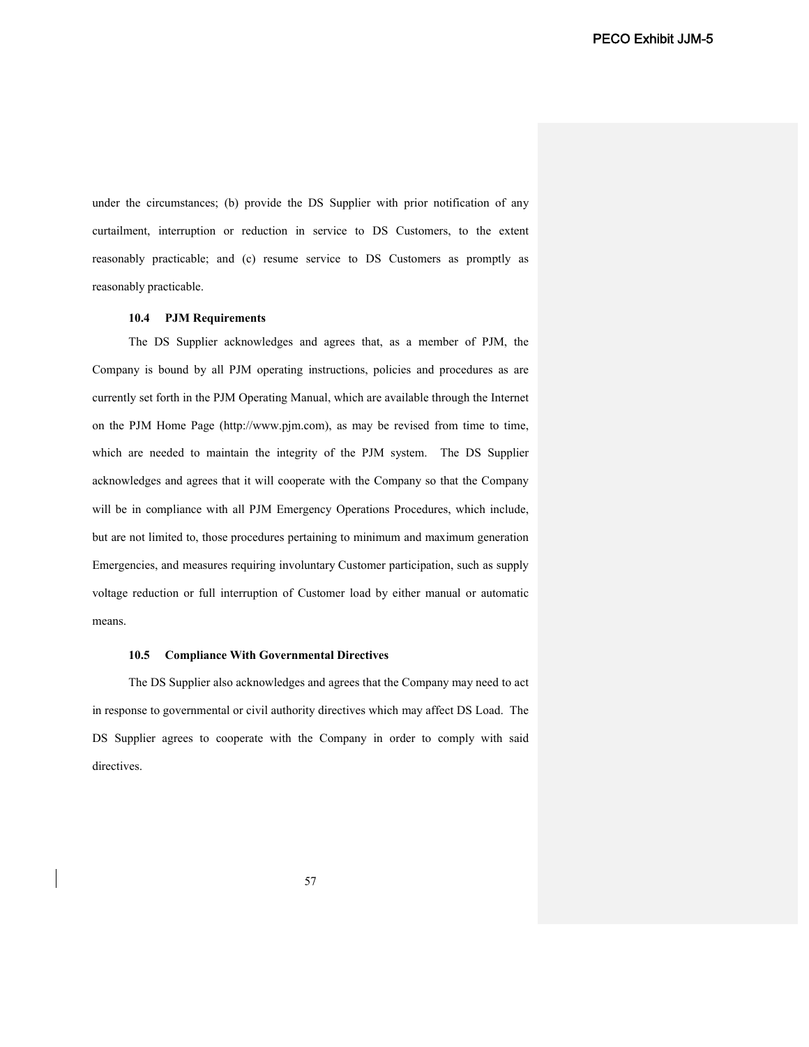under the circumstances; (b) provide the DS Supplier with prior notification of any curtailment, interruption or reduction in service to DS Customers, to the extent reasonably practicable; and (c) resume service to DS Customers as promptly as reasonably practicable.

## **10.4 PJM Requirements**

The DS Supplier acknowledges and agrees that, as a member of PJM, the Company is bound by all PJM operating instructions, policies and procedures as are currently set forth in the PJM Operating Manual, which are available through the Internet on the PJM Home Page (http://www.pjm.com), as may be revised from time to time, which are needed to maintain the integrity of the PJM system. The DS Supplier acknowledges and agrees that it will cooperate with the Company so that the Company will be in compliance with all PJM Emergency Operations Procedures, which include, but are not limited to, those procedures pertaining to minimum and maximum generation Emergencies, and measures requiring involuntary Customer participation, such as supply voltage reduction or full interruption of Customer load by either manual or automatic means.

#### **10.5 Compliance With Governmental Directives**

The DS Supplier also acknowledges and agrees that the Company may need to act in response to governmental or civil authority directives which may affect DS Load. The DS Supplier agrees to cooperate with the Company in order to comply with said directives.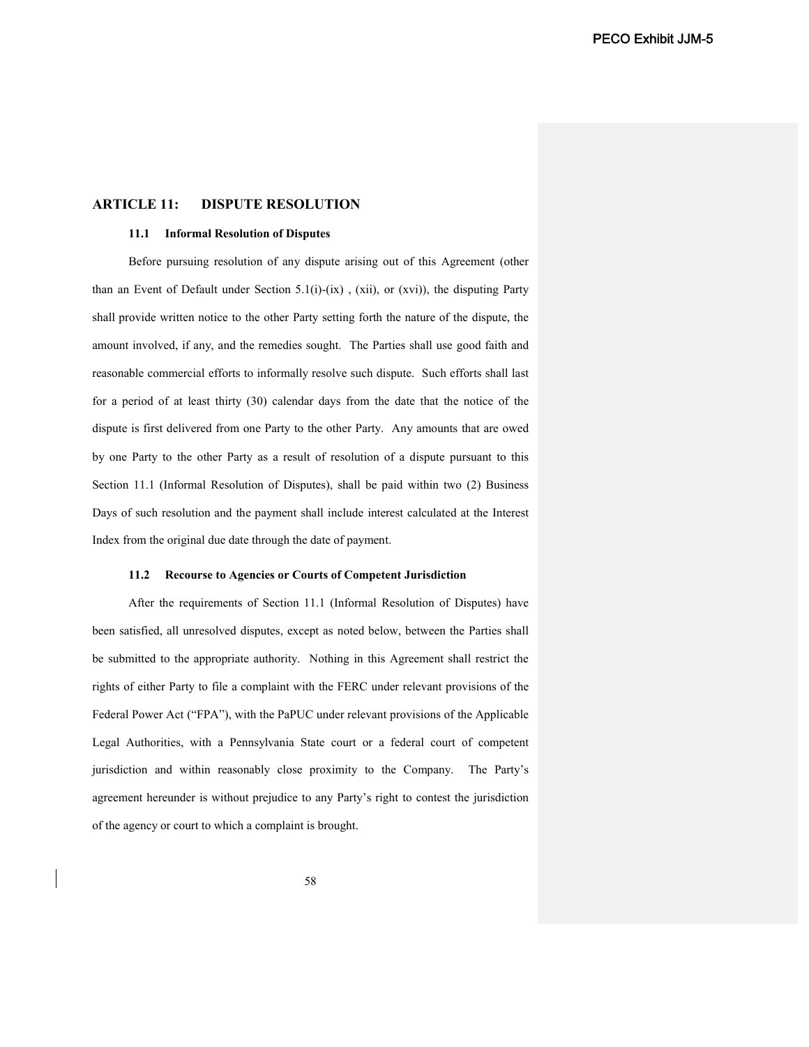# **ARTICLE 11: DISPUTE RESOLUTION**

## **11.1 Informal Resolution of Disputes**

Before pursuing resolution of any dispute arising out of this Agreement (other than an Event of Default under Section 5.1(i)-(ix), (xii), or (xvi)), the disputing Party shall provide written notice to the other Party setting forth the nature of the dispute, the amount involved, if any, and the remedies sought. The Parties shall use good faith and reasonable commercial efforts to informally resolve such dispute. Such efforts shall last for a period of at least thirty (30) calendar days from the date that the notice of the dispute is first delivered from one Party to the other Party. Any amounts that are owed by one Party to the other Party as a result of resolution of a dispute pursuant to this Section 11.1 (Informal Resolution of Disputes), shall be paid within two (2) Business Days of such resolution and the payment shall include interest calculated at the Interest Index from the original due date through the date of payment.

### **11.2 Recourse to Agencies or Courts of Competent Jurisdiction**

After the requirements of Section 11.1 (Informal Resolution of Disputes) have been satisfied, all unresolved disputes, except as noted below, between the Parties shall be submitted to the appropriate authority. Nothing in this Agreement shall restrict the rights of either Party to file a complaint with the FERC under relevant provisions of the Federal Power Act ("FPA"), with the PaPUC under relevant provisions of the Applicable Legal Authorities, with a Pennsylvania State court or a federal court of competent jurisdiction and within reasonably close proximity to the Company. The Party's agreement hereunder is without prejudice to any Party's right to contest the jurisdiction of the agency or court to which a complaint is brought.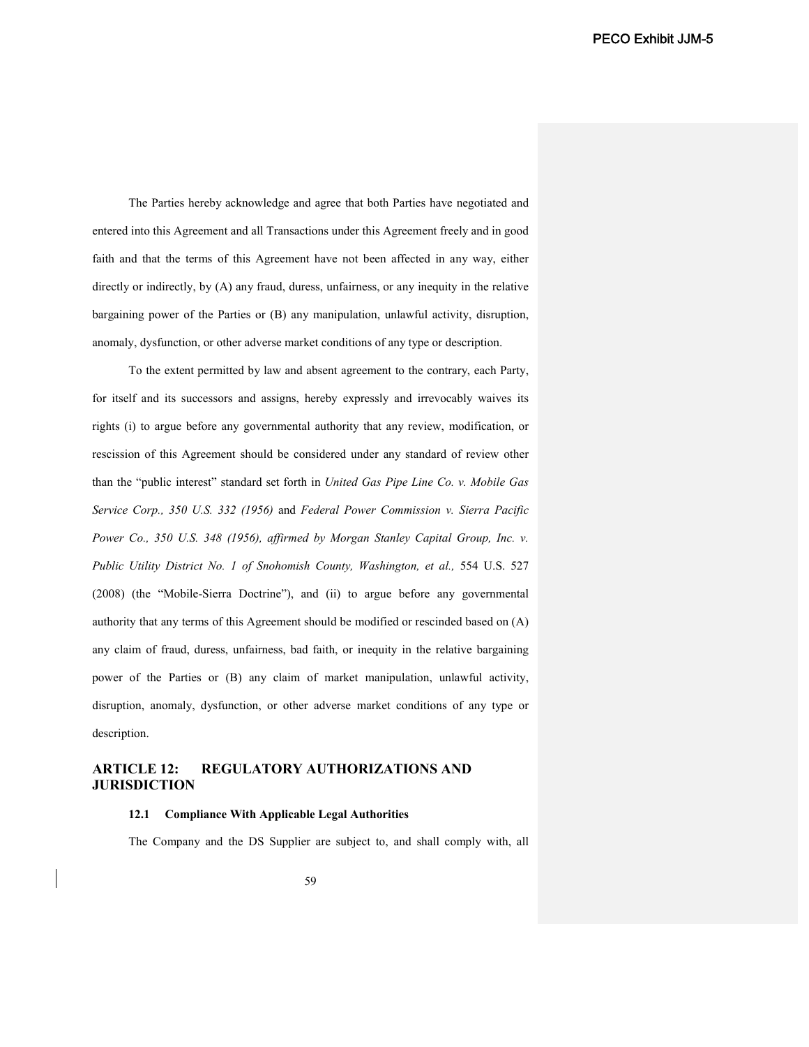The Parties hereby acknowledge and agree that both Parties have negotiated and entered into this Agreement and all Transactions under this Agreement freely and in good faith and that the terms of this Agreement have not been affected in any way, either directly or indirectly, by (A) any fraud, duress, unfairness, or any inequity in the relative bargaining power of the Parties or (B) any manipulation, unlawful activity, disruption, anomaly, dysfunction, or other adverse market conditions of any type or description.

To the extent permitted by law and absent agreement to the contrary, each Party, for itself and its successors and assigns, hereby expressly and irrevocably waives its rights (i) to argue before any governmental authority that any review, modification, or rescission of this Agreement should be considered under any standard of review other than the "public interest" standard set forth in *United Gas Pipe Line Co. v. Mobile Gas Service Corp., 350 U.S. 332 (1956)* and *Federal Power Commission v. Sierra Pacific Power Co., 350 U.S. 348 (1956), affirmed by Morgan Stanley Capital Group, Inc. v.*  Public Utility District No. 1 of Snohomish County, Washington, et al., 554 U.S. 527 (2008) (the "Mobile-Sierra Doctrine"), and (ii) to argue before any governmental authority that any terms of this Agreement should be modified or rescinded based on (A) any claim of fraud, duress, unfairness, bad faith, or inequity in the relative bargaining power of the Parties or (B) any claim of market manipulation, unlawful activity, disruption, anomaly, dysfunction, or other adverse market conditions of any type or description.

# **ARTICLE 12: REGULATORY AUTHORIZATIONS AND JURISDICTION**

## **12.1 Compliance With Applicable Legal Authorities**

The Company and the DS Supplier are subject to, and shall comply with, all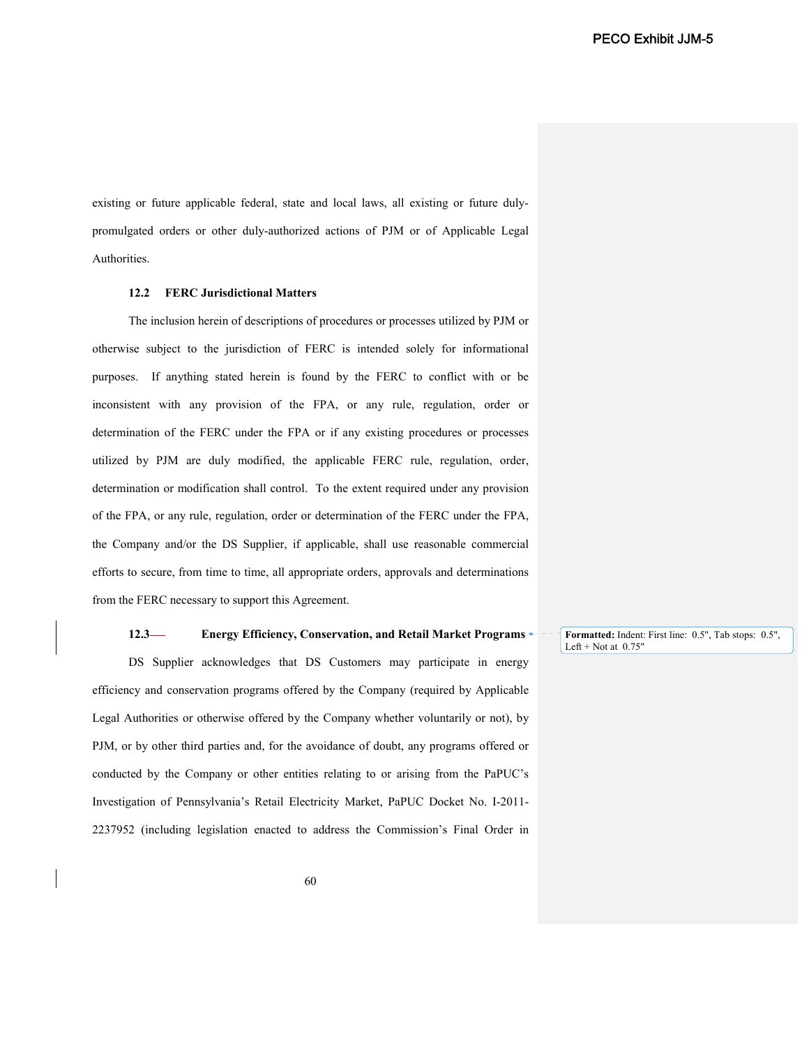existing or future applicable federal, state and local laws, all existing or future dulypromulgated orders or other duly-authorized actions of PJM or of Applicable Legal Authorities.

## **12.2 FERC Jurisdictional Matters**

The inclusion herein of descriptions of procedures or processes utilized by PJM or otherwise subject to the jurisdiction of FERC is intended solely for informational purposes. If anything stated herein is found by the FERC to conflict with or be inconsistent with any provision of the FPA, or any rule, regulation, order or determination of the FERC under the FPA or if any existing procedures or processes utilized by PJM are duly modified, the applicable FERC rule, regulation, order, determination or modification shall control. To the extent required under any provision of the FPA, or any rule, regulation, order or determination of the FERC under the FPA, the Company and/or the DS Supplier, if applicable, shall use reasonable commercial efforts to secure, from time to time, all appropriate orders, approvals and determinations from the FERC necessary to support this Agreement.

### **12.3 Energy Efficiency, Conservation, and Retail Market Programs**

DS Supplier acknowledges that DS Customers may participate in energy efficiency and conservation programs offered by the Company (required by Applicable Legal Authorities or otherwise offered by the Company whether voluntarily or not), by PJM, or by other third parties and, for the avoidance of doubt, any programs offered or conducted by the Company or other entities relating to or arising from the PaPUC's Investigation of Pennsylvania's Retail Electricity Market, PaPUC Docket No. I-2011- 2237952 (including legislation enacted to address the Commission's Final Order in **Formatted:** Indent: First line: 0.5", Tab stops: 0.5", Left + Not at  $0.75$ "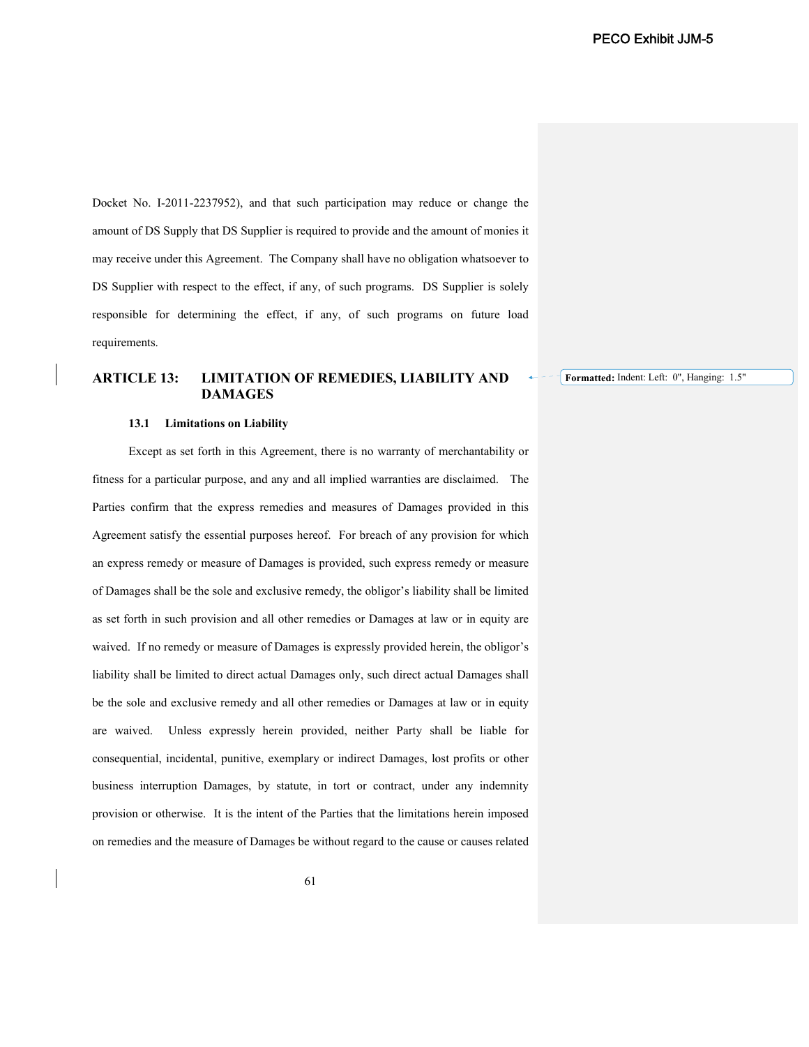Docket No. I-2011-2237952), and that such participation may reduce or change the amount of DS Supply that DS Supplier is required to provide and the amount of monies it may receive under this Agreement. The Company shall have no obligation whatsoever to DS Supplier with respect to the effect, if any, of such programs. DS Supplier is solely responsible for determining the effect, if any, of such programs on future load requirements.

# **ARTICLE 13: LIMITATION OF REMEDIES, LIABILITY AND DAMAGES**

**Formatted:** Indent: Left: 0", Hanging: 1.5"

#### **13.1 Limitations on Liability**

Except as set forth in this Agreement, there is no warranty of merchantability or fitness for a particular purpose, and any and all implied warranties are disclaimed. The Parties confirm that the express remedies and measures of Damages provided in this Agreement satisfy the essential purposes hereof. For breach of any provision for which an express remedy or measure of Damages is provided, such express remedy or measure of Damages shall be the sole and exclusive remedy, the obligor's liability shall be limited as set forth in such provision and all other remedies or Damages at law or in equity are waived. If no remedy or measure of Damages is expressly provided herein, the obligor's liability shall be limited to direct actual Damages only, such direct actual Damages shall be the sole and exclusive remedy and all other remedies or Damages at law or in equity are waived. Unless expressly herein provided, neither Party shall be liable for consequential, incidental, punitive, exemplary or indirect Damages, lost profits or other business interruption Damages, by statute, in tort or contract, under any indemnity provision or otherwise. It is the intent of the Parties that the limitations herein imposed on remedies and the measure of Damages be without regard to the cause or causes related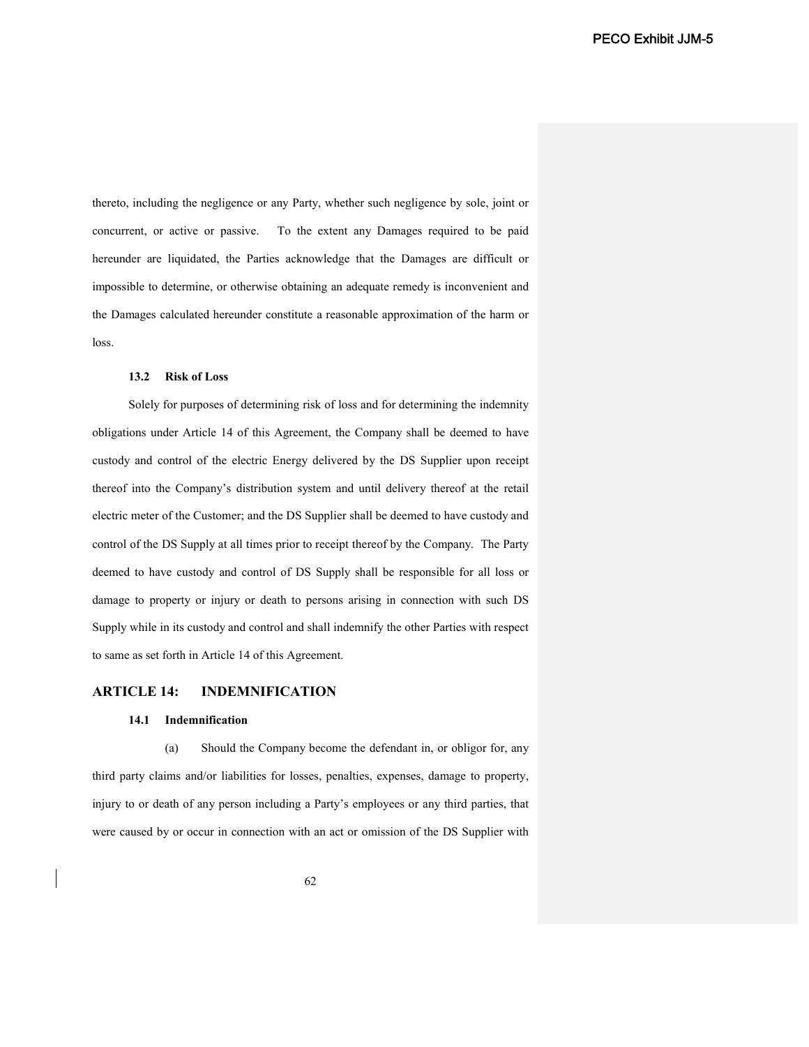thereto, including the negligence or any Party, whether such negligence by sole, joint or concurrent, or active or passive. To the extent any Damages required to be paid hereunder are liquidated, the Parties acknowledge that the Damages are difficult or impossible to determine, or otherwise obtaining an adequate remedy is inconvenient and the Damages calculated hereunder constitute a reasonable approximation of the harm or loss.

### **13.2 Risk of Loss**

Solely for purposes of determining risk of loss and for determining the indemnity obligations under Article 14 of this Agreement, the Company shall be deemed to have custody and control of the electric Energy delivered by the DS Supplier upon receipt thereof into the Company's distribution system and until delivery thereof at the retail electric meter of the Customer; and the DS Supplier shall be deemed to have custody and control of the DS Supply at all times prior to receipt thereof by the Company. The Party deemed to have custody and control of DS Supply shall be responsible for all loss or damage to property or injury or death to persons arising in connection with such DS Supply while in its custody and control and shall indemnify the other Parties with respect to same as set forth in Article 14 of this Agreement.

## **ARTICLE 14: INDEMNIFICATION**

### **14.1 Indemnification**

(a) Should the Company become the defendant in, or obligor for, any third party claims and/or liabilities for losses, penalties, expenses, damage to property, injury to or death of any person including a Party's employees or any third parties, that were caused by or occur in connection with an act or omission of the DS Supplier with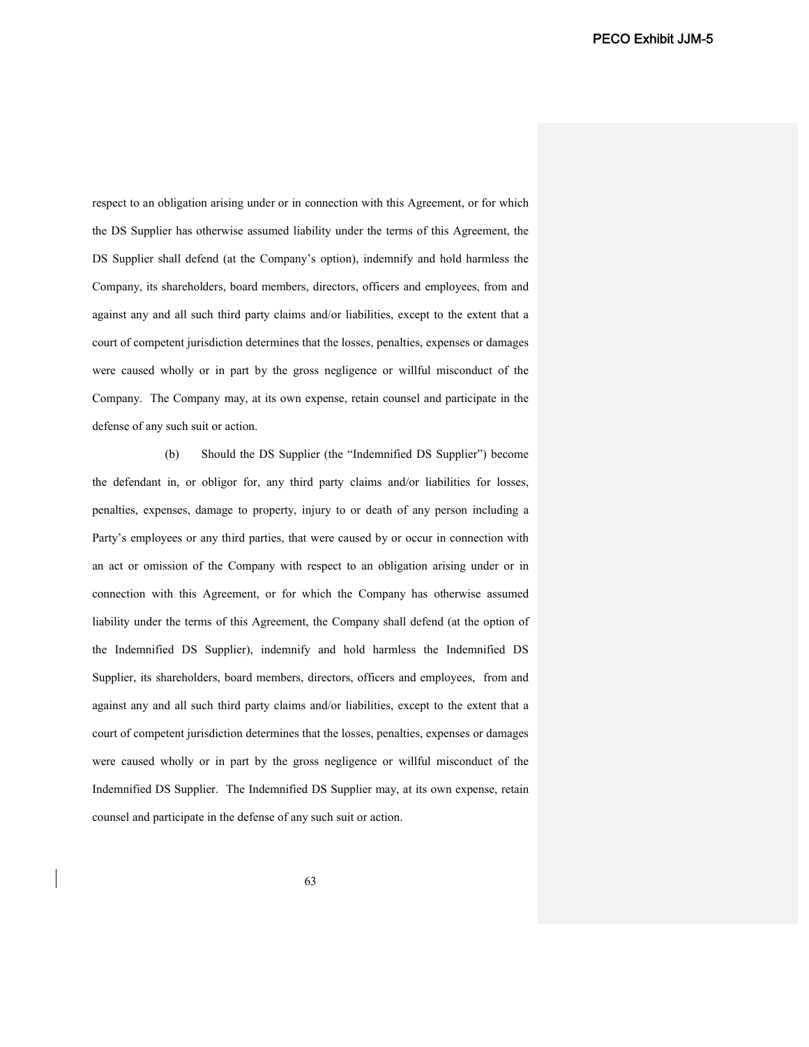respect to an obligation arising under or in connection with this Agreement, or for which the DS Supplier has otherwise assumed liability under the terms of this Agreement, the DS Supplier shall defend (at the Company's option), indemnify and hold harmless the Company, its shareholders, board members, directors, officers and employees, from and against any and all such third party claims and/or liabilities, except to the extent that a court of competent jurisdiction determines that the losses, penalties, expenses or damages were caused wholly or in part by the gross negligence or willful misconduct of the Company. The Company may, at its own expense, retain counsel and participate in the defense of any such suit or action.

(b) Should the DS Supplier (the "Indemnified DS Supplier") become the defendant in, or obligor for, any third party claims and/or liabilities for losses, penalties, expenses, damage to property, injury to or death of any person including a Party's employees or any third parties, that were caused by or occur in connection with an act or omission of the Company with respect to an obligation arising under or in connection with this Agreement, or for which the Company has otherwise assumed liability under the terms of this Agreement, the Company shall defend (at the option of the Indemnified DS Supplier), indemnify and hold harmless the Indemnified DS Supplier, its shareholders, board members, directors, officers and employees, from and against any and all such third party claims and/or liabilities, except to the extent that a court of competent jurisdiction determines that the losses, penalties, expenses or damages were caused wholly or in part by the gross negligence or willful misconduct of the Indemnified DS Supplier. The Indemnified DS Supplier may, at its own expense, retain counsel and participate in the defense of any such suit or action.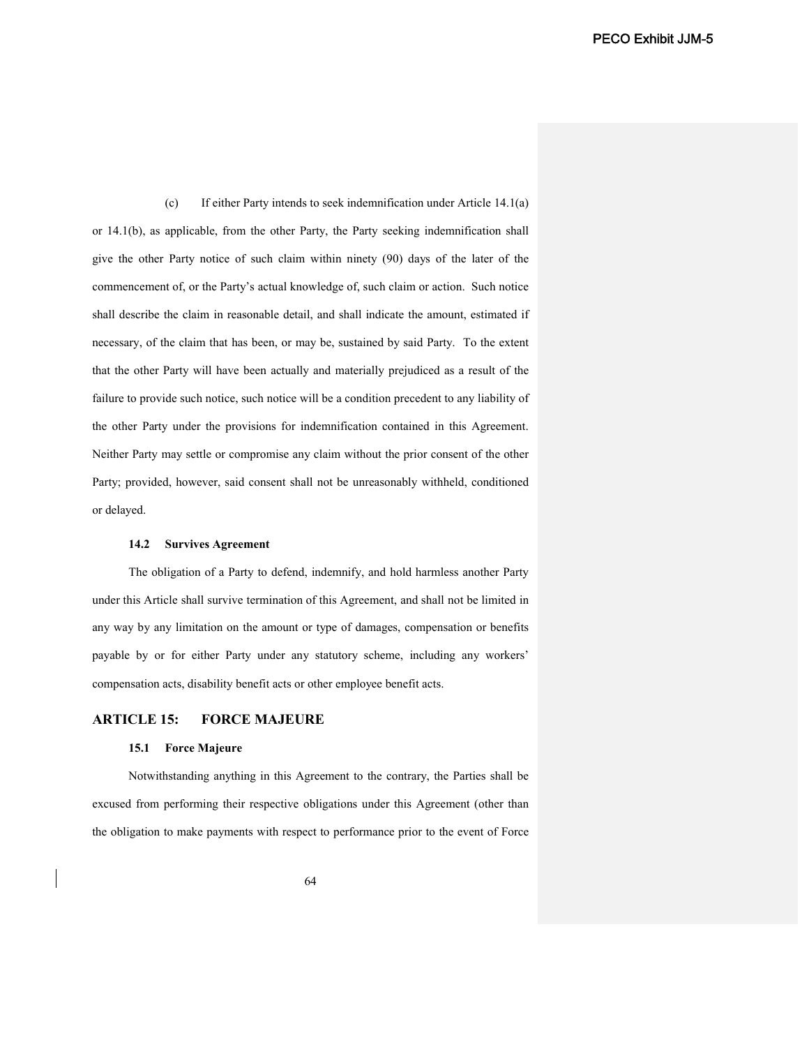(c) If either Party intends to seek indemnification under Article 14.1(a) or 14.1(b), as applicable, from the other Party, the Party seeking indemnification shall give the other Party notice of such claim within ninety (90) days of the later of the commencement of, or the Party's actual knowledge of, such claim or action. Such notice shall describe the claim in reasonable detail, and shall indicate the amount, estimated if necessary, of the claim that has been, or may be, sustained by said Party. To the extent that the other Party will have been actually and materially prejudiced as a result of the failure to provide such notice, such notice will be a condition precedent to any liability of the other Party under the provisions for indemnification contained in this Agreement. Neither Party may settle or compromise any claim without the prior consent of the other Party; provided, however, said consent shall not be unreasonably withheld, conditioned or delayed.

## **14.2 Survives Agreement**

The obligation of a Party to defend, indemnify, and hold harmless another Party under this Article shall survive termination of this Agreement, and shall not be limited in any way by any limitation on the amount or type of damages, compensation or benefits payable by or for either Party under any statutory scheme, including any workers' compensation acts, disability benefit acts or other employee benefit acts.

# **ARTICLE 15: FORCE MAJEURE**

# **15.1 Force Majeure**

Notwithstanding anything in this Agreement to the contrary, the Parties shall be excused from performing their respective obligations under this Agreement (other than the obligation to make payments with respect to performance prior to the event of Force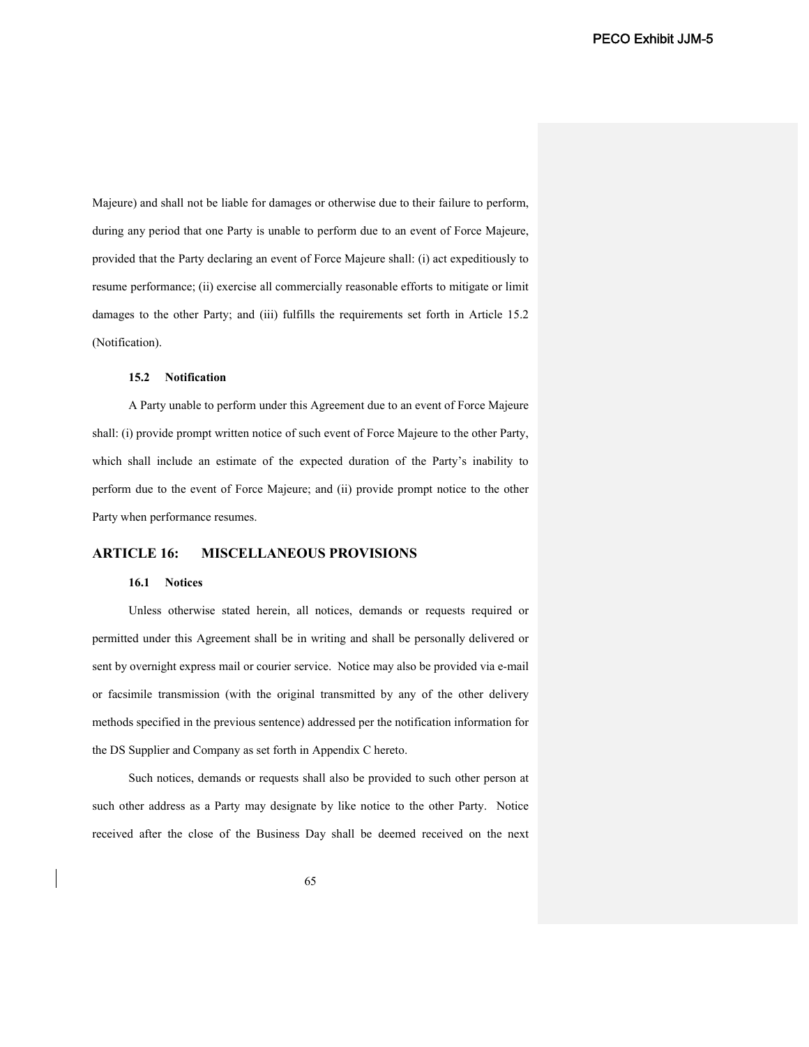Majeure) and shall not be liable for damages or otherwise due to their failure to perform, during any period that one Party is unable to perform due to an event of Force Majeure, provided that the Party declaring an event of Force Majeure shall: (i) act expeditiously to resume performance; (ii) exercise all commercially reasonable efforts to mitigate or limit damages to the other Party; and (iii) fulfills the requirements set forth in Article 15.2 (Notification).

## **15.2 Notification**

A Party unable to perform under this Agreement due to an event of Force Majeure shall: (i) provide prompt written notice of such event of Force Majeure to the other Party, which shall include an estimate of the expected duration of the Party's inability to perform due to the event of Force Majeure; and (ii) provide prompt notice to the other Party when performance resumes.

# **ARTICLE 16: MISCELLANEOUS PROVISIONS**

## **16.1 Notices**

Unless otherwise stated herein, all notices, demands or requests required or permitted under this Agreement shall be in writing and shall be personally delivered or sent by overnight express mail or courier service. Notice may also be provided via e-mail or facsimile transmission (with the original transmitted by any of the other delivery methods specified in the previous sentence) addressed per the notification information for the DS Supplier and Company as set forth in Appendix C hereto.

Such notices, demands or requests shall also be provided to such other person at such other address as a Party may designate by like notice to the other Party. Notice received after the close of the Business Day shall be deemed received on the next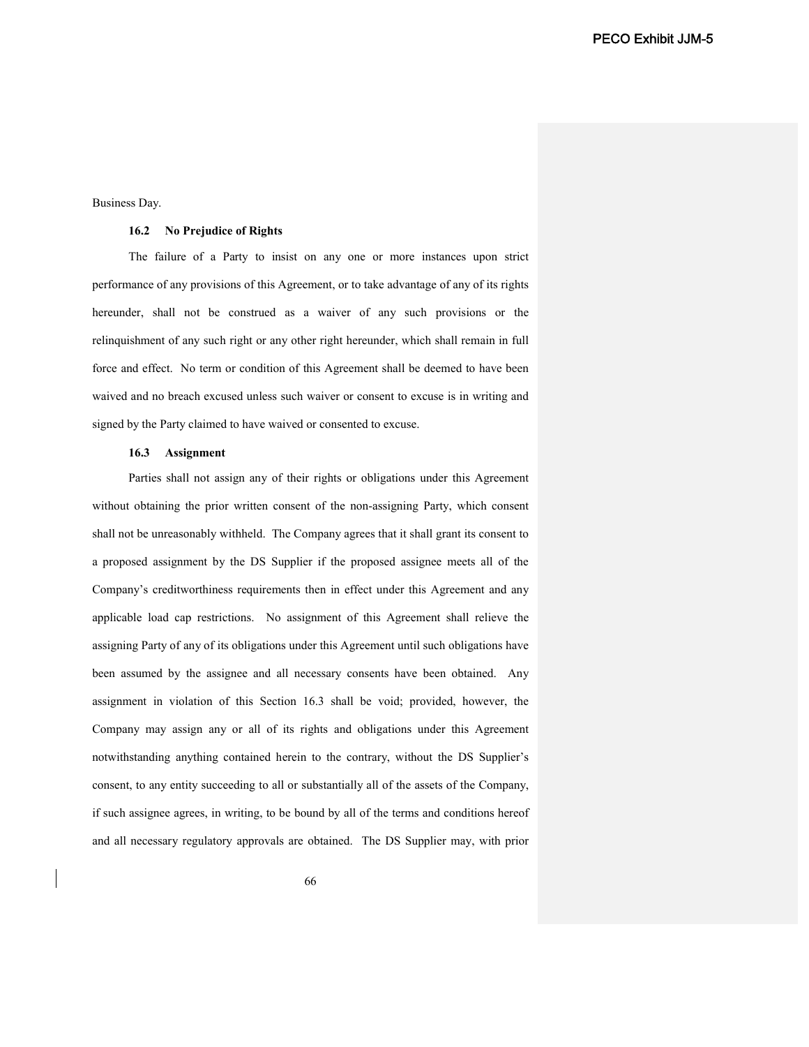Business Day.

### **16.2 No Prejudice of Rights**

The failure of a Party to insist on any one or more instances upon strict performance of any provisions of this Agreement, or to take advantage of any of its rights hereunder, shall not be construed as a waiver of any such provisions or the relinquishment of any such right or any other right hereunder, which shall remain in full force and effect. No term or condition of this Agreement shall be deemed to have been waived and no breach excused unless such waiver or consent to excuse is in writing and signed by the Party claimed to have waived or consented to excuse.

#### **16.3 Assignment**

Parties shall not assign any of their rights or obligations under this Agreement without obtaining the prior written consent of the non-assigning Party, which consent shall not be unreasonably withheld. The Company agrees that it shall grant its consent to a proposed assignment by the DS Supplier if the proposed assignee meets all of the Company's creditworthiness requirements then in effect under this Agreement and any applicable load cap restrictions. No assignment of this Agreement shall relieve the assigning Party of any of its obligations under this Agreement until such obligations have been assumed by the assignee and all necessary consents have been obtained. Any assignment in violation of this Section 16.3 shall be void; provided, however, the Company may assign any or all of its rights and obligations under this Agreement notwithstanding anything contained herein to the contrary, without the DS Supplier's consent, to any entity succeeding to all or substantially all of the assets of the Company, if such assignee agrees, in writing, to be bound by all of the terms and conditions hereof and all necessary regulatory approvals are obtained. The DS Supplier may, with prior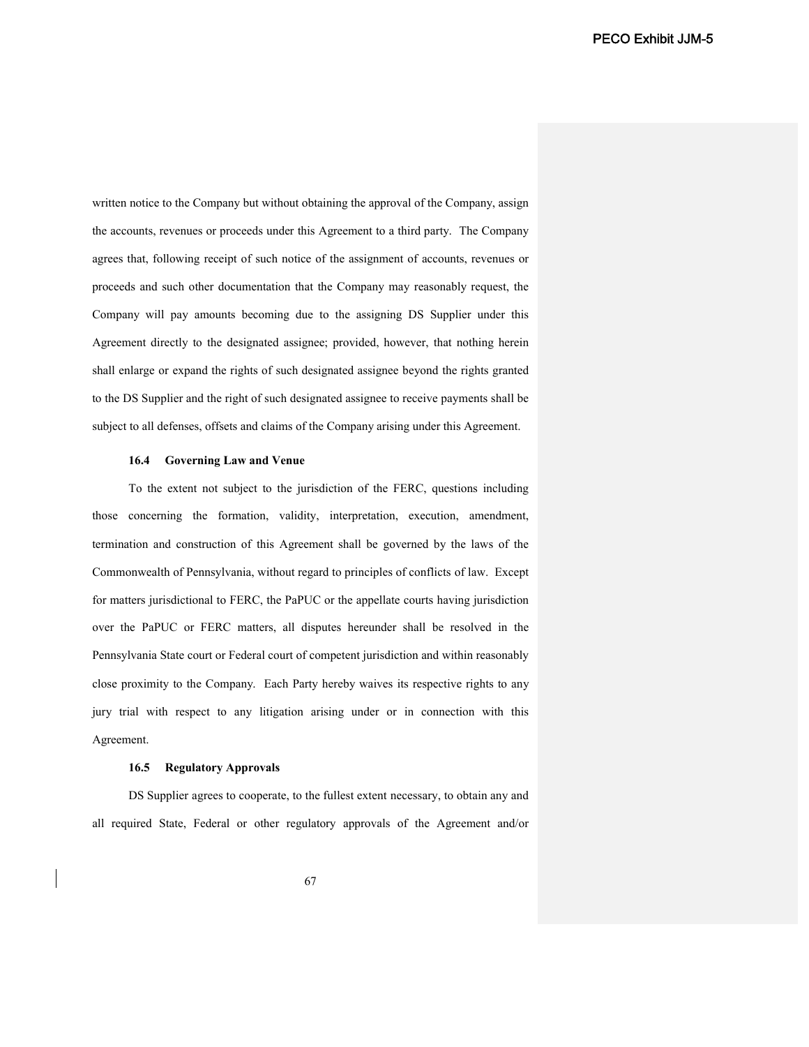written notice to the Company but without obtaining the approval of the Company, assign the accounts, revenues or proceeds under this Agreement to a third party. The Company agrees that, following receipt of such notice of the assignment of accounts, revenues or proceeds and such other documentation that the Company may reasonably request, the Company will pay amounts becoming due to the assigning DS Supplier under this Agreement directly to the designated assignee; provided, however, that nothing herein shall enlarge or expand the rights of such designated assignee beyond the rights granted to the DS Supplier and the right of such designated assignee to receive payments shall be subject to all defenses, offsets and claims of the Company arising under this Agreement.

#### **16.4 Governing Law and Venue**

To the extent not subject to the jurisdiction of the FERC, questions including those concerning the formation, validity, interpretation, execution, amendment, termination and construction of this Agreement shall be governed by the laws of the Commonwealth of Pennsylvania, without regard to principles of conflicts of law. Except for matters jurisdictional to FERC, the PaPUC or the appellate courts having jurisdiction over the PaPUC or FERC matters, all disputes hereunder shall be resolved in the Pennsylvania State court or Federal court of competent jurisdiction and within reasonably close proximity to the Company. Each Party hereby waives its respective rights to any jury trial with respect to any litigation arising under or in connection with this Agreement.

#### **16.5 Regulatory Approvals**

DS Supplier agrees to cooperate, to the fullest extent necessary, to obtain any and all required State, Federal or other regulatory approvals of the Agreement and/or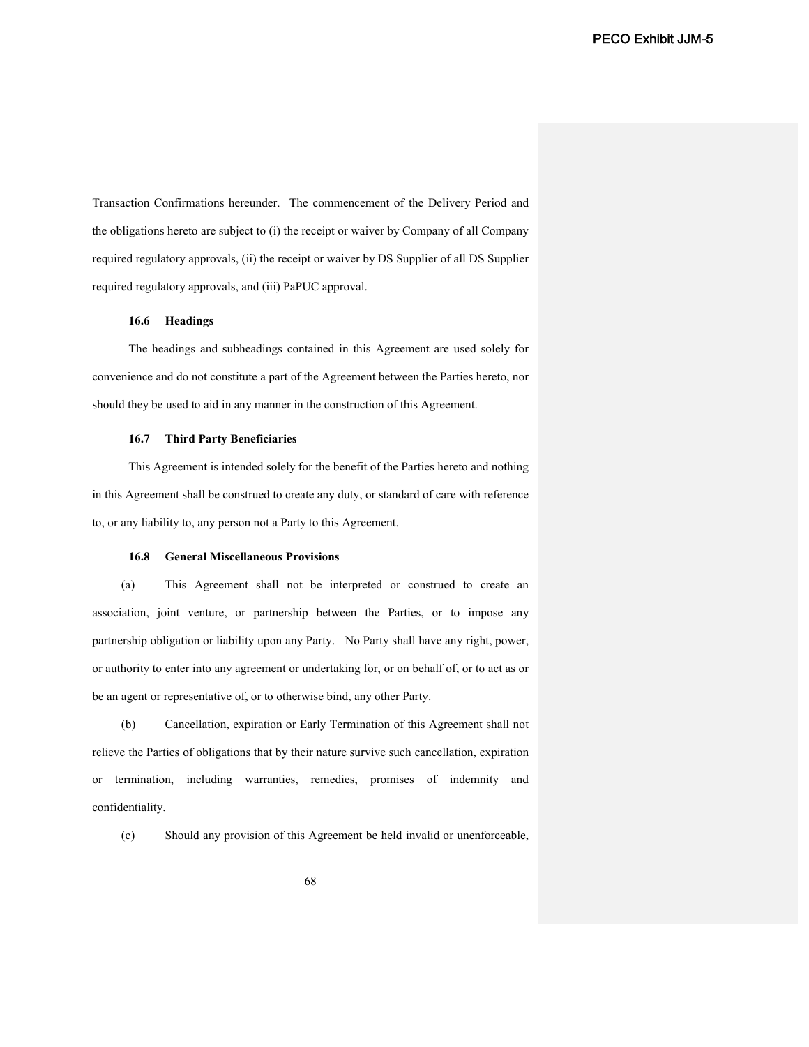Transaction Confirmations hereunder. The commencement of the Delivery Period and the obligations hereto are subject to (i) the receipt or waiver by Company of all Company required regulatory approvals, (ii) the receipt or waiver by DS Supplier of all DS Supplier required regulatory approvals, and (iii) PaPUC approval.

## **16.6 Headings**

The headings and subheadings contained in this Agreement are used solely for convenience and do not constitute a part of the Agreement between the Parties hereto, nor should they be used to aid in any manner in the construction of this Agreement.

### **16.7 Third Party Beneficiaries**

This Agreement is intended solely for the benefit of the Parties hereto and nothing in this Agreement shall be construed to create any duty, or standard of care with reference to, or any liability to, any person not a Party to this Agreement.

#### **16.8 General Miscellaneous Provisions**

(a) This Agreement shall not be interpreted or construed to create an association, joint venture, or partnership between the Parties, or to impose any partnership obligation or liability upon any Party. No Party shall have any right, power, or authority to enter into any agreement or undertaking for, or on behalf of, or to act as or be an agent or representative of, or to otherwise bind, any other Party.

(b) Cancellation, expiration or Early Termination of this Agreement shall not relieve the Parties of obligations that by their nature survive such cancellation, expiration or termination, including warranties, remedies, promises of indemnity and confidentiality.

(c) Should any provision of this Agreement be held invalid or unenforceable,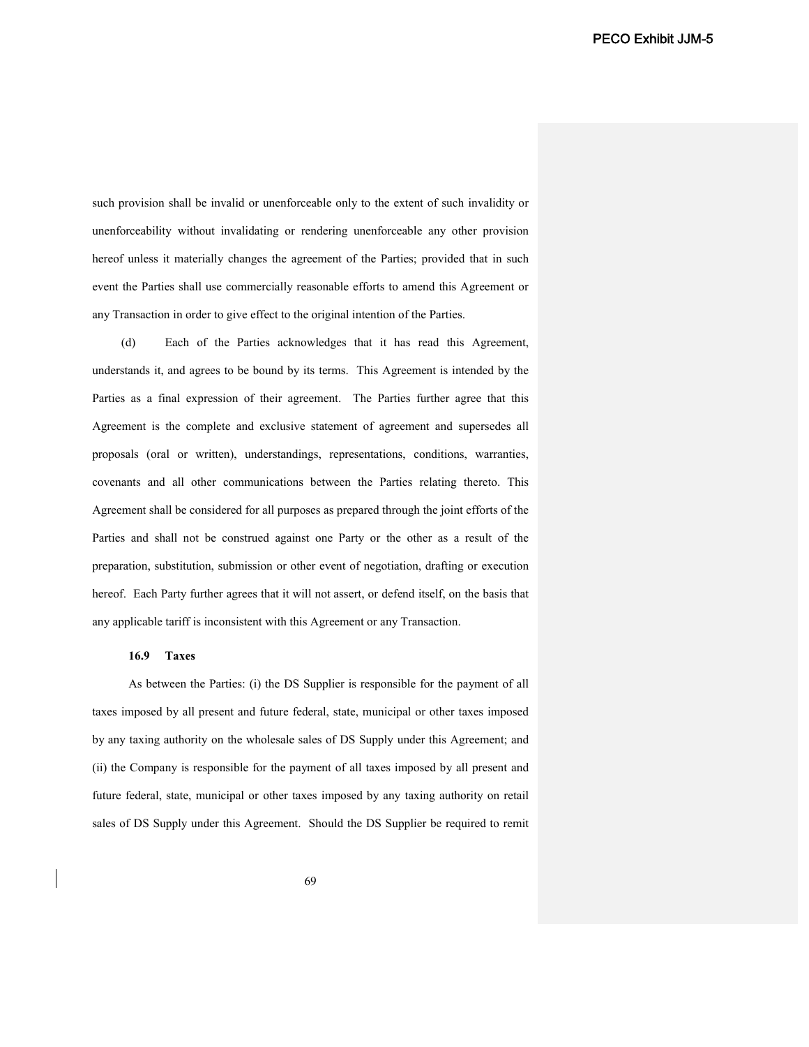such provision shall be invalid or unenforceable only to the extent of such invalidity or unenforceability without invalidating or rendering unenforceable any other provision hereof unless it materially changes the agreement of the Parties; provided that in such event the Parties shall use commercially reasonable efforts to amend this Agreement or any Transaction in order to give effect to the original intention of the Parties.

(d) Each of the Parties acknowledges that it has read this Agreement, understands it, and agrees to be bound by its terms. This Agreement is intended by the Parties as a final expression of their agreement. The Parties further agree that this Agreement is the complete and exclusive statement of agreement and supersedes all proposals (oral or written), understandings, representations, conditions, warranties, covenants and all other communications between the Parties relating thereto. This Agreement shall be considered for all purposes as prepared through the joint efforts of the Parties and shall not be construed against one Party or the other as a result of the preparation, substitution, submission or other event of negotiation, drafting or execution hereof. Each Party further agrees that it will not assert, or defend itself, on the basis that any applicable tariff is inconsistent with this Agreement or any Transaction.

### **16.9 Taxes**

As between the Parties: (i) the DS Supplier is responsible for the payment of all taxes imposed by all present and future federal, state, municipal or other taxes imposed by any taxing authority on the wholesale sales of DS Supply under this Agreement; and (ii) the Company is responsible for the payment of all taxes imposed by all present and future federal, state, municipal or other taxes imposed by any taxing authority on retail sales of DS Supply under this Agreement. Should the DS Supplier be required to remit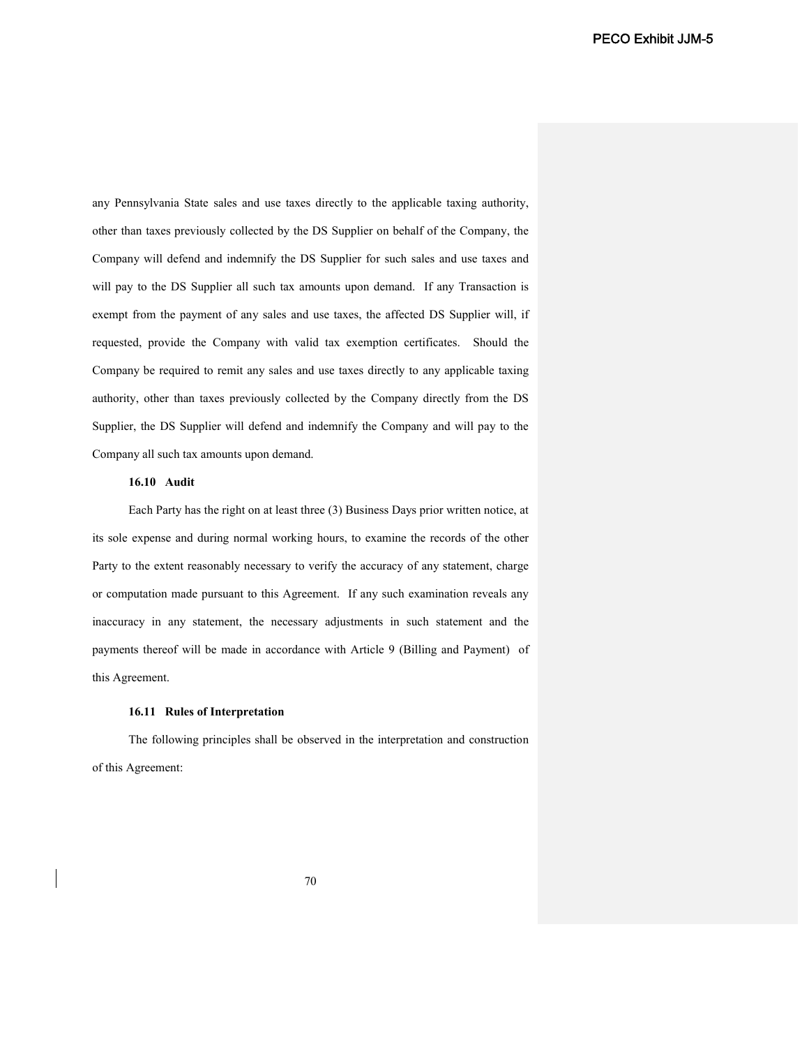any Pennsylvania State sales and use taxes directly to the applicable taxing authority, other than taxes previously collected by the DS Supplier on behalf of the Company, the Company will defend and indemnify the DS Supplier for such sales and use taxes and will pay to the DS Supplier all such tax amounts upon demand. If any Transaction is exempt from the payment of any sales and use taxes, the affected DS Supplier will, if requested, provide the Company with valid tax exemption certificates. Should the Company be required to remit any sales and use taxes directly to any applicable taxing authority, other than taxes previously collected by the Company directly from the DS Supplier, the DS Supplier will defend and indemnify the Company and will pay to the Company all such tax amounts upon demand.

# **16.10 Audit**

Each Party has the right on at least three (3) Business Days prior written notice, at its sole expense and during normal working hours, to examine the records of the other Party to the extent reasonably necessary to verify the accuracy of any statement, charge or computation made pursuant to this Agreement. If any such examination reveals any inaccuracy in any statement, the necessary adjustments in such statement and the payments thereof will be made in accordance with Article 9 (Billing and Payment) of this Agreement.

### **16.11 Rules of Interpretation**

The following principles shall be observed in the interpretation and construction of this Agreement: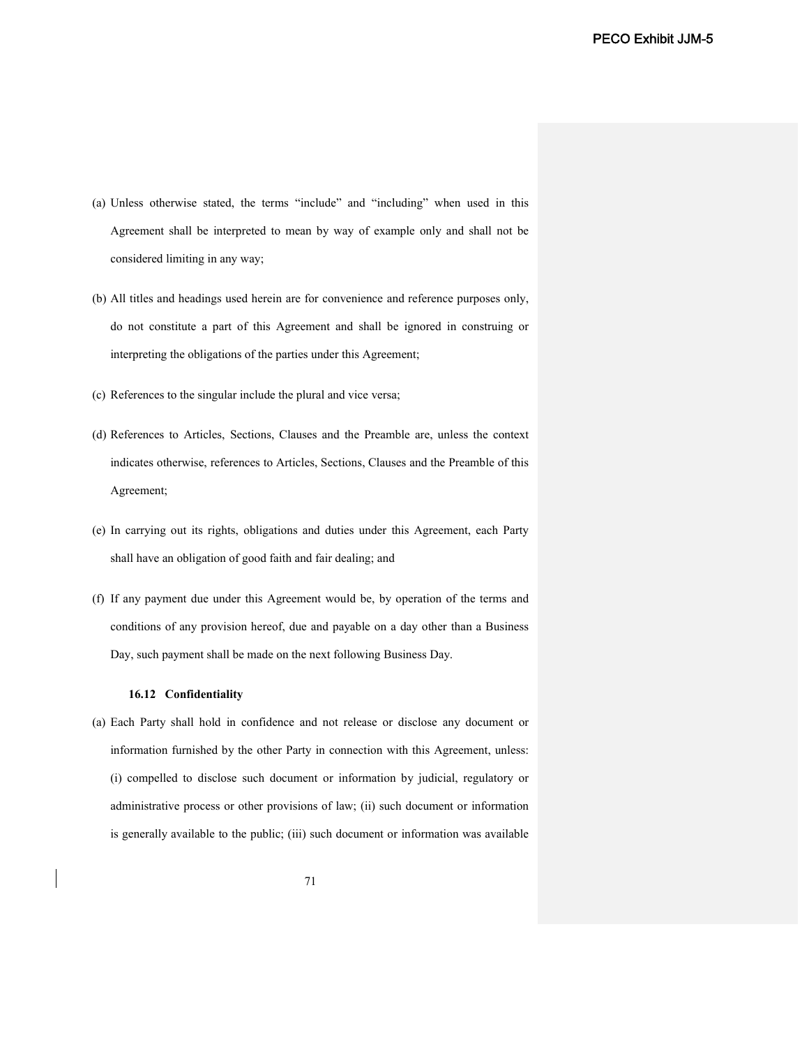- (a) Unless otherwise stated, the terms "include" and "including" when used in this Agreement shall be interpreted to mean by way of example only and shall not be considered limiting in any way;
- (b) All titles and headings used herein are for convenience and reference purposes only, do not constitute a part of this Agreement and shall be ignored in construing or interpreting the obligations of the parties under this Agreement;
- (c) References to the singular include the plural and vice versa;
- (d) References to Articles, Sections, Clauses and the Preamble are, unless the context indicates otherwise, references to Articles, Sections, Clauses and the Preamble of this Agreement;
- (e) In carrying out its rights, obligations and duties under this Agreement, each Party shall have an obligation of good faith and fair dealing; and
- (f) If any payment due under this Agreement would be, by operation of the terms and conditions of any provision hereof, due and payable on a day other than a Business Day, such payment shall be made on the next following Business Day.

# **16.12 Confidentiality**

(a) Each Party shall hold in confidence and not release or disclose any document or information furnished by the other Party in connection with this Agreement, unless: (i) compelled to disclose such document or information by judicial, regulatory or administrative process or other provisions of law; (ii) such document or information is generally available to the public; (iii) such document or information was available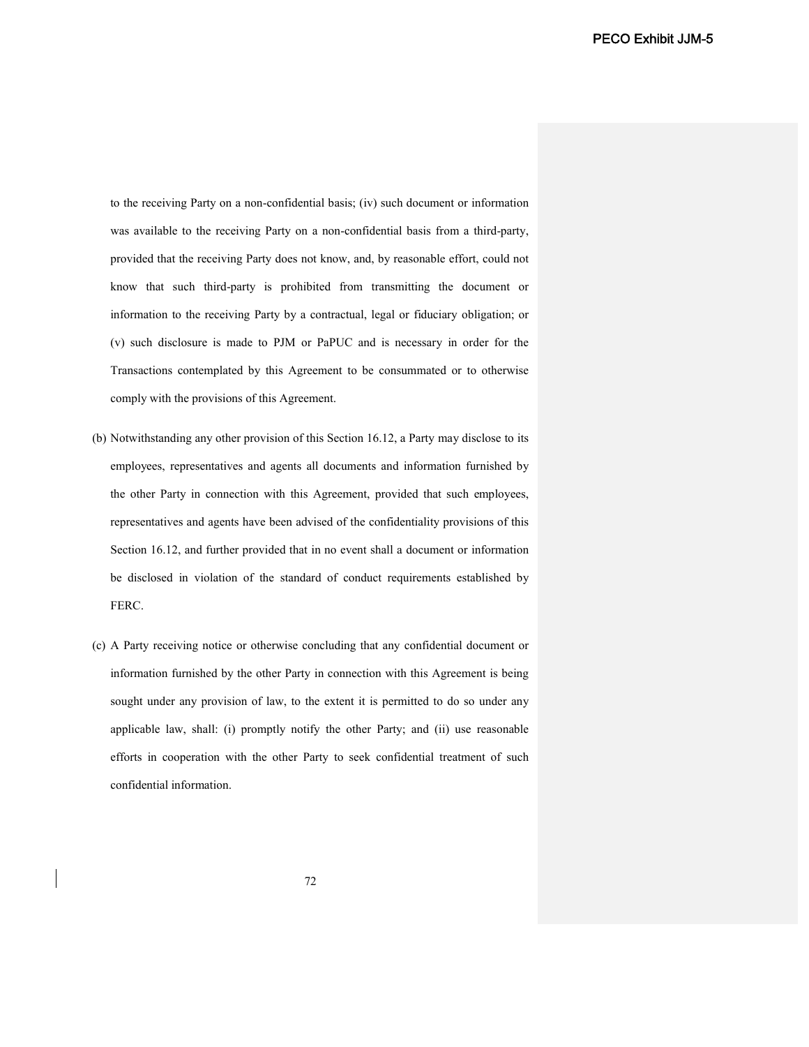to the receiving Party on a non-confidential basis; (iv) such document or information was available to the receiving Party on a non-confidential basis from a third-party, provided that the receiving Party does not know, and, by reasonable effort, could not know that such third-party is prohibited from transmitting the document or information to the receiving Party by a contractual, legal or fiduciary obligation; or (v) such disclosure is made to PJM or PaPUC and is necessary in order for the Transactions contemplated by this Agreement to be consummated or to otherwise comply with the provisions of this Agreement.

- (b) Notwithstanding any other provision of this Section 16.12, a Party may disclose to its employees, representatives and agents all documents and information furnished by the other Party in connection with this Agreement, provided that such employees, representatives and agents have been advised of the confidentiality provisions of this Section 16.12, and further provided that in no event shall a document or information be disclosed in violation of the standard of conduct requirements established by FERC.
- (c) A Party receiving notice or otherwise concluding that any confidential document or information furnished by the other Party in connection with this Agreement is being sought under any provision of law, to the extent it is permitted to do so under any applicable law, shall: (i) promptly notify the other Party; and (ii) use reasonable efforts in cooperation with the other Party to seek confidential treatment of such confidential information.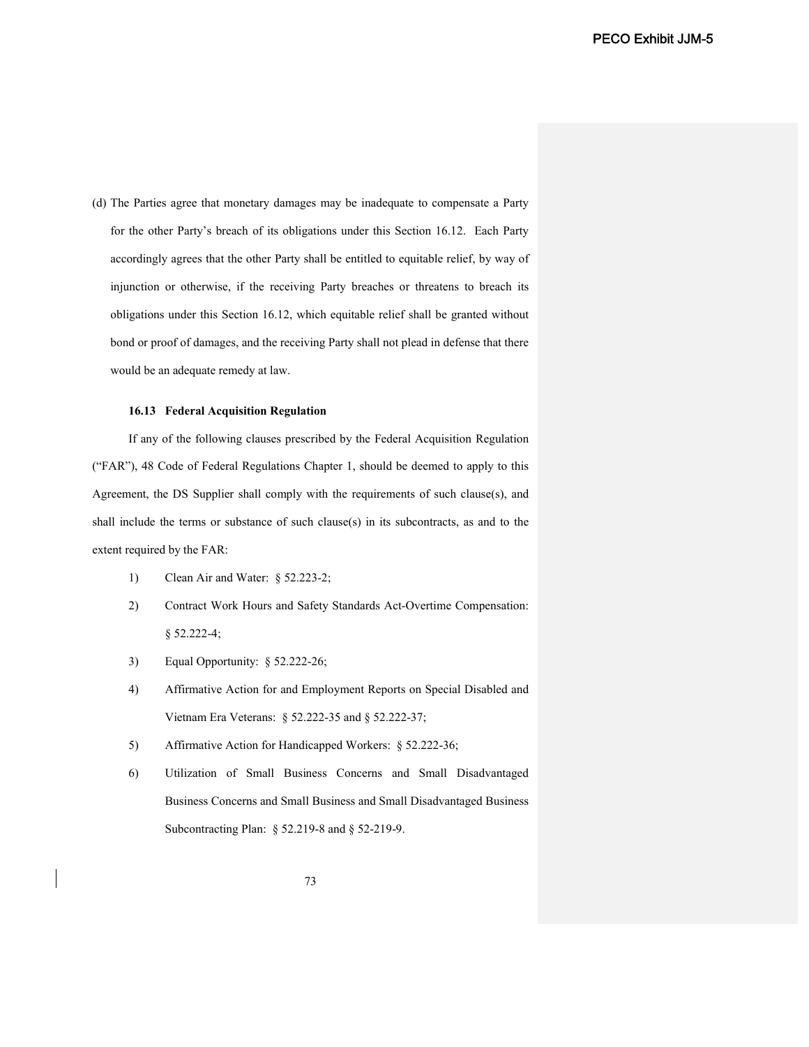(d) The Parties agree that monetary damages may be inadequate to compensate a Party for the other Party's breach of its obligations under this Section 16.12. Each Party accordingly agrees that the other Party shall be entitled to equitable relief, by way of injunction or otherwise, if the receiving Party breaches or threatens to breach its obligations under this Section 16.12, which equitable relief shall be granted without bond or proof of damages, and the receiving Party shall not plead in defense that there would be an adequate remedy at law.

## **16.13 Federal Acquisition Regulation**

If any of the following clauses prescribed by the Federal Acquisition Regulation ("FAR"), 48 Code of Federal Regulations Chapter 1, should be deemed to apply to this Agreement, the DS Supplier shall comply with the requirements of such clause(s), and shall include the terms or substance of such clause(s) in its subcontracts, as and to the extent required by the FAR:

- 1) Clean Air and Water: § 52.223-2;
- 2) Contract Work Hours and Safety Standards Act-Overtime Compensation: § 52.222-4;
- 3) Equal Opportunity: § 52.222-26;
- 4) Affirmative Action for and Employment Reports on Special Disabled and Vietnam Era Veterans: § 52.222-35 and § 52.222-37;
- 5) Affirmative Action for Handicapped Workers: § 52.222-36;
- 6) Utilization of Small Business Concerns and Small Disadvantaged Business Concerns and Small Business and Small Disadvantaged Business Subcontracting Plan: § 52.219-8 and § 52-219-9.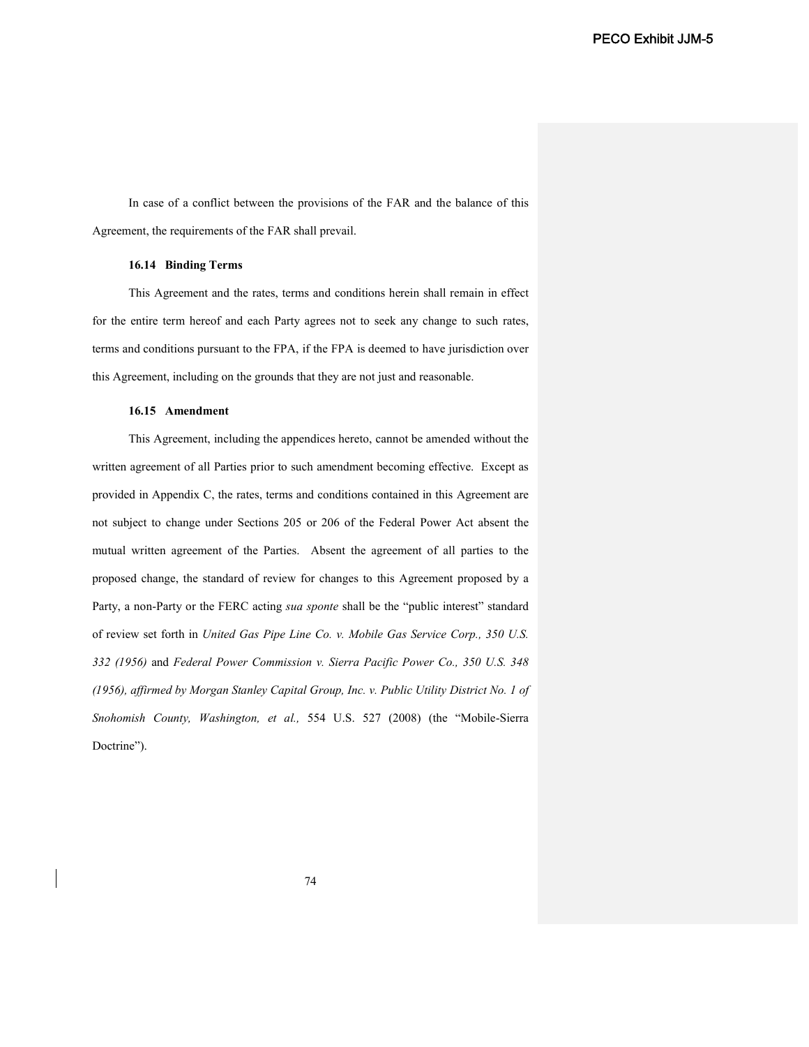In case of a conflict between the provisions of the FAR and the balance of this Agreement, the requirements of the FAR shall prevail.

# **16.14 Binding Terms**

This Agreement and the rates, terms and conditions herein shall remain in effect for the entire term hereof and each Party agrees not to seek any change to such rates, terms and conditions pursuant to the FPA, if the FPA is deemed to have jurisdiction over this Agreement, including on the grounds that they are not just and reasonable.

### **16.15 Amendment**

This Agreement, including the appendices hereto, cannot be amended without the written agreement of all Parties prior to such amendment becoming effective. Except as provided in Appendix C, the rates, terms and conditions contained in this Agreement are not subject to change under Sections 205 or 206 of the Federal Power Act absent the mutual written agreement of the Parties. Absent the agreement of all parties to the proposed change, the standard of review for changes to this Agreement proposed by a Party, a non-Party or the FERC acting *sua sponte* shall be the "public interest" standard of review set forth in *United Gas Pipe Line Co. v. Mobile Gas Service Corp., 350 U.S. 332 (1956)* and *Federal Power Commission v. Sierra Pacific Power Co., 350 U.S. 348 (1956), affirmed by Morgan Stanley Capital Group, Inc. v. Public Utility District No. 1 of Snohomish County, Washington, et al.,* 554 U.S. 527 (2008) (the "Mobile-Sierra Doctrine").

74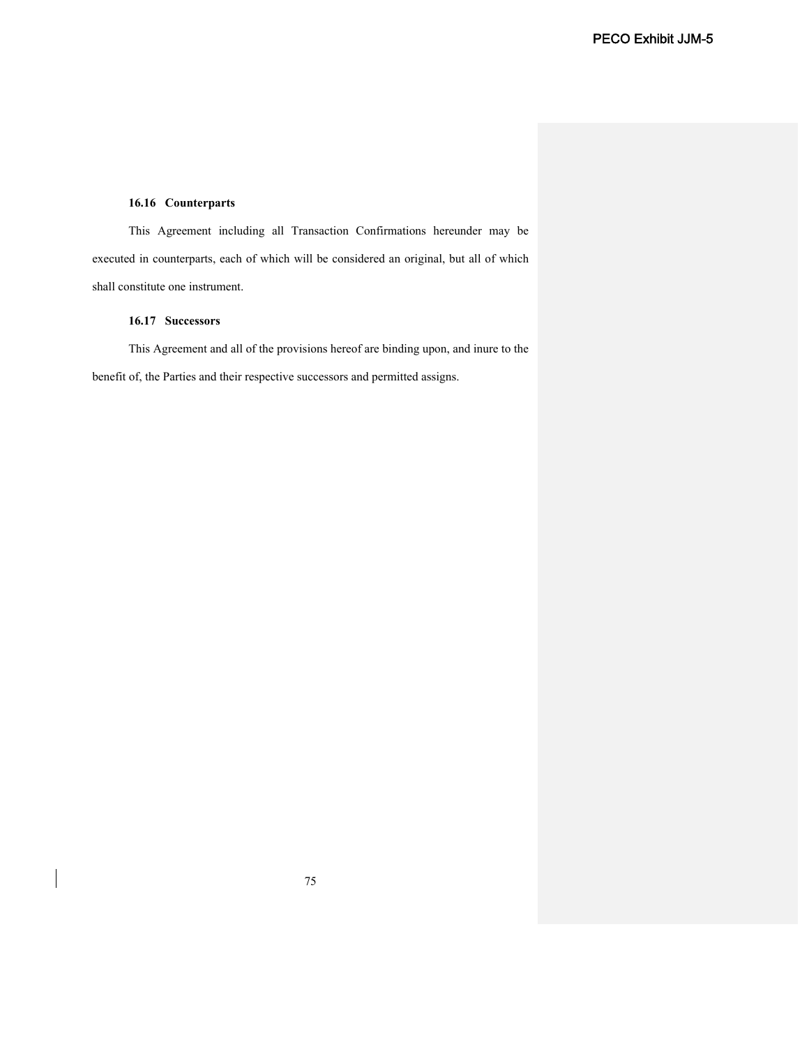# **16.16 Counterparts**

This Agreement including all Transaction Confirmations hereunder may be executed in counterparts, each of which will be considered an original, but all of which shall constitute one instrument.

# **16.17 Successors**

This Agreement and all of the provisions hereof are binding upon, and inure to the benefit of, the Parties and their respective successors and permitted assigns.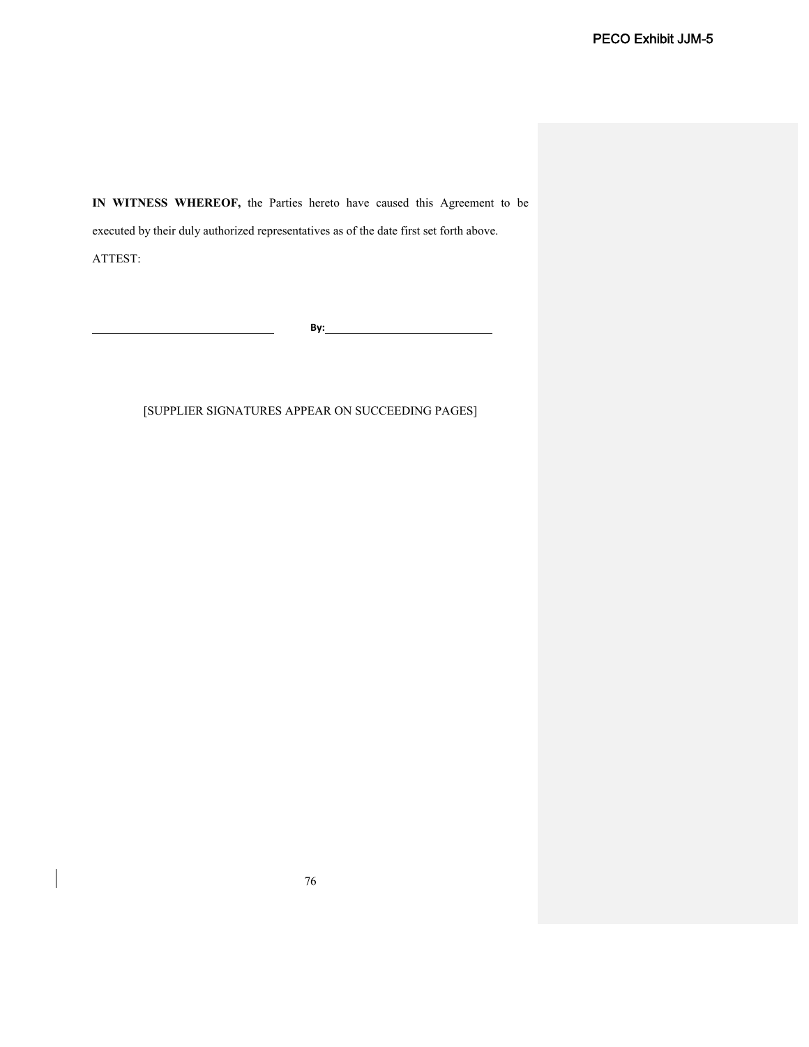**IN WITNESS WHEREOF,** the Parties hereto have caused this Agreement to be executed by their duly authorized representatives as of the date first set forth above. ATTEST:

**By:**

# [SUPPLIER SIGNATURES APPEAR ON SUCCEEDING PAGES]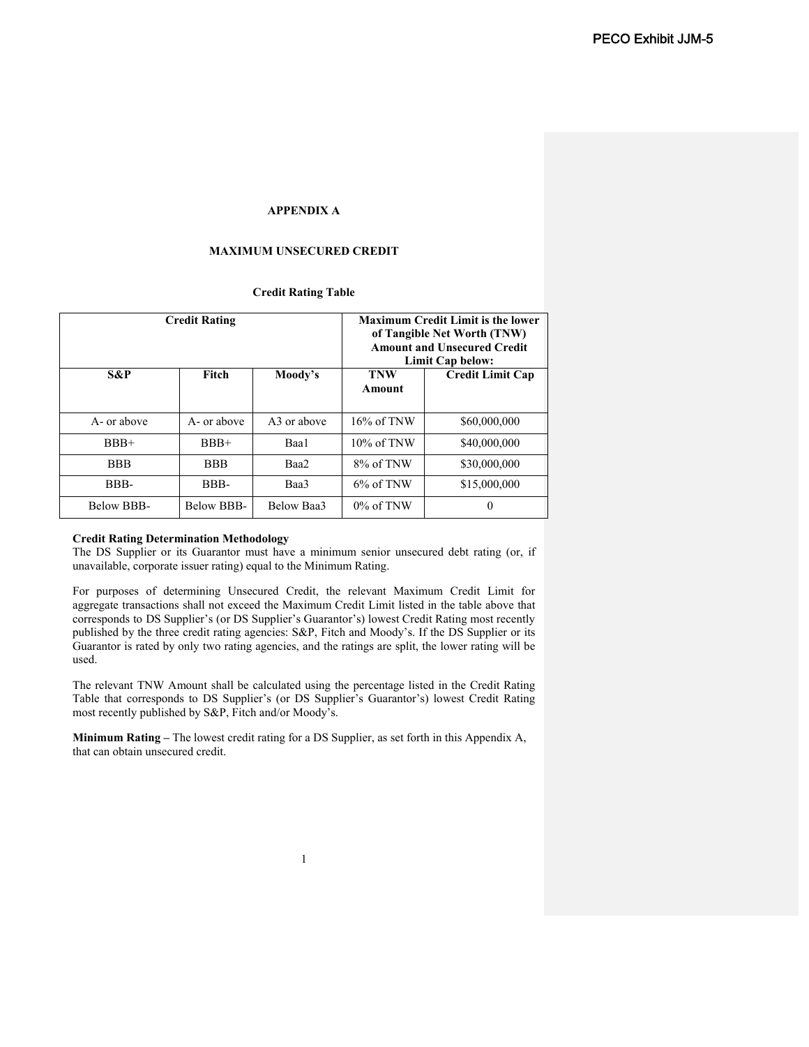# **APPENDIX A**

# **MAXIMUM UNSECURED CREDIT**

## **Credit Rating Table**

| <b>Credit Rating</b> |             |             | <b>Maximum Credit Limit is the lower</b><br>of Tangible Net Worth (TNW)<br><b>Amount and Unsecured Credit</b><br>Limit Cap below: |                         |
|----------------------|-------------|-------------|-----------------------------------------------------------------------------------------------------------------------------------|-------------------------|
| S&P                  | Fitch       | Moody's     | <b>TNW</b><br>Amount                                                                                                              | <b>Credit Limit Cap</b> |
|                      |             |             |                                                                                                                                   |                         |
| A- or above          | A- or above | A3 or above | $16\%$ of TNW                                                                                                                     | \$60,000,000            |
| $BBB+$               | $BBB+$      | Baa1        | $10\%$ of TNW                                                                                                                     | \$40,000,000            |
| <b>BBB</b>           | <b>BBB</b>  | Baa2        | 8% of TNW                                                                                                                         | \$30,000,000            |
| BBB-                 | BBB-        | Baa3        | $6\%$ of TNW                                                                                                                      | \$15,000,000            |
| Below BBB-           | Below BBB-  | Below Baa3  | $0\%$ of TNW                                                                                                                      | $\Omega$                |

### **Credit Rating Determination Methodology**

The DS Supplier or its Guarantor must have a minimum senior unsecured debt rating (or, if unavailable, corporate issuer rating) equal to the Minimum Rating.

For purposes of determining Unsecured Credit, the relevant Maximum Credit Limit for aggregate transactions shall not exceed the Maximum Credit Limit listed in the table above that corresponds to DS Supplier's (or DS Supplier's Guarantor's) lowest Credit Rating most recently published by the three credit rating agencies: S&P, Fitch and Moody's. If the DS Supplier or its Guarantor is rated by only two rating agencies, and the ratings are split, the lower rating will be used.

The relevant TNW Amount shall be calculated using the percentage listed in the Credit Rating Table that corresponds to DS Supplier's (or DS Supplier's Guarantor's) lowest Credit Rating most recently published by S&P, Fitch and/or Moody's.

**Minimum Rating –** The lowest credit rating for a DS Supplier, as set forth in this Appendix A, that can obtain unsecured credit.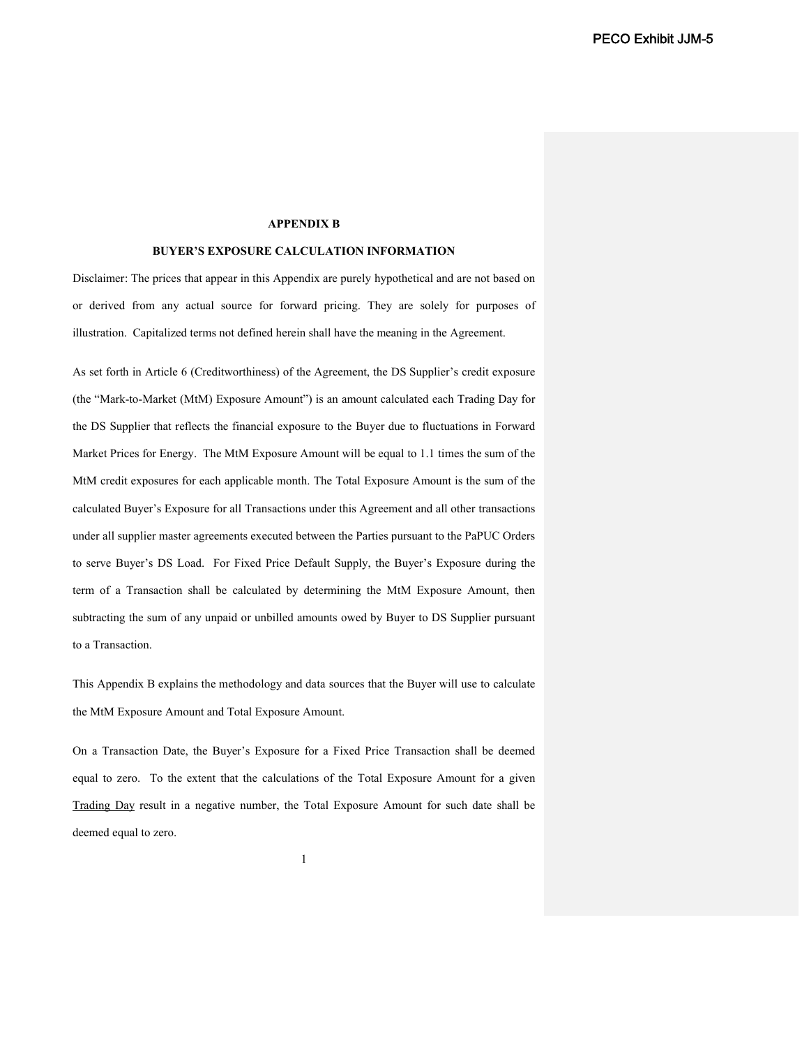# **APPENDIX B**

### **BUYER'S EXPOSURE CALCULATION INFORMATION**

Disclaimer: The prices that appear in this Appendix are purely hypothetical and are not based on or derived from any actual source for forward pricing. They are solely for purposes of illustration. Capitalized terms not defined herein shall have the meaning in the Agreement.

As set forth in Article 6 (Creditworthiness) of the Agreement, the DS Supplier's credit exposure (the "Mark-to-Market (MtM) Exposure Amount") is an amount calculated each Trading Day for the DS Supplier that reflects the financial exposure to the Buyer due to fluctuations in Forward Market Prices for Energy. The MtM Exposure Amount will be equal to 1.1 times the sum of the MtM credit exposures for each applicable month. The Total Exposure Amount is the sum of the calculated Buyer's Exposure for all Transactions under this Agreement and all other transactions under all supplier master agreements executed between the Parties pursuant to the PaPUC Orders to serve Buyer's DS Load. For Fixed Price Default Supply, the Buyer's Exposure during the term of a Transaction shall be calculated by determining the MtM Exposure Amount, then subtracting the sum of any unpaid or unbilled amounts owed by Buyer to DS Supplier pursuant to a Transaction.

This Appendix B explains the methodology and data sources that the Buyer will use to calculate the MtM Exposure Amount and Total Exposure Amount.

On a Transaction Date, the Buyer's Exposure for a Fixed Price Transaction shall be deemed equal to zero. To the extent that the calculations of the Total Exposure Amount for a given Trading Day result in a negative number, the Total Exposure Amount for such date shall be deemed equal to zero.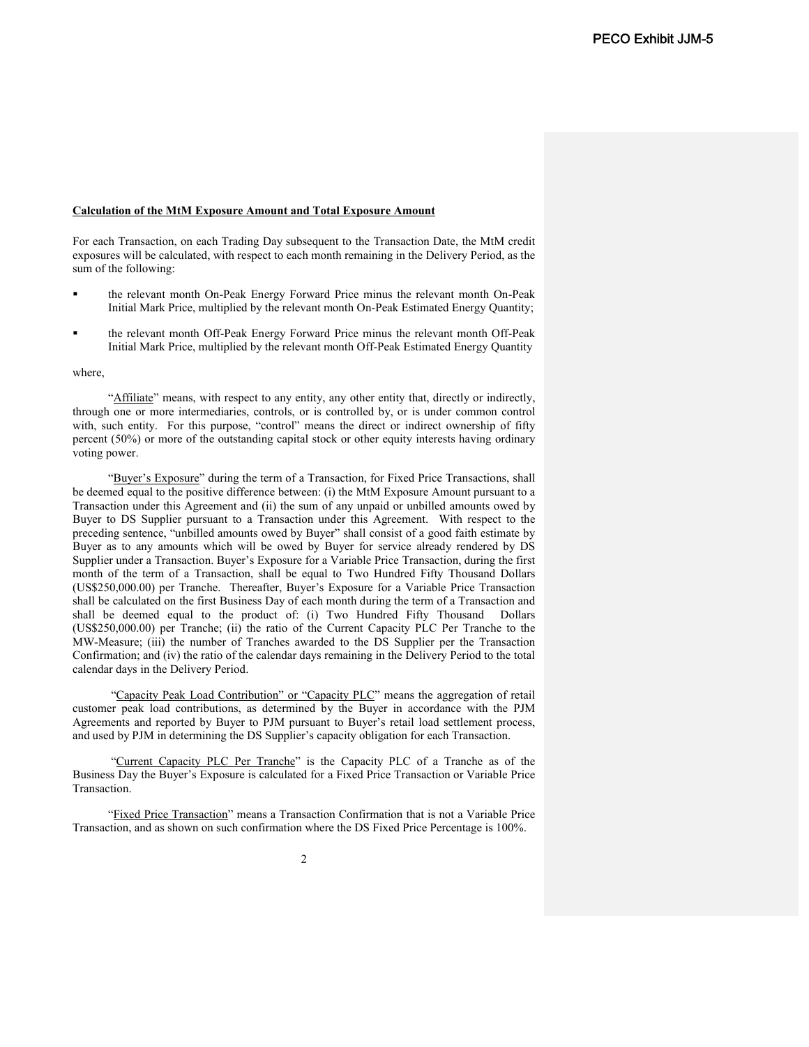### **Calculation of the MtM Exposure Amount and Total Exposure Amount**

For each Transaction, on each Trading Day subsequent to the Transaction Date, the MtM credit exposures will be calculated, with respect to each month remaining in the Delivery Period, as the sum of the following:

- the relevant month On-Peak Energy Forward Price minus the relevant month On-Peak Initial Mark Price, multiplied by the relevant month On-Peak Estimated Energy Quantity;
- the relevant month Off-Peak Energy Forward Price minus the relevant month Off-Peak Initial Mark Price, multiplied by the relevant month Off-Peak Estimated Energy Quantity

### where,

"Affiliate" means, with respect to any entity, any other entity that, directly or indirectly, through one or more intermediaries, controls, or is controlled by, or is under common control with, such entity. For this purpose, "control" means the direct or indirect ownership of fifty percent (50%) or more of the outstanding capital stock or other equity interests having ordinary voting power.

"Buyer's Exposure" during the term of a Transaction, for Fixed Price Transactions, shall be deemed equal to the positive difference between: (i) the MtM Exposure Amount pursuant to a Transaction under this Agreement and (ii) the sum of any unpaid or unbilled amounts owed by Buyer to DS Supplier pursuant to a Transaction under this Agreement. With respect to the preceding sentence, "unbilled amounts owed by Buyer" shall consist of a good faith estimate by Buyer as to any amounts which will be owed by Buyer for service already rendered by DS Supplier under a Transaction. Buyer's Exposure for a Variable Price Transaction, during the first month of the term of a Transaction, shall be equal to Two Hundred Fifty Thousand Dollars (US\$250,000.00) per Tranche. Thereafter, Buyer's Exposure for a Variable Price Transaction shall be calculated on the first Business Day of each month during the term of a Transaction and shall be deemed equal to the product of: (i) Two Hundred Fifty Thousand Dollars (US\$250,000.00) per Tranche; (ii) the ratio of the Current Capacity PLC Per Tranche to the MW-Measure; (iii) the number of Tranches awarded to the DS Supplier per the Transaction Confirmation; and (iv) the ratio of the calendar days remaining in the Delivery Period to the total calendar days in the Delivery Period.

"Capacity Peak Load Contribution" or "Capacity PLC" means the aggregation of retail customer peak load contributions, as determined by the Buyer in accordance with the PJM Agreements and reported by Buyer to PJM pursuant to Buyer's retail load settlement process, and used by PJM in determining the DS Supplier's capacity obligation for each Transaction.

"Current Capacity PLC Per Tranche" is the Capacity PLC of a Tranche as of the Business Day the Buyer's Exposure is calculated for a Fixed Price Transaction or Variable Price Transaction.

"Fixed Price Transaction" means a Transaction Confirmation that is not a Variable Price Transaction, and as shown on such confirmation where the DS Fixed Price Percentage is 100%.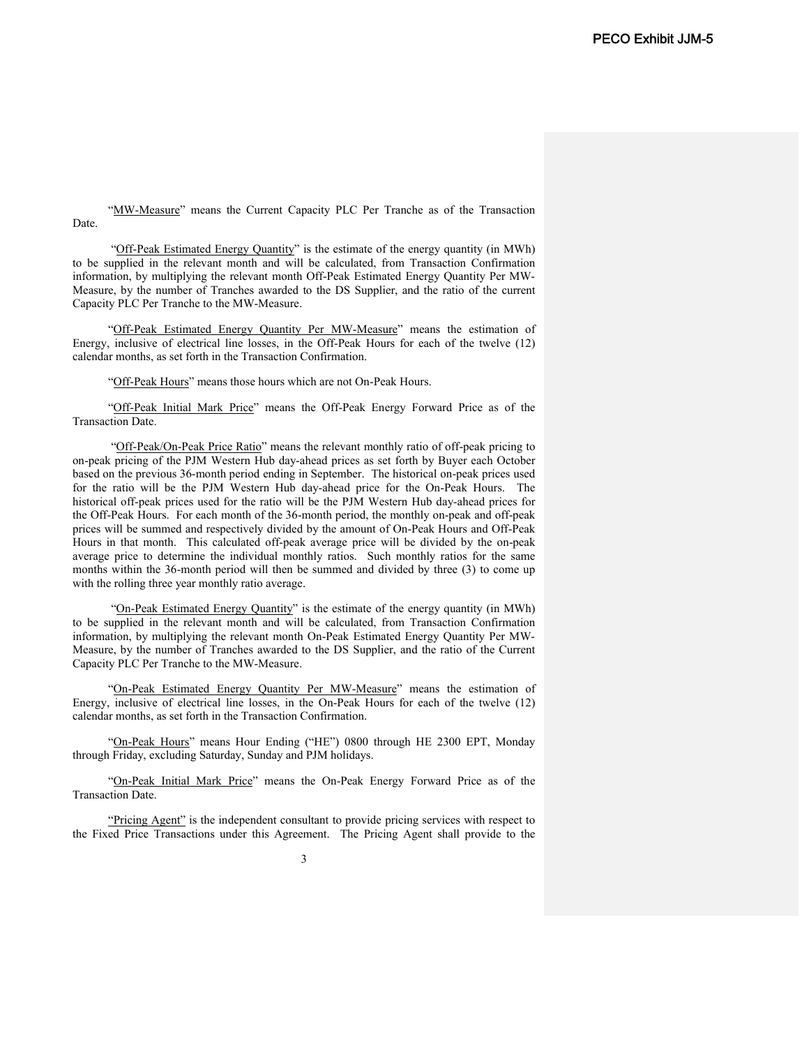"MW-Measure" means the Current Capacity PLC Per Tranche as of the Transaction Date.

"Off-Peak Estimated Energy Quantity" is the estimate of the energy quantity (in MWh) to be supplied in the relevant month and will be calculated, from Transaction Confirmation information, by multiplying the relevant month Off-Peak Estimated Energy Quantity Per MW-Measure, by the number of Tranches awarded to the DS Supplier, and the ratio of the current Capacity PLC Per Tranche to the MW-Measure.

"Off-Peak Estimated Energy Quantity Per MW-Measure" means the estimation of Energy, inclusive of electrical line losses, in the Off-Peak Hours for each of the twelve (12) calendar months, as set forth in the Transaction Confirmation.

"Off-Peak Hours" means those hours which are not On-Peak Hours.

"Off-Peak Initial Mark Price" means the Off-Peak Energy Forward Price as of the Transaction Date.

"Off-Peak/On-Peak Price Ratio" means the relevant monthly ratio of off-peak pricing to on-peak pricing of the PJM Western Hub day-ahead prices as set forth by Buyer each October based on the previous 36-month period ending in September. The historical on-peak prices used for the ratio will be the PJM Western Hub day-ahead price for the On-Peak Hours. The historical off-peak prices used for the ratio will be the PJM Western Hub day-ahead prices for the Off-Peak Hours. For each month of the 36-month period, the monthly on-peak and off-peak prices will be summed and respectively divided by the amount of On-Peak Hours and Off-Peak Hours in that month. This calculated off-peak average price will be divided by the on-peak average price to determine the individual monthly ratios. Such monthly ratios for the same months within the 36-month period will then be summed and divided by three (3) to come up with the rolling three year monthly ratio average.

"On-Peak Estimated Energy Quantity" is the estimate of the energy quantity (in MWh) to be supplied in the relevant month and will be calculated, from Transaction Confirmation information, by multiplying the relevant month On-Peak Estimated Energy Quantity Per MW-Measure, by the number of Tranches awarded to the DS Supplier, and the ratio of the Current Capacity PLC Per Tranche to the MW-Measure.

"On-Peak Estimated Energy Quantity Per MW-Measure" means the estimation of Energy, inclusive of electrical line losses, in the On-Peak Hours for each of the twelve (12) calendar months, as set forth in the Transaction Confirmation.

"On-Peak Hours" means Hour Ending ("HE") 0800 through HE 2300 EPT, Monday through Friday, excluding Saturday, Sunday and PJM holidays.

"On-Peak Initial Mark Price" means the On-Peak Energy Forward Price as of the Transaction Date.

"Pricing Agent" is the independent consultant to provide pricing services with respect to the Fixed Price Transactions under this Agreement. The Pricing Agent shall provide to the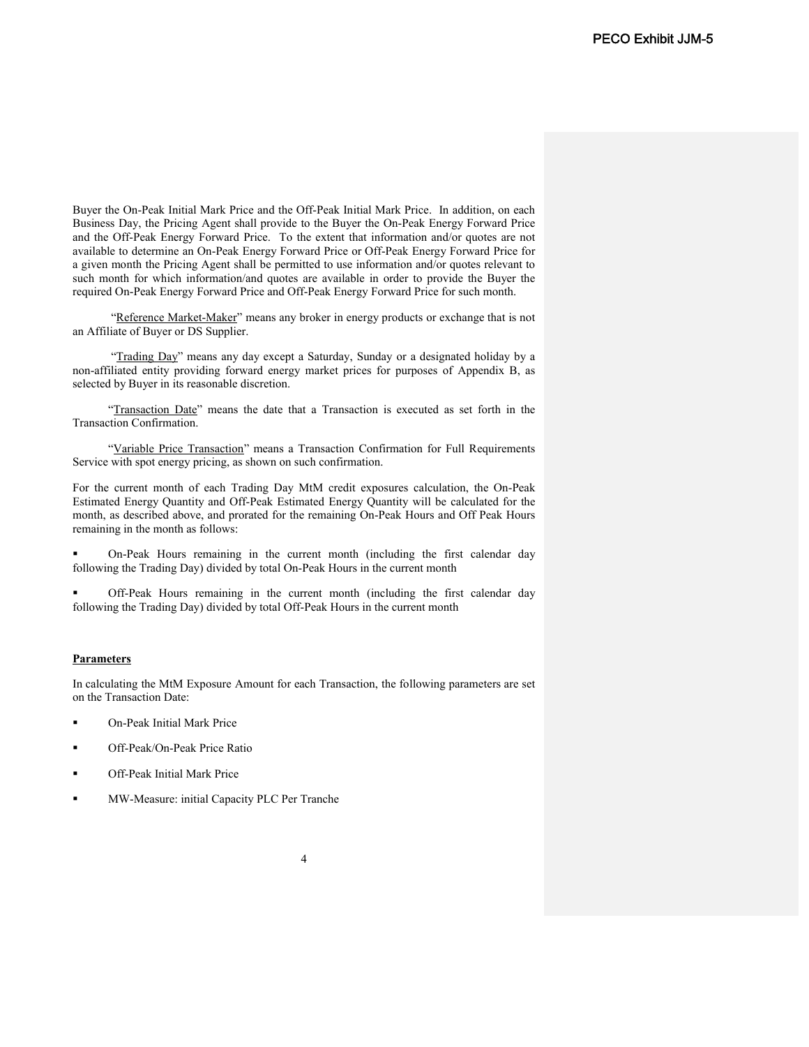Buyer the On-Peak Initial Mark Price and the Off-Peak Initial Mark Price. In addition, on each Business Day, the Pricing Agent shall provide to the Buyer the On-Peak Energy Forward Price and the Off-Peak Energy Forward Price. To the extent that information and/or quotes are not available to determine an On-Peak Energy Forward Price or Off-Peak Energy Forward Price for a given month the Pricing Agent shall be permitted to use information and/or quotes relevant to such month for which information/and quotes are available in order to provide the Buyer the required On-Peak Energy Forward Price and Off-Peak Energy Forward Price for such month.

"Reference Market-Maker" means any broker in energy products or exchange that is not an Affiliate of Buyer or DS Supplier.

"Trading Day" means any day except a Saturday, Sunday or a designated holiday by a non-affiliated entity providing forward energy market prices for purposes of Appendix B, as selected by Buyer in its reasonable discretion.

"Transaction Date" means the date that a Transaction is executed as set forth in the Transaction Confirmation.

"Variable Price Transaction" means a Transaction Confirmation for Full Requirements Service with spot energy pricing, as shown on such confirmation.

For the current month of each Trading Day MtM credit exposures calculation, the On-Peak Estimated Energy Quantity and Off-Peak Estimated Energy Quantity will be calculated for the month, as described above, and prorated for the remaining On-Peak Hours and Off Peak Hours remaining in the month as follows:

 On-Peak Hours remaining in the current month (including the first calendar day following the Trading Day) divided by total On-Peak Hours in the current month

 Off-Peak Hours remaining in the current month (including the first calendar day following the Trading Day) divided by total Off-Peak Hours in the current month

### **Parameters**

In calculating the MtM Exposure Amount for each Transaction, the following parameters are set on the Transaction Date:

- On-Peak Initial Mark Price
- Off-Peak/On-Peak Price Ratio
- Off-Peak Initial Mark Price
- MW-Measure: initial Capacity PLC Per Tranche